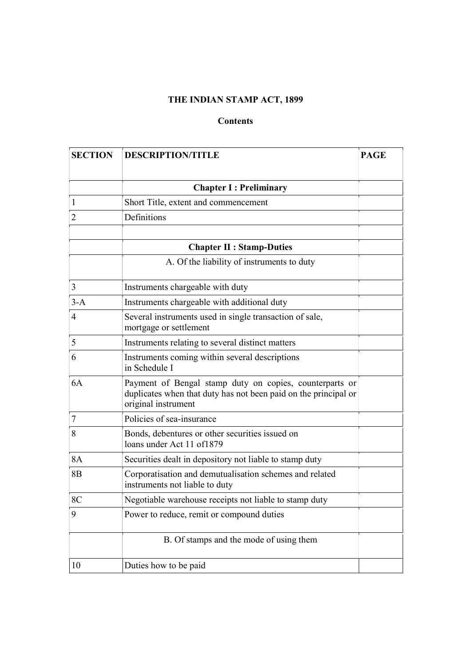# THE INDIAN STAMP ACT, 1899

# Contents

| <b>SECTION</b> | <b>DESCRIPTION/TITLE</b>                                                                                                                          | <b>PAGE</b> |
|----------------|---------------------------------------------------------------------------------------------------------------------------------------------------|-------------|
|                | <b>Chapter I: Preliminary</b>                                                                                                                     |             |
| $\mathbf{1}$   | Short Title, extent and commencement                                                                                                              |             |
| $\overline{2}$ | Definitions                                                                                                                                       |             |
|                | <b>Chapter II : Stamp-Duties</b>                                                                                                                  |             |
|                | A. Of the liability of instruments to duty                                                                                                        |             |
| $\mathfrak{Z}$ | Instruments chargeable with duty                                                                                                                  |             |
| $3-A$          | Instruments chargeable with additional duty                                                                                                       |             |
| $\overline{4}$ | Several instruments used in single transaction of sale,<br>mortgage or settlement                                                                 |             |
| 5              | Instruments relating to several distinct matters                                                                                                  |             |
| 6              | Instruments coming within several descriptions<br>in Schedule I                                                                                   |             |
| 6A             | Payment of Bengal stamp duty on copies, counterparts or<br>duplicates when that duty has not been paid on the principal or<br>original instrument |             |
| 7              | Policies of sea-insurance                                                                                                                         |             |
| 8              | Bonds, debentures or other securities issued on<br>loans under Act 11 of 1879                                                                     |             |
| <b>8A</b>      | Securities dealt in depository not liable to stamp duty                                                                                           |             |
| 8 <sub>B</sub> | Corporatisation and demutualisation schemes and related<br>instruments not liable to duty                                                         |             |
| 8C             | Negotiable warehouse receipts not liable to stamp duty                                                                                            |             |
| 9              | Power to reduce, remit or compound duties                                                                                                         |             |
|                | B. Of stamps and the mode of using them                                                                                                           |             |
| 10             | Duties how to be paid                                                                                                                             |             |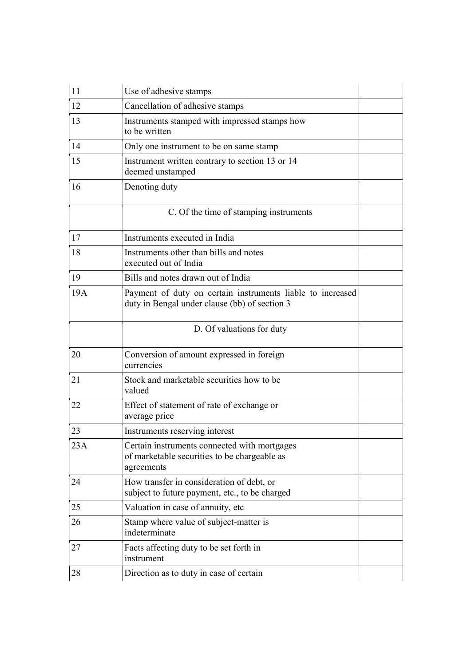| 11  | Use of adhesive stamps                                                                                      |
|-----|-------------------------------------------------------------------------------------------------------------|
| 12  | Cancellation of adhesive stamps                                                                             |
| 13  | Instruments stamped with impressed stamps how<br>to be written                                              |
| 14  | Only one instrument to be on same stamp                                                                     |
| 15  | Instrument written contrary to section 13 or 14<br>deemed unstamped                                         |
| 16  | Denoting duty                                                                                               |
|     | C. Of the time of stamping instruments                                                                      |
| 17  | Instruments executed in India                                                                               |
| 18  | Instruments other than bills and notes<br>executed out of India                                             |
| 19  | Bills and notes drawn out of India                                                                          |
| 19A | Payment of duty on certain instruments liable to increased<br>duty in Bengal under clause (bb) of section 3 |
|     | D. Of valuations for duty                                                                                   |
| 20  | Conversion of amount expressed in foreign<br>currencies                                                     |
| 21  | Stock and marketable securities how to be<br>valued                                                         |
| 22  | Effect of statement of rate of exchange or<br>average price                                                 |
| 23  | Instruments reserving interest                                                                              |
| 23A | Certain instruments connected with mortgages<br>of marketable securities to be chargeable as<br>agreements  |
| 24  | How transfer in consideration of debt, or<br>subject to future payment, etc., to be charged                 |
| 25  | Valuation in case of annuity, etc                                                                           |
| 26  | Stamp where value of subject-matter is<br>indeterminate                                                     |
| 27  | Facts affecting duty to be set forth in<br>instrument                                                       |
| 28  | Direction as to duty in case of certain                                                                     |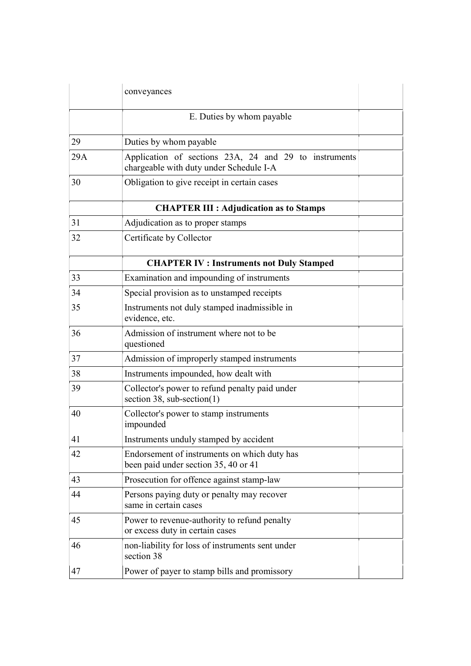|     | conveyances                                                                                      |  |
|-----|--------------------------------------------------------------------------------------------------|--|
|     | E. Duties by whom payable                                                                        |  |
| 29  | Duties by whom payable                                                                           |  |
| 29A | Application of sections 23A, 24 and 29 to instruments<br>chargeable with duty under Schedule I-A |  |
| 30  | Obligation to give receipt in certain cases                                                      |  |
|     | <b>CHAPTER III : Adjudication as to Stamps</b>                                                   |  |
| 31  | Adjudication as to proper stamps                                                                 |  |
| 32  | Certificate by Collector                                                                         |  |
|     | <b>CHAPTER IV: Instruments not Duly Stamped</b>                                                  |  |
| 33  | Examination and impounding of instruments                                                        |  |
| 34  | Special provision as to unstamped receipts                                                       |  |
| 35  | Instruments not duly stamped inadmissible in<br>evidence, etc.                                   |  |
| 36  | Admission of instrument where not to be<br>questioned                                            |  |
| 37  | Admission of improperly stamped instruments                                                      |  |
| 38  | Instruments impounded, how dealt with                                                            |  |
| 39  | Collector's power to refund penalty paid under<br>section 38, sub-section(1)                     |  |
| 40  | Collector's power to stamp instruments<br>impounded                                              |  |
| 41  | Instruments unduly stamped by accident                                                           |  |
| 42  | Endorsement of instruments on which duty has<br>been paid under section 35, 40 or 41             |  |
| 43  | Prosecution for offence against stamp-law                                                        |  |
| 44  | Persons paying duty or penalty may recover<br>same in certain cases                              |  |
| 45  | Power to revenue-authority to refund penalty<br>or excess duty in certain cases                  |  |
| 46  | non-liability for loss of instruments sent under<br>section 38                                   |  |
| 47  | Power of payer to stamp bills and promissory                                                     |  |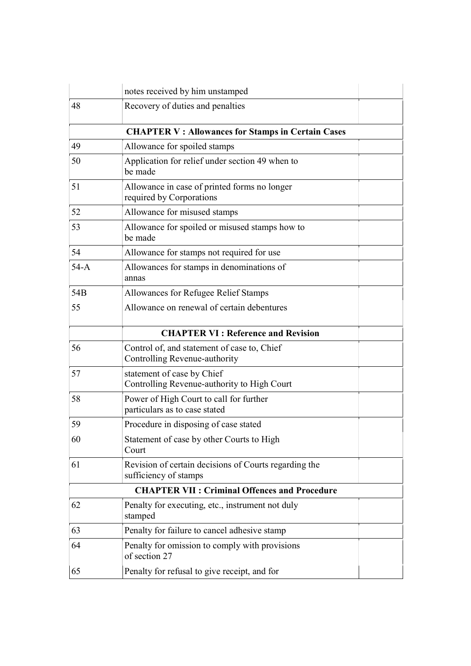|                                                          | notes received by him unstamped                                                |  |  |  |
|----------------------------------------------------------|--------------------------------------------------------------------------------|--|--|--|
| 48                                                       | Recovery of duties and penalties                                               |  |  |  |
| <b>CHAPTER V: Allowances for Stamps in Certain Cases</b> |                                                                                |  |  |  |
| 49                                                       | Allowance for spoiled stamps                                                   |  |  |  |
| 50                                                       | Application for relief under section 49 when to<br>be made                     |  |  |  |
| 51                                                       | Allowance in case of printed forms no longer<br>required by Corporations       |  |  |  |
| 52                                                       | Allowance for misused stamps                                                   |  |  |  |
| 53                                                       | Allowance for spoiled or misused stamps how to<br>be made                      |  |  |  |
| 54                                                       | Allowance for stamps not required for use                                      |  |  |  |
| $54-A$                                                   | Allowances for stamps in denominations of<br>annas                             |  |  |  |
| 54B                                                      | Allowances for Refugee Relief Stamps                                           |  |  |  |
| 55                                                       | Allowance on renewal of certain debentures                                     |  |  |  |
|                                                          | <b>CHAPTER VI: Reference and Revision</b>                                      |  |  |  |
| 56                                                       | Control of, and statement of case to, Chief<br>Controlling Revenue-authority   |  |  |  |
| 57                                                       | statement of case by Chief<br>Controlling Revenue-authority to High Court      |  |  |  |
| 58                                                       | Power of High Court to call for further<br>particulars as to case stated       |  |  |  |
| 59                                                       | Procedure in disposing of case stated                                          |  |  |  |
| 60                                                       | Statement of case by other Courts to High<br>Court                             |  |  |  |
| 61                                                       | Revision of certain decisions of Courts regarding the<br>sufficiency of stamps |  |  |  |
| <b>CHAPTER VII : Criminal Offences and Procedure</b>     |                                                                                |  |  |  |
| 62                                                       | Penalty for executing, etc., instrument not duly<br>stamped                    |  |  |  |
| 63                                                       | Penalty for failure to cancel adhesive stamp                                   |  |  |  |
| 64                                                       | Penalty for omission to comply with provisions<br>of section 27                |  |  |  |
| 65                                                       | Penalty for refusal to give receipt, and for                                   |  |  |  |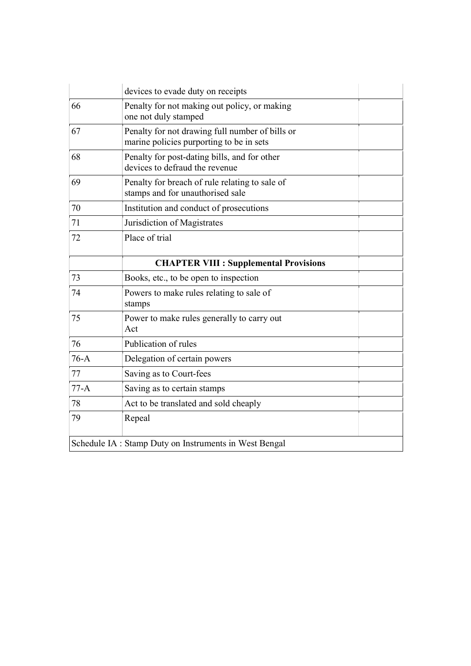|                                                        | devices to evade duty on receipts                                                           |  |
|--------------------------------------------------------|---------------------------------------------------------------------------------------------|--|
| 66                                                     | Penalty for not making out policy, or making<br>one not duly stamped                        |  |
| 67                                                     | Penalty for not drawing full number of bills or<br>marine policies purporting to be in sets |  |
| 68                                                     | Penalty for post-dating bills, and for other<br>devices to defraud the revenue              |  |
| 69                                                     | Penalty for breach of rule relating to sale of<br>stamps and for unauthorised sale          |  |
| 70                                                     | Institution and conduct of prosecutions                                                     |  |
| 71                                                     | Jurisdiction of Magistrates                                                                 |  |
| 72                                                     | Place of trial                                                                              |  |
|                                                        | <b>CHAPTER VIII : Supplemental Provisions</b>                                               |  |
| 73                                                     | Books, etc., to be open to inspection                                                       |  |
| 74                                                     | Powers to make rules relating to sale of<br>stamps                                          |  |
| 75                                                     | Power to make rules generally to carry out<br>Act                                           |  |
| 76                                                     | Publication of rules                                                                        |  |
| $76-A$                                                 | Delegation of certain powers                                                                |  |
| 77                                                     | Saving as to Court-fees                                                                     |  |
| $77-A$                                                 | Saving as to certain stamps                                                                 |  |
| 78                                                     | Act to be translated and sold cheaply                                                       |  |
| 79                                                     | Repeal                                                                                      |  |
| Schedule IA : Stamp Duty on Instruments in West Bengal |                                                                                             |  |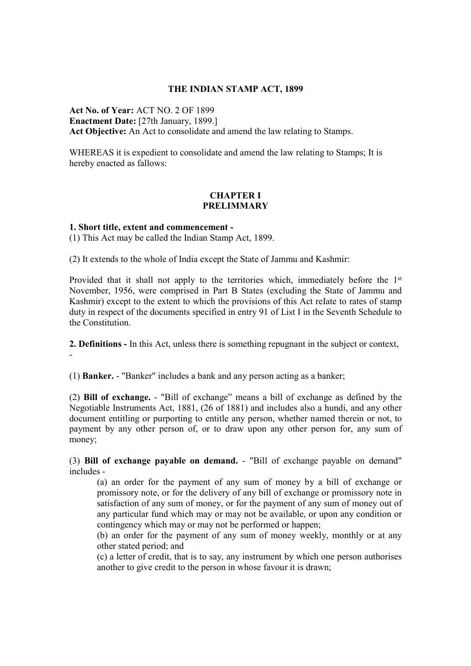#### THE INDIAN STAMP ACT, 1899

Act No. of Year: ACT NO. 2 OF 1899 Enactment Date: [27th January, 1899.] Act Objective: An Act to consolidate and amend the law relating to Stamps.

WHEREAS it is expedient to consolidate and amend the law relating to Stamps; It is hereby enacted as fallows:

#### CHAPTER I PRELIMMARY

#### 1. Short title, extent and commencement -

(1) This Act may be called the Indian Stamp Act, 1899.

(2) It extends to the whole of India except the State of Jammu and Kashmir:

Provided that it shall not apply to the territories which, immediately before the 1<sup>st</sup> November, 1956, were comprised in Part B States (excluding the State of Jammu and Kashmir) except to the extent to which the provisions of this Act reIate to rates of stamp duty in respect of the documents specified in entry 91 of List I in the Seventh Schedule to the Constitution.

2. Definitions - In this Act, unless there is something repugnant in the subject or context, -

(1) Banker. - "Banker" includes a bank and any person acting as a banker;

(2) Bill of exchange. - "Bill of exchange" means a bill of exchange as defined by the Negotiable Instruments Act, 1881, (26 of 1881) and includes also a hundi, and any other document entitling or purporting to entitle any person, whether named therein or not, to payment by any other person of, or to draw upon any other person for, any sum of money;

(3) Bill of exchange payable on demand. - "Bill of exchange payable on demand" includes -

(a) an order for the payment of any sum of money by a bill of exchange or promissory note, or for the delivery of any bill of exchange or promissory note in satisfaction of any sum of money, or for the payment of any sum of money out of any particular fund which may or may not be available, or upon any condition or contingency which may or may not be performed or happen;

(b) an order for the payment of any sum of money weekly, monthly or at any other stated period; and

(c) a letter of credit, that is to say, any instrument by which one person authorises another to give credit to the person in whose favour it is drawn;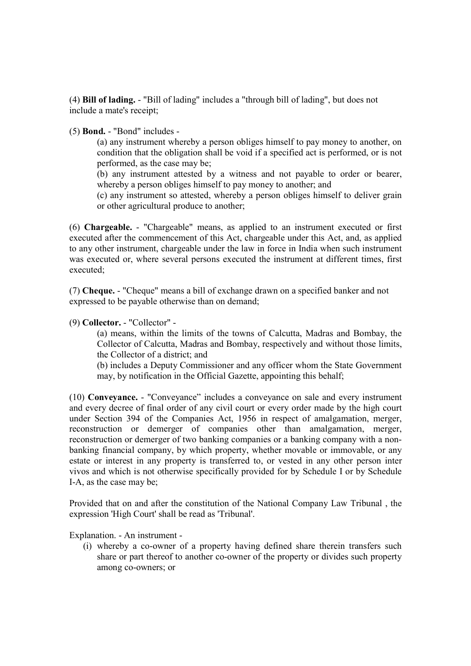(4) Bill of lading. - "Bill of lading" includes a "through bill of lading", but does not include a mate's receipt;

(5) Bond. - "Bond" includes -

(a) any instrument whereby a person obliges himself to pay money to another, on condition that the obligation shall be void if a specified act is performed, or is not performed, as the case may be;

(b) any instrument attested by a witness and not payable to order or bearer, whereby a person obliges himself to pay money to another; and

(c) any instrument so attested, whereby a person obliges himself to deliver grain or other agricultural produce to another;

(6) Chargeable. - "Chargeable" means, as applied to an instrument executed or first executed after the commencement of this Act, chargeable under this Act, and, as applied to any other instrument, chargeable under the law in force in India when such instrument was executed or, where several persons executed the instrument at different times, first executed;

(7) Cheque. - "Cheque" means a bill of exchange drawn on a specified banker and not expressed to be payable otherwise than on demand;

#### (9) Collector. - "Collector" -

(a) means, within the limits of the towns of Calcutta, Madras and Bombay, the Collector of Calcutta, Madras and Bombay, respectively and without those limits, the Collector of a district; and

(b) includes a Deputy Commissioner and any officer whom the State Government may, by notification in the Official Gazette, appointing this behalf;

(10) Conveyance. - "Conveyance" includes a conveyance on sale and every instrument and every decree of final order of any civil court or every order made by the high court under Section 394 of the Companies Act, 1956 in respect of amalgamation, merger, reconstruction or demerger of companies other than amalgamation, merger, reconstruction or demerger of two banking companies or a banking company with a nonbanking financial company, by which property, whether movable or immovable, or any estate or interest in any property is transferred to, or vested in any other person inter vivos and which is not otherwise specifically provided for by Schedule I or by Schedule I-A, as the case may be;

Provided that on and after the constitution of the National Company Law Tribunal , the expression 'High Court' shall be read as 'Tribunal'.

Explanation. - An instrument -

(i) whereby a co-owner of a property having defined share therein transfers such share or part thereof to another co-owner of the property or divides such property among co-owners; or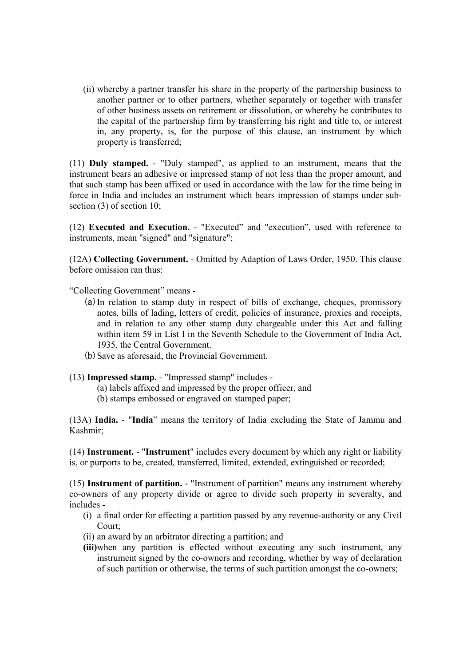(ii) whereby a partner transfer his share in the property of the partnership business to another partner or to other partners, whether separately or together with transfer of other business assets on retirement or dissolution, or whereby he contributes to the capital of the partnership firm by transferring his right and title to, or interest in, any property, is, for the purpose of this clause, an instrument by which property is transferred;

(11) Duly stamped. - "Duly stamped", as applied to an instrument, means that the instrument bears an adhesive or impressed stamp of not less than the proper amount, and that such stamp has been affixed or used in accordance with the law for the time being in force in India and includes an instrument which bears impression of stamps under subsection (3) of section 10;

(12) Executed and Execution. - "Executed" and "execution", used with reference to instruments, mean "signed" and "signature";

(12A) Collecting Government. - Omitted by Adaption of Laws Order, 1950. This clause before omission ran thus:

"Collecting Government" means -

- (a)In relation to stamp duty in respect of bills of exchange, cheques, promissory notes, bills of lading, letters of credit, policies of insurance, proxies and receipts, and in relation to any other stamp duty chargeable under this Act and falling within item 59 in List I in the Seventh Schedule to the Government of India Act, 1935, the Central Government.
- (b) Save as aforesaid, the Provincial Government.
- (13) Impressed stamp. "Impressed stamp" includes
	- (a) labels affixed and impressed by the proper officer, and
	- (b) stamps embossed or engraved on stamped paper;

(13A) India. - "India" means the territory of India excluding the State of Jammu and Kashmir;

(14) Instrument. - "Instrument" includes every document by which any right or liability is, or purports to be, created, transferred, limited, extended, extinguished or recorded;

(15) Instrument of partition. - "Instrument of partition" means any instrument whereby co-owners of any property divide or agree to divide such property in severalty, and includes -

- (i) a final order for effecting a partition passed by any revenue-authority or any Civil Court;
- (ii) an award by an arbitrator directing a partition; and
- (iii)when any partition is effected without executing any such instrument, any instrument signed by the co-owners and recording, whether by way of declaration of such partition or otherwise, the terms of such partition amongst the co-owners;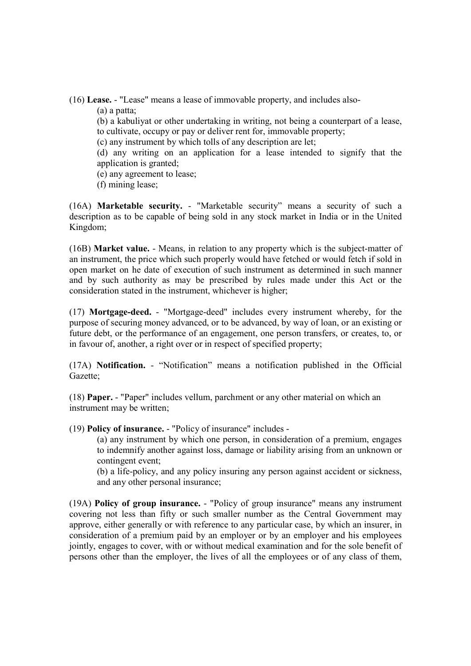(16) Lease. - "Lease" means a lease of immovable property, and includes also-

(a) a patta;

(b) a kabuliyat or other undertaking in writing, not being a counterpart of a lease, to cultivate, occupy or pay or deliver rent for, immovable property;

(c) any instrument by which tolls of any description are let;

(d) any writing on an application for a lease intended to signify that the application is granted;

(e) any agreement to lease;

(f) mining lease;

(16A) Marketable security. - "Marketable security" means a security of such a description as to be capable of being sold in any stock market in India or in the United Kingdom;

(16B) Market value. - Means, in relation to any property which is the subject-matter of an instrument, the price which such properly would have fetched or would fetch if sold in open market on he date of execution of such instrument as determined in such manner and by such authority as may be prescribed by rules made under this Act or the consideration stated in the instrument, whichever is higher;

(17) Mortgage-deed. - "Mortgage-deed" includes every instrument whereby, for the purpose of securing money advanced, or to be advanced, by way of loan, or an existing or future debt, or the performance of an engagement, one person transfers, or creates, to, or in favour of, another, a right over or in respect of specified property;

(17A) Notification. - "Notification" means a notification published in the Official Gazette;

(18) Paper. - "Paper" includes vellum, parchment or any other material on which an instrument may be written;

(19) Policy of insurance. - "Policy of insurance" includes -

(a) any instrument by which one person, in consideration of a premium, engages to indemnify another against loss, damage or liability arising from an unknown or contingent event;

(b) a life-policy, and any policy insuring any person against accident or sickness, and any other personal insurance;

(19A) Policy of group insurance. - "Policy of group insurance" means any instrument covering not less than fifty or such smaller number as the Central Government may approve, either generally or with reference to any particular case, by which an insurer, in consideration of a premium paid by an employer or by an employer and his employees jointly, engages to cover, with or without medical examination and for the sole benefit of persons other than the employer, the lives of all the employees or of any class of them,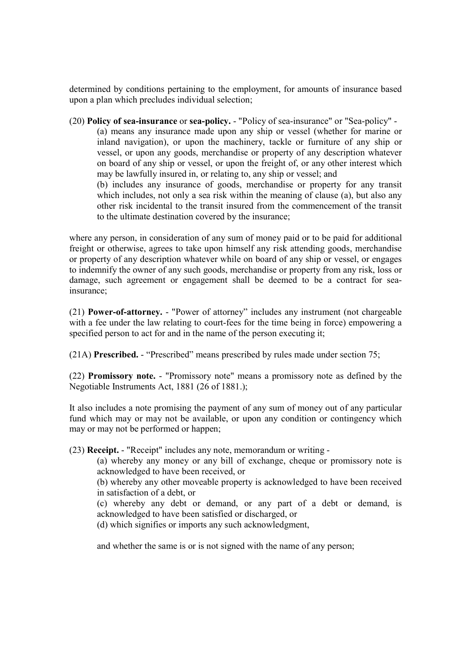determined by conditions pertaining to the employment, for amounts of insurance based upon a plan which precludes individual selection;

(20) Policy of sea-insurance or sea-policy. - "Policy of sea-insurance" or "Sea-policy" - (a) means any insurance made upon any ship or vessel (whether for marine or inland navigation), or upon the machinery, tackle or furniture of any ship or vessel, or upon any goods, merchandise or property of any description whatever on board of any ship or vessel, or upon the freight of, or any other interest which may be lawfully insured in, or relating to, any ship or vessel; and (b) includes any insurance of goods, merchandise or property for any transit

which includes, not only a sea risk within the meaning of clause (a), but also any other risk incidental to the transit insured from the commencement of the transit to the ultimate destination covered by the insurance;

where any person, in consideration of any sum of money paid or to be paid for additional freight or otherwise, agrees to take upon himself any risk attending goods, merchandise or property of any description whatever while on board of any ship or vessel, or engages to indemnify the owner of any such goods, merchandise or property from any risk, loss or damage, such agreement or engagement shall be deemed to be a contract for seainsurance;

(21) Power-of-attorney. - "Power of attorney" includes any instrument (not chargeable with a fee under the law relating to court-fees for the time being in force) empowering a specified person to act for and in the name of the person executing it;

(21A) Prescribed. - "Prescribed" means prescribed by rules made under section 75;

(22) Promissory note. - "Promissory note" means a promissory note as defined by the Negotiable Instruments Act, 1881 (26 of 1881.);

It also includes a note promising the payment of any sum of money out of any particular fund which may or may not be available, or upon any condition or contingency which may or may not be performed or happen;

(23) Receipt. - "Receipt" includes any note, memorandum or writing -

(a) whereby any money or any bill of exchange, cheque or promissory note is acknowledged to have been received, or

(b) whereby any other moveable property is acknowledged to have been received in satisfaction of a debt, or

(c) whereby any debt or demand, or any part of a debt or demand, is acknowledged to have been satisfied or discharged, or

(d) which signifies or imports any such acknowledgment,

and whether the same is or is not signed with the name of any person;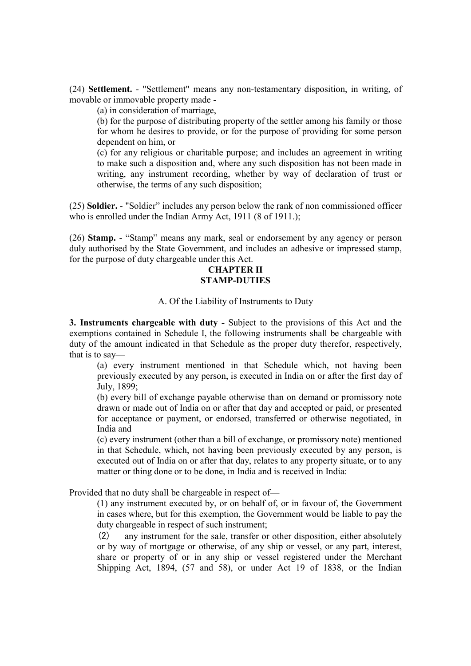(24) Settlement. - "Settlement" means any non-testamentary disposition, in writing, of movable or immovable property made -

(a) in consideration of marriage,

(b) for the purpose of distributing property of the settler among his family or those for whom he desires to provide, or for the purpose of providing for some person dependent on him, or

(c) for any religious or charitable purpose; and includes an agreement in writing to make such a disposition and, where any such disposition has not been made in writing, any instrument recording, whether by way of declaration of trust or otherwise, the terms of any such disposition;

(25) Soldier. - "Soldier" includes any person below the rank of non commissioned officer who is enrolled under the Indian Army Act, 1911 (8 of 1911.);

(26) Stamp. - "Stamp" means any mark, seal or endorsement by any agency or person duly authorised by the State Government, and includes an adhesive or impressed stamp, for the purpose of duty chargeable under this Act.

## CHAPTER II STAMP-DUTIES

#### A. Of the Liability of Instruments to Duty

3. Instruments chargeable with duty - Subject to the provisions of this Act and the exemptions contained in Schedule I, the following instruments shall be chargeable with duty of the amount indicated in that Schedule as the proper duty therefor, respectively, that is to say—

(a) every instrument mentioned in that Schedule which, not having been previously executed by any person, is executed in India on or after the first day of July, 1899;

(b) every bill of exchange payable otherwise than on demand or promissory note drawn or made out of India on or after that day and accepted or paid, or presented for acceptance or payment, or endorsed, transferred or otherwise negotiated, in India and

(c) every instrument (other than a bill of exchange, or promissory note) mentioned in that Schedule, which, not having been previously executed by any person, is executed out of India on or after that day, relates to any property situate, or to any matter or thing done or to be done, in India and is received in India:

Provided that no duty shall be chargeable in respect of—

(1) any instrument executed by, or on behalf of, or in favour of, the Government in cases where, but for this exemption, the Government would be liable to pay the duty chargeable in respect of such instrument;

(2) any instrument for the sale, transfer or other disposition, either absolutely or by way of mortgage or otherwise, of any ship or vessel, or any part, interest, share or property of or in any ship or vessel registered under the Merchant Shipping Act, 1894, (57 and 58), or under Act 19 of 1838, or the Indian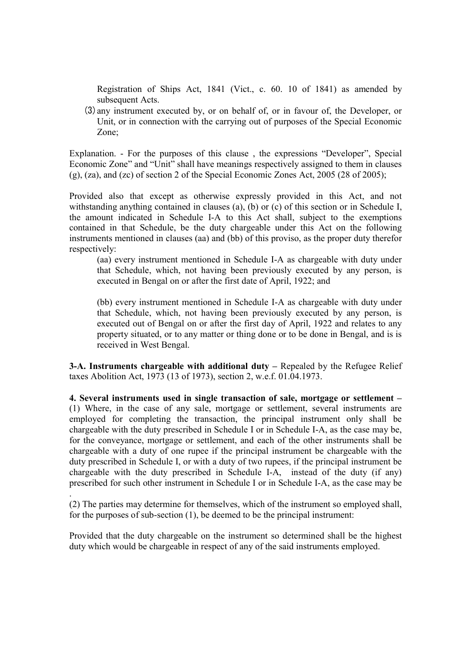Registration of Ships Act, 1841 (Vict., c. 60. 10 of 1841) as amended by subsequent Acts.

(3)any instrument executed by, or on behalf of, or in favour of, the Developer, or Unit, or in connection with the carrying out of purposes of the Special Economic Zone;

Explanation. - For the purposes of this clause , the expressions "Developer", Special Economic Zone" and "Unit" shall have meanings respectively assigned to them in clauses (g), (za), and (zc) of section 2 of the Special Economic Zones Act, 2005 (28 of 2005);

Provided also that except as otherwise expressly provided in this Act, and not withstanding anything contained in clauses (a), (b) or (c) of this section or in Schedule I, the amount indicated in Schedule I-A to this Act shall, subject to the exemptions contained in that Schedule, be the duty chargeable under this Act on the following instruments mentioned in clauses (aa) and (bb) of this proviso, as the proper duty therefor respectively:

(aa) every instrument mentioned in Schedule I-A as chargeable with duty under that Schedule, which, not having been previously executed by any person, is executed in Bengal on or after the first date of April, 1922; and

(bb) every instrument mentioned in Schedule I-A as chargeable with duty under that Schedule, which, not having been previously executed by any person, is executed out of Bengal on or after the first day of April, 1922 and relates to any property situated, or to any matter or thing done or to be done in Bengal, and is is received in West Bengal.

3-A. Instruments chargeable with additional duty – Repealed by the Refugee Relief taxes Abolition Act, 1973 (13 of 1973), section 2, w.e.f. 01.04.1973.

4. Several instruments used in single transaction of sale, mortgage or settlement – (1) Where, in the case of any sale, mortgage or settlement, several instruments are employed for completing the transaction, the principal instrument only shall be chargeable with the duty prescribed in Schedule I or in Schedule I-A, as the case may be, for the conveyance, mortgage or settlement, and each of the other instruments shall be chargeable with a duty of one rupee if the principal instrument be chargeable with the duty prescribed in Schedule I, or with a duty of two rupees, if the principal instrument be chargeable with the duty prescribed in Schedule I-A, instead of the duty (if any) prescribed for such other instrument in Schedule I or in Schedule I-A, as the case may be .

(2) The parties may determine for themselves, which of the instrument so employed shall, for the purposes of sub-section (1), be deemed to be the principal instrument:

Provided that the duty chargeable on the instrument so determined shall be the highest duty which would be chargeable in respect of any of the said instruments employed.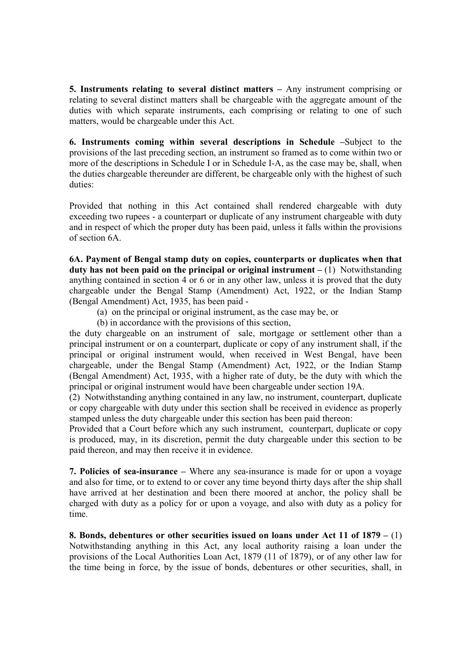5. Instruments relating to several distinct matters – Any instrument comprising or relating to several distinct matters shall be chargeable with the aggregate amount of the duties with which separate instruments, each comprising or relating to one of such matters, would be chargeable under this Act.

6. Instruments coming within several descriptions in Schedule –Subject to the provisions of the last preceding section, an instrument so framed as to come within two or more of the descriptions in Schedule I or in Schedule I-A, as the case may be, shall, when the duties chargeable thereunder are different, be chargeable only with the highest of such duties:

Provided that nothing in this Act contained shall rendered chargeable with duty exceeding two rupees - a counterpart or duplicate of any instrument chargeable with duty and in respect of which the proper duty has been paid, unless it falls within the provisions of section 6A.

6A. Payment of Bengal stamp duty on copies, counterparts or duplicates when that duty has not been paid on the principal or original instrument  $-(1)$  Notwithstanding anything contained in section 4 or 6 or in any other law, unless it is proved that the duty chargeable under the Bengal Stamp (Amendment) Act, 1922, or the Indian Stamp (Bengal Amendment) Act, 1935, has been paid -

- (a) on the principal or original instrument, as the case may be, or
- (b) in accordance with the provisions of this section,

the duty chargeable on an instrument of sale, mortgage or settlement other than a principal instrument or on a counterpart, duplicate or copy of any instrument shall, if the principal or original instrument would, when received in West Bengal, have been chargeable, under the Bengal Stamp (Amendment) Act, 1922, or the Indian Stamp (Bengal Amendment) Act, 1935, with a higher rate of duty, be the duty with which the principal or original instrument would have been chargeable under section 19A.

(2) Notwithstanding anything contained in any law, no instrument, counterpart, duplicate or copy chargeable with duty under this section shall be received in evidence as properly stamped unless the duty chargeable under this section has been paid thereon:

Provided that a Court before which any such instrument, counterpart, duplicate or copy is produced, may, in its discretion, permit the duty chargeable under this section to be paid thereon, and may then receive it in evidence.

7. Policies of sea-insurance – Where any sea-insurance is made for or upon a voyage and also for time, or to extend to or cover any time beyond thirty days after the ship shall have arrived at her destination and been there moored at anchor, the policy shall be charged with duty as a policy for or upon a voyage, and also with duty as a policy for time.

8. Bonds, debentures or other securities issued on loans under Act 11 of  $1879 - (1)$ Notwithstanding anything in this Act, any local authority raising a loan under the provisions of the Local Authorities Loan Act, 1879 (11 of 1879), or of any other law for the time being in force, by the issue of bonds, debentures or other securities, shall, in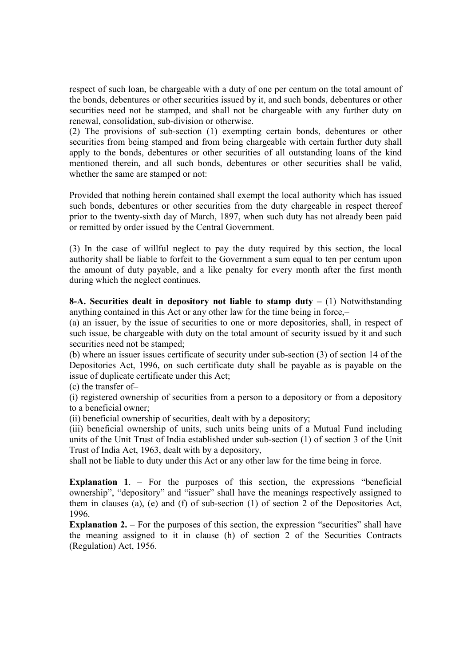respect of such loan, be chargeable with a duty of one per centum on the total amount of the bonds, debentures or other securities issued by it, and such bonds, debentures or other securities need not be stamped, and shall not be chargeable with any further duty on renewal, consolidation, sub-division or otherwise.

(2) The provisions of sub-section (1) exempting certain bonds, debentures or other securities from being stamped and from being chargeable with certain further duty shall apply to the bonds, debentures or other securities of all outstanding loans of the kind mentioned therein, and all such bonds, debentures or other securities shall be valid, whether the same are stamped or not:

Provided that nothing herein contained shall exempt the local authority which has issued such bonds, debentures or other securities from the duty chargeable in respect thereof prior to the twenty-sixth day of March, 1897, when such duty has not already been paid or remitted by order issued by the Central Government.

(3) In the case of willful neglect to pay the duty required by this section, the local authority shall be liable to forfeit to the Government a sum equal to ten per centum upon the amount of duty payable, and a like penalty for every month after the first month during which the neglect continues.

8-A. Securities dealt in depository not liable to stamp duty  $- (1)$  Notwithstanding anything contained in this Act or any other law for the time being in force,–

(a) an issuer, by the issue of securities to one or more depositories, shall, in respect of such issue, be chargeable with duty on the total amount of security issued by it and such securities need not be stamped:

(b) where an issuer issues certificate of security under sub-section (3) of section 14 of the Depositories Act, 1996, on such certificate duty shall be payable as is payable on the issue of duplicate certificate under this Act;

(c) the transfer of–

(i) registered ownership of securities from a person to a depository or from a depository to a beneficial owner;

(ii) beneficial ownership of securities, dealt with by a depository;

(iii) beneficial ownership of units, such units being units of a Mutual Fund including units of the Unit Trust of India established under sub-section (1) of section 3 of the Unit Trust of India Act, 1963, dealt with by a depository,

shall not be liable to duty under this Act or any other law for the time being in force.

Explanation 1. – For the purposes of this section, the expressions "beneficial ownership", "depository" and "issuer" shall have the meanings respectively assigned to them in clauses (a), (e) and (f) of sub-section (1) of section 2 of the Depositories Act, 1996.

Explanation 2. – For the purposes of this section, the expression "securities" shall have the meaning assigned to it in clause (h) of section 2 of the Securities Contracts (Regulation) Act, 1956.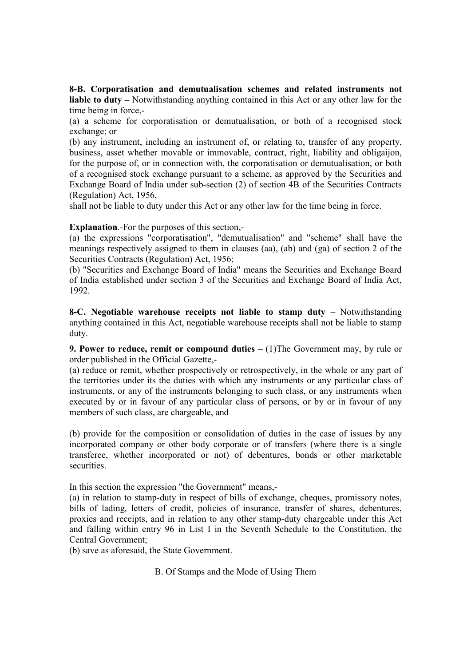8-B. Corporatisation and demutualisation schemes and related instruments not liable to duty – Notwithstanding anything contained in this Act or any other law for the time being in force,-

(a) a scheme for corporatisation or demutualisation, or both of a recognised stock exchange; or

(b) any instrument, including an instrument of, or relating to, transfer of any property, business, asset whether movable or immovable, contract, right, liability and obligaijon, for the purpose of, or in connection with, the corporatisation or demutualisation, or both of a recognised stock exchange pursuant to a scheme, as approved by the Securities and Exchange Board of India under sub-section (2) of section 4B of the Securities Contracts (Regulation) Act, 1956,

shall not be liable to duty under this Act or any other law for the time being in force.

Explanation.-For the purposes of this section,-

(a) the expressions "corporatisation", "demutualisation" and "scheme" shall have the meanings respectively assigned to them in clauses (aa), (ab) and (ga) of section 2 of the Securities Contracts (Regulation) Act, 1956;

(b) "Securities and Exchange Board of India" means the Securities and Exchange Board of India established under section 3 of the Securities and Exchange Board of India Act, 1992.

8-C. Negotiable warehouse receipts not liable to stamp duty – Notwithstanding anything contained in this Act, negotiable warehouse receipts shall not be liable to stamp duty.

**9. Power to reduce, remit or compound duties –** (1) The Government may, by rule or order published in the Official Gazette,-

(a) reduce or remit, whether prospectively or retrospectively, in the whole or any part of the territories under its the duties with which any instruments or any particular class of instruments, or any of the instruments belonging to such class, or any instruments when executed by or in favour of any particular class of persons, or by or in favour of any members of such class, are chargeable, and

(b) provide for the composition or consolidation of duties in the case of issues by any incorporated company or other body corporate or of transfers (where there is a single transferee, whether incorporated or not) of debentures, bonds or other marketable securities.

In this section the expression "the Government" means,-

(a) in relation to stamp-duty in respect of bills of exchange, cheques, promissory notes, bills of lading, letters of credit, policies of insurance, transfer of shares, debentures, proxies and receipts, and in relation to any other stamp-duty chargeable under this Act and falling within entry 96 in List I in the Seventh Schedule to the Constitution, the Central Government;

(b) save as aforesaid, the State Government.

B. Of Stamps and the Mode of Using Them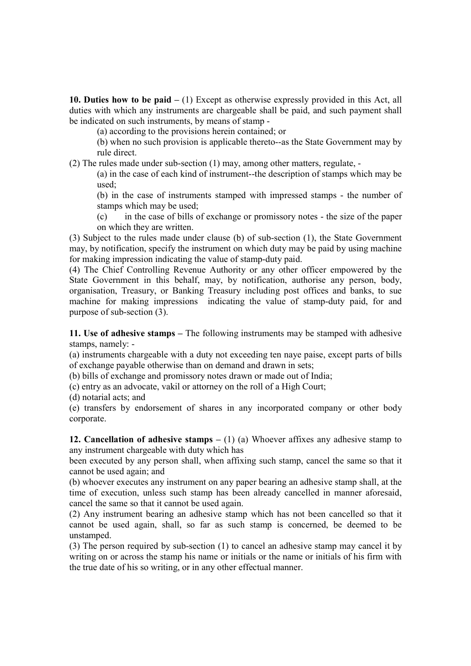10. Duties how to be paid  $- (1)$  Except as otherwise expressly provided in this Act, all duties with which any instruments are chargeable shall be paid, and such payment shall be indicated on such instruments, by means of stamp -

(a) according to the provisions herein contained; or

(b) when no such provision is applicable thereto--as the State Government may by rule direct.

(2) The rules made under sub-section (1) may, among other matters, regulate, -

(a) in the case of each kind of instrument--the description of stamps which may be used;

(b) in the case of instruments stamped with impressed stamps - the number of stamps which may be used;

(c) in the case of bills of exchange or promissory notes - the size of the paper on which they are written.

(3) Subject to the rules made under clause (b) of sub-section (1), the State Government may, by notification, specify the instrument on which duty may be paid by using machine for making impression indicating the value of stamp-duty paid.

(4) The Chief Controlling Revenue Authority or any other officer empowered by the State Government in this behalf, may, by notification, authorise any person, body, organisation, Treasury, or Banking Treasury including post offices and banks, to sue machine for making impressions indicating the value of stamp-duty paid, for and purpose of sub-section (3).

11. Use of adhesive stamps – The following instruments may be stamped with adhesive stamps, namely: -

(a) instruments chargeable with a duty not exceeding ten naye paise, except parts of bills of exchange payable otherwise than on demand and drawn in sets;

(b) bills of exchange and promissory notes drawn or made out of India;

(c) entry as an advocate, vakil or attorney on the roll of a High Court;

(d) notarial acts; and

(e) transfers by endorsement of shares in any incorporated company or other body corporate.

12. Cancellation of adhesive stamps  $- (1)$  (a) Whoever affixes any adhesive stamp to any instrument chargeable with duty which has

been executed by any person shall, when affixing such stamp, cancel the same so that it cannot be used again; and

(b) whoever executes any instrument on any paper bearing an adhesive stamp shall, at the time of execution, unless such stamp has been already cancelled in manner aforesaid, cancel the same so that it cannot be used again.

(2) Any instrument bearing an adhesive stamp which has not been cancelled so that it cannot be used again, shall, so far as such stamp is concerned, be deemed to be unstamped.

(3) The person required by sub-section (1) to cancel an adhesive stamp may cancel it by writing on or across the stamp his name or initials or the name or initials of his firm with the true date of his so writing, or in any other effectual manner.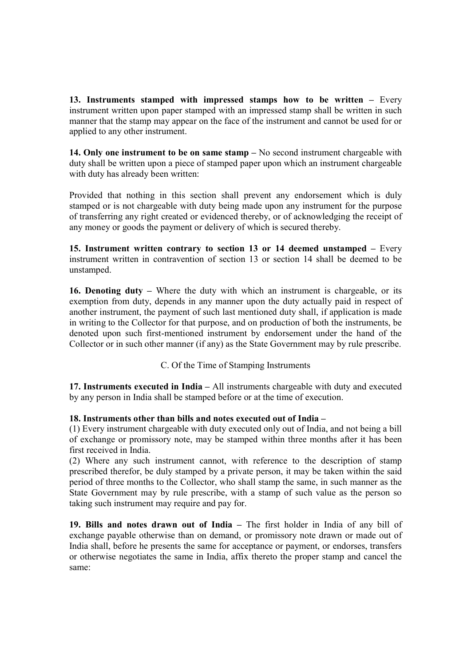13. Instruments stamped with impressed stamps how to be written – Every instrument written upon paper stamped with an impressed stamp shall be written in such manner that the stamp may appear on the face of the instrument and cannot be used for or applied to any other instrument.

14. Only one instrument to be on same stamp – No second instrument chargeable with duty shall be written upon a piece of stamped paper upon which an instrument chargeable with duty has already been written:

Provided that nothing in this section shall prevent any endorsement which is duly stamped or is not chargeable with duty being made upon any instrument for the purpose of transferring any right created or evidenced thereby, or of acknowledging the receipt of any money or goods the payment or delivery of which is secured thereby.

15. Instrument written contrary to section 13 or 14 deemed unstamped – Every instrument written in contravention of section 13 or section 14 shall be deemed to be unstamped.

16. Denoting duty – Where the duty with which an instrument is chargeable, or its exemption from duty, depends in any manner upon the duty actually paid in respect of another instrument, the payment of such last mentioned duty shall, if application is made in writing to the Collector for that purpose, and on production of both the instruments, be denoted upon such first-mentioned instrument by endorsement under the hand of the Collector or in such other manner (if any) as the State Government may by rule prescribe.

C. Of the Time of Stamping Instruments

17. Instruments executed in India – All instruments chargeable with duty and executed by any person in India shall be stamped before or at the time of execution.

## 18. Instruments other than bills and notes executed out of India –

(1) Every instrument chargeable with duty executed only out of India, and not being a bill of exchange or promissory note, may be stamped within three months after it has been first received in India.

(2) Where any such instrument cannot, with reference to the description of stamp prescribed therefor, be duly stamped by a private person, it may be taken within the said period of three months to the Collector, who shall stamp the same, in such manner as the State Government may by rule prescribe, with a stamp of such value as the person so taking such instrument may require and pay for.

19. Bills and notes drawn out of India – The first holder in India of any bill of exchange payable otherwise than on demand, or promissory note drawn or made out of India shall, before he presents the same for acceptance or payment, or endorses, transfers or otherwise negotiates the same in India, affix thereto the proper stamp and cancel the same: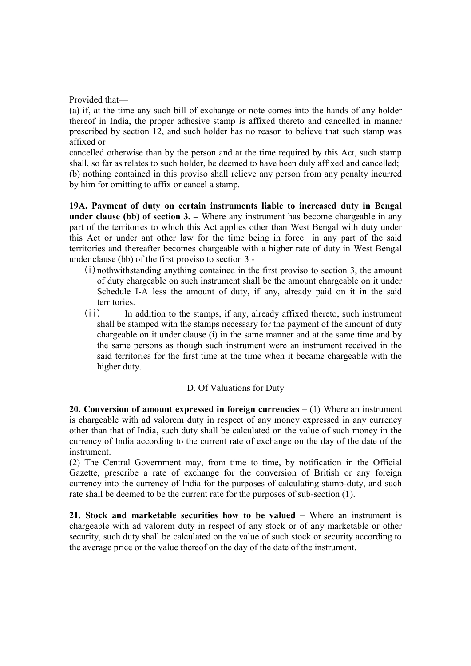Provided that—

(a) if, at the time any such bill of exchange or note comes into the hands of any holder thereof in India, the proper adhesive stamp is affixed thereto and cancelled in manner prescribed by section 12, and such holder has no reason to believe that such stamp was affixed or

cancelled otherwise than by the person and at the time required by this Act, such stamp shall, so far as relates to such holder, be deemed to have been duly affixed and cancelled; (b) nothing contained in this proviso shall relieve any person from any penalty incurred by him for omitting to affix or cancel a stamp.

19A. Payment of duty on certain instruments liable to increased duty in Bengal under clause (bb) of section 3. – Where any instrument has become chargeable in any part of the territories to which this Act applies other than West Bengal with duty under this Act or under ant other law for the time being in force in any part of the said territories and thereafter becomes chargeable with a higher rate of duty in West Bengal under clause (bb) of the first proviso to section 3 -

- $(i)$  nothwithstanding anything contained in the first proviso to section 3, the amount of duty chargeable on such instrument shall be the amount chargeable on it under Schedule I-A less the amount of duty, if any, already paid on it in the said territories.
- (ii) In addition to the stamps, if any, already affixed thereto, such instrument shall be stamped with the stamps necessary for the payment of the amount of duty chargeable on it under clause (i) in the same manner and at the same time and by the same persons as though such instrument were an instrument received in the said territories for the first time at the time when it became chargeable with the higher duty.

## D. Of Valuations for Duty

20. Conversion of amount expressed in foreign currencies  $- (1)$  Where an instrument is chargeable with ad valorem duty in respect of any money expressed in any currency other than that of India, such duty shall be calculated on the value of such money in the currency of India according to the current rate of exchange on the day of the date of the instrument.

(2) The Central Government may, from time to time, by notification in the Official Gazette, prescribe a rate of exchange for the conversion of British or any foreign currency into the currency of India for the purposes of calculating stamp-duty, and such rate shall be deemed to be the current rate for the purposes of sub-section (1).

21. Stock and marketable securities how to be valued – Where an instrument is chargeable with ad valorem duty in respect of any stock or of any marketable or other security, such duty shall be calculated on the value of such stock or security according to the average price or the value thereof on the day of the date of the instrument.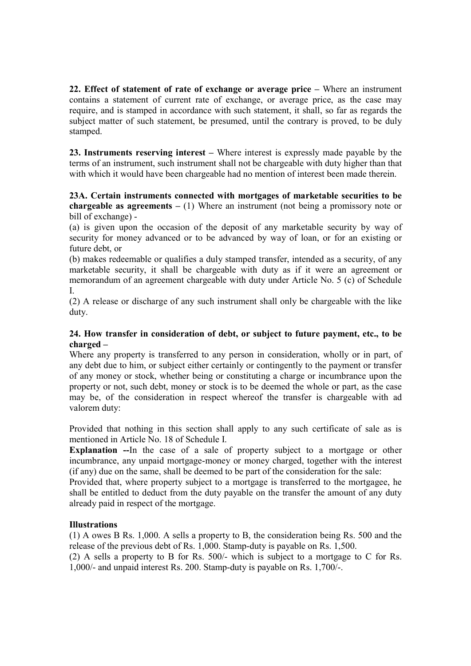22. Effect of statement of rate of exchange or average price – Where an instrument contains a statement of current rate of exchange, or average price, as the case may require, and is stamped in accordance with such statement, it shall, so far as regards the subject matter of such statement, be presumed, until the contrary is proved, to be duly stamped.

23. Instruments reserving interest – Where interest is expressly made payable by the terms of an instrument, such instrument shall not be chargeable with duty higher than that with which it would have been chargeable had no mention of interest been made therein.

### 23A. Certain instruments connected with mortgages of marketable securities to be **chargeable as agreements** – (1) Where an instrument (not being a promissory note or bill of exchange) -

(a) is given upon the occasion of the deposit of any marketable security by way of security for money advanced or to be advanced by way of loan, or for an existing or future debt, or

(b) makes redeemable or qualifies a duly stamped transfer, intended as a security, of any marketable security, it shall be chargeable with duty as if it were an agreement or memorandum of an agreement chargeable with duty under Article No. 5 (c) of Schedule I.

(2) A release or discharge of any such instrument shall only be chargeable with the like duty.

## 24. How transfer in consideration of debt, or subject to future payment, etc., to be charged –

Where any property is transferred to any person in consideration, wholly or in part, of any debt due to him, or subject either certainly or contingently to the payment or transfer of any money or stock, whether being or constituting a charge or incumbrance upon the property or not, such debt, money or stock is to be deemed the whole or part, as the case may be, of the consideration in respect whereof the transfer is chargeable with ad valorem duty:

Provided that nothing in this section shall apply to any such certificate of sale as is mentioned in Article No. 18 of Schedule I.

Explanation --In the case of a sale of property subject to a mortgage or other incumbrance, any unpaid mortgage-money or money charged, together with the interest (if any) due on the same, shall be deemed to be part of the consideration for the sale:

Provided that, where property subject to a mortgage is transferred to the mortgagee, he shall be entitled to deduct from the duty payable on the transfer the amount of any duty already paid in respect of the mortgage.

# **Illustrations**

(1) A owes B Rs. 1,000. A sells a property to B, the consideration being Rs. 500 and the release of the previous debt of Rs. 1,000. Stamp-duty is payable on Rs. 1,500.

(2) A sells a property to B for Rs. 500/- which is subject to a mortgage to C for Rs. 1,000/- and unpaid interest Rs. 200. Stamp-duty is payable on Rs. 1,700/-.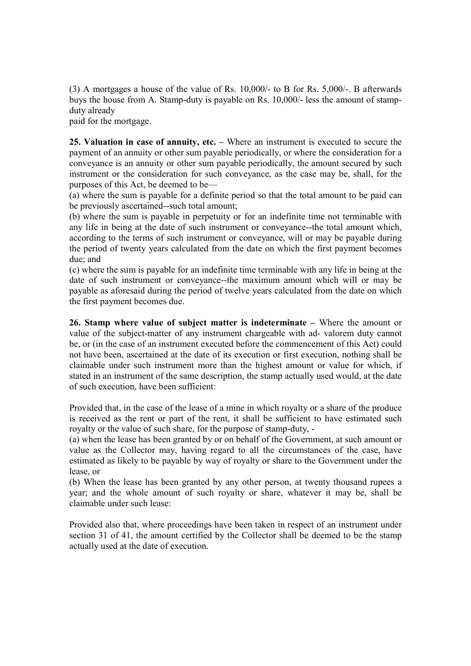(3) A mortgages a house of the value of Rs. 10,000/- to B for Rs. 5,000/-. B afterwards buys the house from A. Stamp-duty is payable on Rs. 10,000/- less the amount of stampduty already

paid for the mortgage.

25. Valuation in case of annuity, etc. – Where an instrument is executed to secure the payment of an annuity or other sum payable periodically, or where the consideration for a conveyance is an annuity or other sum payable periodically, the amount secured by such instrument or the consideration for such conveyance, as the case may be, shall, for the purposes of this Act, be deemed to be—

(a) where the sum is payable for a definite period so that the total amount to be paid can be previously ascertained--such total amount;

(b) where the sum is payable in perpetuity or for an indefinite time not terminable with any life in being at the date of such instrument or conveyance--the total amount which, according to the terms of such instrument or conveyance, will or may be payable during the period of twenty years calculated from the date on which the first payment becomes due; and

(c) where the sum is payable for an indefinite time terminable with any life in being at the date of such instrument or conveyance--the maximum amount which will or may be payable as aforesaid during the period of twelve years calculated from the date on which the first payment becomes due.

26. Stamp where value of subject matter is indeterminate – Where the amount or value of the subject-matter of any instrument chargeable with ad- valorem duty cannot be, or (in the case of an instrument executed before the commencement of this Act) could not have been, ascertained at the date of its execution or first execution, nothing shall be claimable under such instrument more than the highest amount or value for which, if stated in an instrument of the same description, the stamp actually used would, at the date of such execution, have been sufficient:

Provided that, in the case of the lease of a mine in which royalty or a share of the produce is received as the rent or part of the rent, it shall be sufficient to have estimated such royalty or the value of such share, for the purpose of stamp-duty, -

(a) when the lease has been granted by or on behalf of the Government, at such amount or value as the Collector may, having regard to all the circumstances of the case, have estimated as likely to be payable by way of royalty or share to the Government under the lease, or

(b) When the lease has been granted by any other person, at twenty thousand rupees a year; and the whole amount of such royalty or share, whatever it may be, shall be claimable under such lease:

Provided also that, where proceedings have been taken in respect of an instrument under section 31 of 41, the amount certified by the Collector shall be deemed to be the stamp actually used at the date of execution.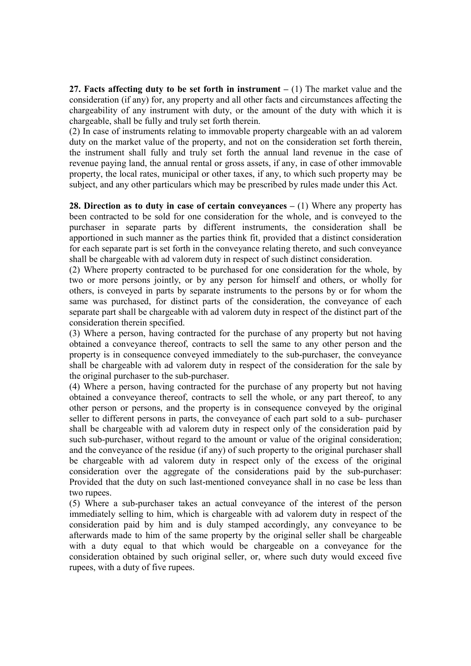27. Facts affecting duty to be set forth in instrument  $- (1)$  The market value and the consideration (if any) for, any property and all other facts and circumstances affecting the chargeability of any instrument with duty, or the amount of the duty with which it is chargeable, shall be fully and truly set forth therein.

(2) In case of instruments relating to immovable property chargeable with an ad valorem duty on the market value of the property, and not on the consideration set forth therein, the instrument shall fully and truly set forth the annual land revenue in the case of revenue paying land, the annual rental or gross assets, if any, in case of other immovable property, the local rates, municipal or other taxes, if any, to which such property may be subject, and any other particulars which may be prescribed by rules made under this Act.

28. Direction as to duty in case of certain convevances  $- (1)$  Where any property has been contracted to be sold for one consideration for the whole, and is conveyed to the purchaser in separate parts by different instruments, the consideration shall be apportioned in such manner as the parties think fit, provided that a distinct consideration for each separate part is set forth in the conveyance relating thereto, and such conveyance shall be chargeable with ad valorem duty in respect of such distinct consideration.

(2) Where property contracted to be purchased for one consideration for the whole, by two or more persons jointly, or by any person for himself and others, or wholly for others, is conveyed in parts by separate instruments to the persons by or for whom the same was purchased, for distinct parts of the consideration, the conveyance of each separate part shall be chargeable with ad valorem duty in respect of the distinct part of the consideration therein specified.

(3) Where a person, having contracted for the purchase of any property but not having obtained a conveyance thereof, contracts to sell the same to any other person and the property is in consequence conveyed immediately to the sub-purchaser, the conveyance shall be chargeable with ad valorem duty in respect of the consideration for the sale by the original purchaser to the sub-purchaser.

(4) Where a person, having contracted for the purchase of any property but not having obtained a conveyance thereof, contracts to sell the whole, or any part thereof, to any other person or persons, and the property is in consequence conveyed by the original seller to different persons in parts, the conveyance of each part sold to a sub- purchaser shall be chargeable with ad valorem duty in respect only of the consideration paid by such sub-purchaser, without regard to the amount or value of the original consideration; and the conveyance of the residue (if any) of such property to the original purchaser shall be chargeable with ad valorem duty in respect only of the excess of the original consideration over the aggregate of the considerations paid by the sub-purchaser: Provided that the duty on such last-mentioned conveyance shall in no case be less than two rupees.

(5) Where a sub-purchaser takes an actual conveyance of the interest of the person immediately selling to him, which is chargeable with ad valorem duty in respect of the consideration paid by him and is duly stamped accordingly, any conveyance to be afterwards made to him of the same property by the original seller shall be chargeable with a duty equal to that which would be chargeable on a conveyance for the consideration obtained by such original seller, or, where such duty would exceed five rupees, with a duty of five rupees.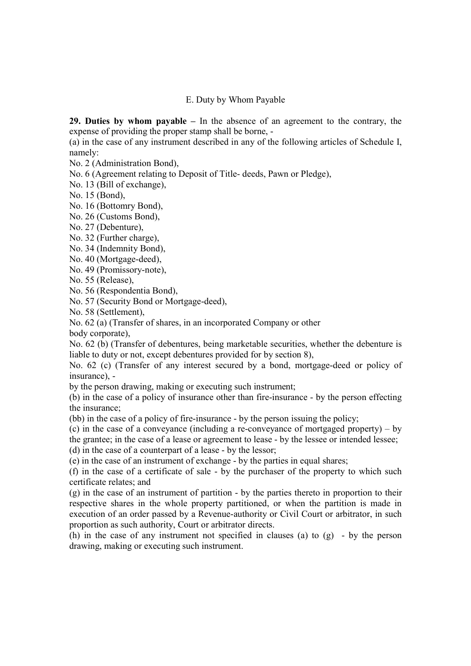#### E. Duty by Whom Payable

29. Duties by whom payable – In the absence of an agreement to the contrary, the expense of providing the proper stamp shall be borne, -

(a) in the case of any instrument described in any of the following articles of Schedule I, namely:

No. 2 (Administration Bond),

No. 6 (Agreement relating to Deposit of Title- deeds, Pawn or Pledge),

No. 13 (Bill of exchange),

No. 15 (Bond),

No. 16 (Bottomry Bond),

No. 26 (Customs Bond),

No. 27 (Debenture),

No. 32 (Further charge),

No. 34 (Indemnity Bond),

No. 40 (Mortgage-deed),

No. 49 (Promissory-note),

No. 55 (Release),

No. 56 (Respondentia Bond),

No. 57 (Security Bond or Mortgage-deed),

No. 58 (Settlement),

No. 62 (a) (Transfer of shares, in an incorporated Company or other

body corporate),

No. 62 (b) (Transfer of debentures, being marketable securities, whether the debenture is liable to duty or not, except debentures provided for by section 8),

No. 62 (c) (Transfer of any interest secured by a bond, mortgage-deed or policy of insurance), -

by the person drawing, making or executing such instrument;

(b) in the case of a policy of insurance other than fire-insurance - by the person effecting the insurance;

(bb) in the case of a policy of fire-insurance - by the person issuing the policy;

(c) in the case of a conveyance (including a re-conveyance of mortgaged property) – by

the grantee; in the case of a lease or agreement to lease - by the lessee or intended lessee;

(d) in the case of a counterpart of a lease - by the lessor;

(e) in the case of an instrument of exchange - by the parties in equal shares;

(f) in the case of a certificate of sale - by the purchaser of the property to which such certificate relates; and

(g) in the case of an instrument of partition - by the parties thereto in proportion to their respective shares in the whole property partitioned, or when the partition is made in execution of an order passed by a Revenue-authority or Civil Court or arbitrator, in such proportion as such authority, Court or arbitrator directs.

(h) in the case of any instrument not specified in clauses (a) to  $(g)$  - by the person drawing, making or executing such instrument.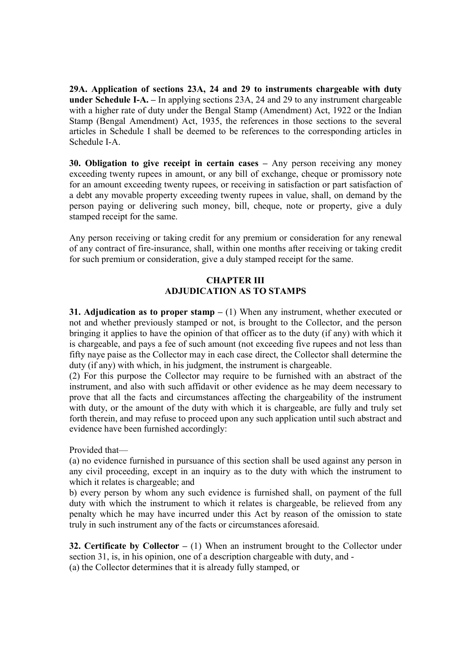29A. Application of sections 23A, 24 and 29 to instruments chargeable with duty under Schedule I-A. – In applying sections 23A, 24 and 29 to any instrument chargeable with a higher rate of duty under the Bengal Stamp (Amendment) Act, 1922 or the Indian Stamp (Bengal Amendment) Act, 1935, the references in those sections to the several articles in Schedule I shall be deemed to be references to the corresponding articles in Schedule I-A.

30. Obligation to give receipt in certain cases – Any person receiving any money exceeding twenty rupees in amount, or any bill of exchange, cheque or promissory note for an amount exceeding twenty rupees, or receiving in satisfaction or part satisfaction of a debt any movable property exceeding twenty rupees in value, shall, on demand by the person paying or delivering such money, bill, cheque, note or property, give a duly stamped receipt for the same.

Any person receiving or taking credit for any premium or consideration for any renewal of any contract of fire-insurance, shall, within one months after receiving or taking credit for such premium or consideration, give a duly stamped receipt for the same.

## CHAPTER III ADJUDICATION AS TO STAMPS

31. Adjudication as to proper stamp  $- (1)$  When any instrument, whether executed or not and whether previously stamped or not, is brought to the Collector, and the person bringing it applies to have the opinion of that officer as to the duty (if any) with which it is chargeable, and pays a fee of such amount (not exceeding five rupees and not less than fifty naye paise as the Collector may in each case direct, the Collector shall determine the duty (if any) with which, in his judgment, the instrument is chargeable.

(2) For this purpose the Collector may require to be furnished with an abstract of the instrument, and also with such affidavit or other evidence as he may deem necessary to prove that all the facts and circumstances affecting the chargeability of the instrument with duty, or the amount of the duty with which it is chargeable, are fully and truly set forth therein, and may refuse to proceed upon any such application until such abstract and evidence have been furnished accordingly:

Provided that—

(a) no evidence furnished in pursuance of this section shall be used against any person in any civil proceeding, except in an inquiry as to the duty with which the instrument to which it relates is chargeable; and

b) every person by whom any such evidence is furnished shall, on payment of the full duty with which the instrument to which it relates is chargeable, be relieved from any penalty which he may have incurred under this Act by reason of the omission to state truly in such instrument any of the facts or circumstances aforesaid.

**32. Certificate by Collector –** (1) When an instrument brought to the Collector under section 31, is, in his opinion, one of a description chargeable with duty, and - (a) the Collector determines that it is already fully stamped, or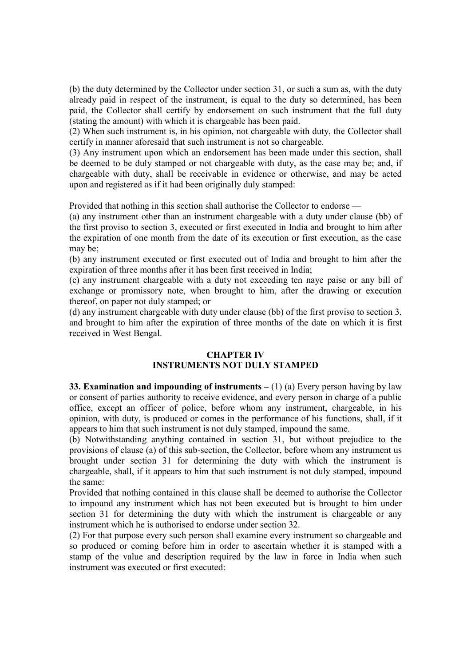(b) the duty determined by the Collector under section 31, or such a sum as, with the duty already paid in respect of the instrument, is equal to the duty so determined, has been paid, the Collector shall certify by endorsement on such instrument that the full duty (stating the amount) with which it is chargeable has been paid.

(2) When such instrument is, in his opinion, not chargeable with duty, the Collector shall certify in manner aforesaid that such instrument is not so chargeable.

(3) Any instrument upon which an endorsement has been made under this section, shall be deemed to be duly stamped or not chargeable with duty, as the case may be; and, if chargeable with duty, shall be receivable in evidence or otherwise, and may be acted upon and registered as if it had been originally duly stamped:

Provided that nothing in this section shall authorise the Collector to endorse —

(a) any instrument other than an instrument chargeable with a duty under clause (bb) of the first proviso to section 3, executed or first executed in India and brought to him after the expiration of one month from the date of its execution or first execution, as the case may be;

(b) any instrument executed or first executed out of India and brought to him after the expiration of three months after it has been first received in India;

(c) any instrument chargeable with a duty not exceeding ten naye paise or any bill of exchange or promissory note, when brought to him, after the drawing or execution thereof, on paper not duly stamped; or

(d) any instrument chargeable with duty under clause (bb) of the first proviso to section 3, and brought to him after the expiration of three months of the date on which it is first received in West Bengal.

#### CHAPTER IV INSTRUMENTS NOT DULY STAMPED

33. Examination and impounding of instruments  $- (1)$  (a) Every person having by law or consent of parties authority to receive evidence, and every person in charge of a public office, except an officer of police, before whom any instrument, chargeable, in his opinion, with duty, is produced or comes in the performance of his functions, shall, if it appears to him that such instrument is not duly stamped, impound the same.

(b) Notwithstanding anything contained in section 31, but without prejudice to the provisions of clause (a) of this sub-section, the Collector, before whom any instrument us brought under section 31 for determining the duty with which the instrument is chargeable, shall, if it appears to him that such instrument is not duly stamped, impound the same:

Provided that nothing contained in this clause shall be deemed to authorise the Collector to impound any instrument which has not been executed but is brought to him under section 31 for determining the duty with which the instrument is chargeable or any instrument which he is authorised to endorse under section 32.

(2) For that purpose every such person shall examine every instrument so chargeable and so produced or coming before him in order to ascertain whether it is stamped with a stamp of the value and description required by the law in force in India when such instrument was executed or first executed: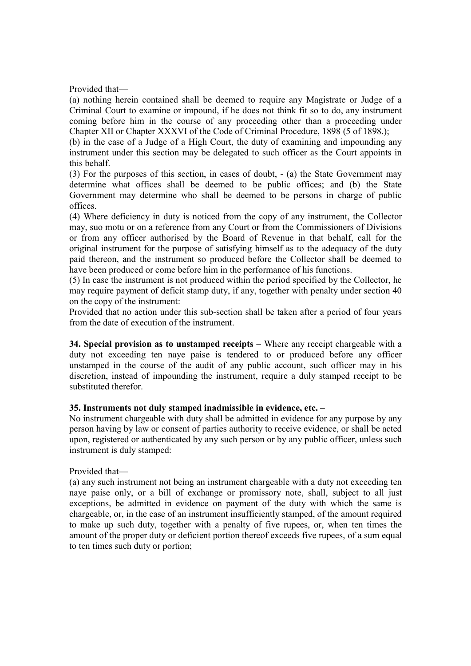Provided that—

(a) nothing herein contained shall be deemed to require any Magistrate or Judge of a Criminal Court to examine or impound, if he does not think fit so to do, any instrument coming before him in the course of any proceeding other than a proceeding under Chapter XII or Chapter XXXVI of the Code of Criminal Procedure, 1898 (5 of 1898.);

(b) in the case of a Judge of a High Court, the duty of examining and impounding any instrument under this section may be delegated to such officer as the Court appoints in this behalf.

(3) For the purposes of this section, in cases of doubt, - (a) the State Government may determine what offices shall be deemed to be public offices; and (b) the State Government may determine who shall be deemed to be persons in charge of public offices.

(4) Where deficiency in duty is noticed from the copy of any instrument, the Collector may, suo motu or on a reference from any Court or from the Commissioners of Divisions or from any officer authorised by the Board of Revenue in that behalf, call for the original instrument for the purpose of satisfying himself as to the adequacy of the duty paid thereon, and the instrument so produced before the Collector shall be deemed to have been produced or come before him in the performance of his functions.

(5) In case the instrument is not produced within the period specified by the Collector, he may require payment of deficit stamp duty, if any, together with penalty under section 40 on the copy of the instrument:

Provided that no action under this sub-section shall be taken after a period of four years from the date of execution of the instrument.

34. Special provision as to unstamped receipts – Where any receipt chargeable with a duty not exceeding ten naye paise is tendered to or produced before any officer unstamped in the course of the audit of any public account, such officer may in his discretion, instead of impounding the instrument, require a duly stamped receipt to be substituted therefor.

## 35. Instruments not duly stamped inadmissible in evidence, etc. –

No instrument chargeable with duty shall be admitted in evidence for any purpose by any person having by law or consent of parties authority to receive evidence, or shall be acted upon, registered or authenticated by any such person or by any public officer, unless such instrument is duly stamped:

## Provided that—

(a) any such instrument not being an instrument chargeable with a duty not exceeding ten naye paise only, or a bill of exchange or promissory note, shall, subject to all just exceptions, be admitted in evidence on payment of the duty with which the same is chargeable, or, in the case of an instrument insufficiently stamped, of the amount required to make up such duty, together with a penalty of five rupees, or, when ten times the amount of the proper duty or deficient portion thereof exceeds five rupees, of a sum equal to ten times such duty or portion;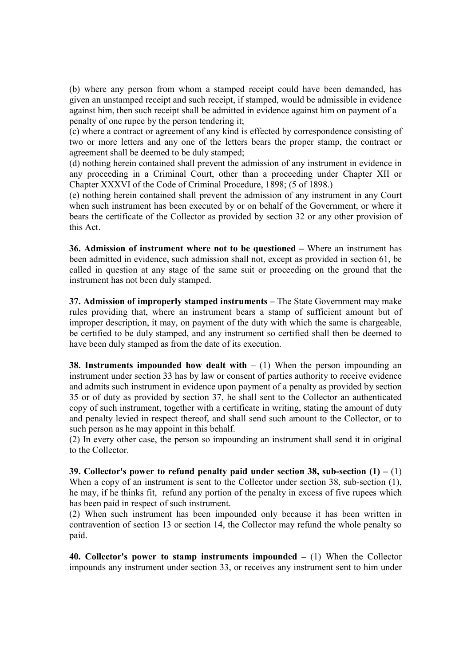(b) where any person from whom a stamped receipt could have been demanded, has given an unstamped receipt and such receipt, if stamped, would be admissible in evidence against him, then such receipt shall be admitted in evidence against him on payment of a penalty of one rupee by the person tendering it;

(c) where a contract or agreement of any kind is effected by correspondence consisting of two or more letters and any one of the letters bears the proper stamp, the contract or agreement shall be deemed to be duly stamped;

(d) nothing herein contained shall prevent the admission of any instrument in evidence in any proceeding in a Criminal Court, other than a proceeding under Chapter XII or Chapter XXXVI of the Code of Criminal Procedure, 1898; (5 of 1898.)

(e) nothing herein contained shall prevent the admission of any instrument in any Court when such instrument has been executed by or on behalf of the Government, or where it bears the certificate of the Collector as provided by section 32 or any other provision of this Act.

36. Admission of instrument where not to be questioned – Where an instrument has been admitted in evidence, such admission shall not, except as provided in section 61, be called in question at any stage of the same suit or proceeding on the ground that the instrument has not been duly stamped.

37. Admission of improperly stamped instruments – The State Government may make rules providing that, where an instrument bears a stamp of sufficient amount but of improper description, it may, on payment of the duty with which the same is chargeable, be certified to be duly stamped, and any instrument so certified shall then be deemed to have been duly stamped as from the date of its execution.

**38. Instruments impounded how dealt with**  $- (1)$  When the person impounding an instrument under section 33 has by law or consent of parties authority to receive evidence and admits such instrument in evidence upon payment of a penalty as provided by section 35 or of duty as provided by section 37, he shall sent to the Collector an authenticated copy of such instrument, together with a certificate in writing, stating the amount of duty and penalty levied in respect thereof, and shall send such amount to the Collector, or to such person as he may appoint in this behalf.

(2) In every other case, the person so impounding an instrument shall send it in original to the Collector.

39. Collector's power to refund penalty paid under section 38, sub-section  $(1) - (1)$ When a copy of an instrument is sent to the Collector under section 38, sub-section (1), he may, if he thinks fit, refund any portion of the penalty in excess of five rupees which has been paid in respect of such instrument.

(2) When such instrument has been impounded only because it has been written in contravention of section 13 or section 14, the Collector may refund the whole penalty so paid.

40. Collector's power to stamp instruments impounded  $-$  (1) When the Collector impounds any instrument under section 33, or receives any instrument sent to him under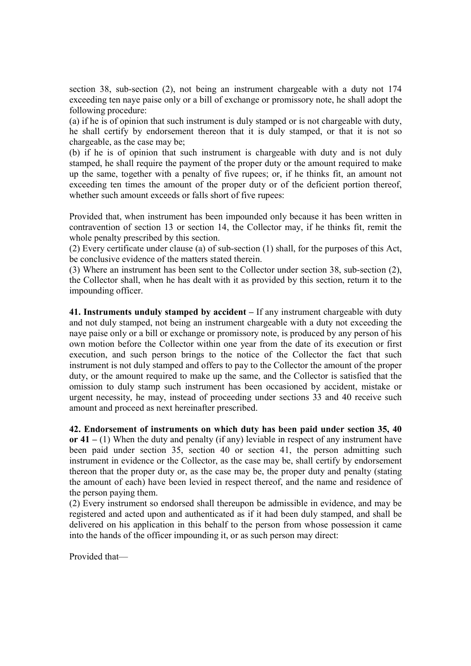section 38, sub-section (2), not being an instrument chargeable with a duty not 174 exceeding ten naye paise only or a bill of exchange or promissory note, he shall adopt the following procedure:

(a) if he is of opinion that such instrument is duly stamped or is not chargeable with duty, he shall certify by endorsement thereon that it is duly stamped, or that it is not so chargeable, as the case may be;

(b) if he is of opinion that such instrument is chargeable with duty and is not duly stamped, he shall require the payment of the proper duty or the amount required to make up the same, together with a penalty of five rupees; or, if he thinks fit, an amount not exceeding ten times the amount of the proper duty or of the deficient portion thereof, whether such amount exceeds or falls short of five rupees:

Provided that, when instrument has been impounded only because it has been written in contravention of section 13 or section 14, the Collector may, if he thinks fit, remit the whole penalty prescribed by this section.

(2) Every certificate under clause (a) of sub-section (1) shall, for the purposes of this Act, be conclusive evidence of the matters stated therein.

(3) Where an instrument has been sent to the Collector under section 38, sub-section (2), the Collector shall, when he has dealt with it as provided by this section, return it to the impounding officer.

41. Instruments unduly stamped by accident – If any instrument chargeable with duty and not duly stamped, not being an instrument chargeable with a duty not exceeding the naye paise only or a bill or exchange or promissory note, is produced by any person of his own motion before the Collector within one year from the date of its execution or first execution, and such person brings to the notice of the Collector the fact that such instrument is not duly stamped and offers to pay to the Collector the amount of the proper duty, or the amount required to make up the same, and the Collector is satisfied that the omission to duly stamp such instrument has been occasioned by accident, mistake or urgent necessity, he may, instead of proceeding under sections 33 and 40 receive such amount and proceed as next hereinafter prescribed.

42. Endorsement of instruments on which duty has been paid under section 35, 40 or  $41 - (1)$  When the duty and penalty (if any) leviable in respect of any instrument have been paid under section 35, section 40 or section 41, the person admitting such instrument in evidence or the Collector, as the case may be, shall certify by endorsement thereon that the proper duty or, as the case may be, the proper duty and penalty (stating the amount of each) have been levied in respect thereof, and the name and residence of the person paying them.

(2) Every instrument so endorsed shall thereupon be admissible in evidence, and may be registered and acted upon and authenticated as if it had been duly stamped, and shall be delivered on his application in this behalf to the person from whose possession it came into the hands of the officer impounding it, or as such person may direct:

Provided that—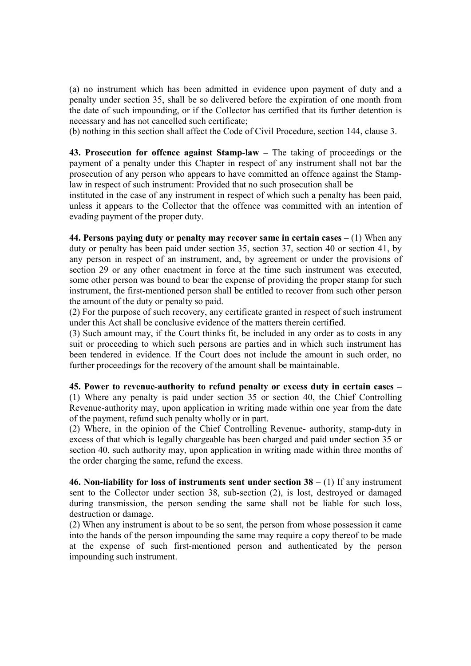(a) no instrument which has been admitted in evidence upon payment of duty and a penalty under section 35, shall be so delivered before the expiration of one month from the date of such impounding, or if the Collector has certified that its further detention is necessary and has not cancelled such certificate;

(b) nothing in this section shall affect the Code of Civil Procedure, section 144, clause 3.

43. Prosecution for offence against Stamp-law – The taking of proceedings or the payment of a penalty under this Chapter in respect of any instrument shall not bar the prosecution of any person who appears to have committed an offence against the Stamplaw in respect of such instrument: Provided that no such prosecution shall be

instituted in the case of any instrument in respect of which such a penalty has been paid, unless it appears to the Collector that the offence was committed with an intention of evading payment of the proper duty.

44. Persons paying duty or penalty may recover same in certain cases  $- (1)$  When any duty or penalty has been paid under section 35, section 37, section 40 or section 41, by any person in respect of an instrument, and, by agreement or under the provisions of section 29 or any other enactment in force at the time such instrument was executed, some other person was bound to bear the expense of providing the proper stamp for such instrument, the first-mentioned person shall be entitled to recover from such other person the amount of the duty or penalty so paid.

(2) For the purpose of such recovery, any certificate granted in respect of such instrument under this Act shall be conclusive evidence of the matters therein certified.

(3) Such amount may, if the Court thinks fit, be included in any order as to costs in any suit or proceeding to which such persons are parties and in which such instrument has been tendered in evidence. If the Court does not include the amount in such order, no further proceedings for the recovery of the amount shall be maintainable.

45. Power to revenue-authority to refund penalty or excess duty in certain cases – (1) Where any penalty is paid under section 35 or section 40, the Chief Controlling Revenue-authority may, upon application in writing made within one year from the date of the payment, refund such penalty wholly or in part.

(2) Where, in the opinion of the Chief Controlling Revenue- authority, stamp-duty in excess of that which is legally chargeable has been charged and paid under section 35 or section 40, such authority may, upon application in writing made within three months of the order charging the same, refund the excess.

46. Non-liability for loss of instruments sent under section  $38 - (1)$  If any instrument sent to the Collector under section 38, sub-section (2), is lost, destroyed or damaged during transmission, the person sending the same shall not be liable for such loss, destruction or damage.

(2) When any instrument is about to be so sent, the person from whose possession it came into the hands of the person impounding the same may require a copy thereof to be made at the expense of such first-mentioned person and authenticated by the person impounding such instrument.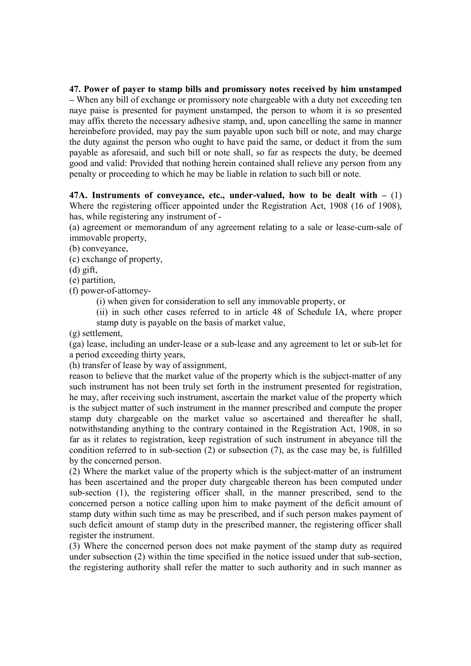47. Power of payer to stamp bills and promissory notes received by him unstamped – When any bill of exchange or promissory note chargeable with a duty not exceeding ten naye paise is presented for payment unstamped, the person to whom it is so presented may affix thereto the necessary adhesive stamp, and, upon cancelling the same in manner hereinbefore provided, may pay the sum payable upon such bill or note, and may charge the duty against the person who ought to have paid the same, or deduct it from the sum payable as aforesaid, and such bill or note shall, so far as respects the duty, be deemed good and valid: Provided that nothing herein contained shall relieve any person from any penalty or proceeding to which he may be liable in relation to such bill or note.

47A. Instruments of convevance, etc., under-valued, how to be dealt with  $- (1)$ Where the registering officer appointed under the Registration Act, 1908 (16 of 1908), has, while registering any instrument of -

(a) agreement or memorandum of any agreement relating to a sale or lease-cum-sale of immovable property,

(b) conveyance,

(c) exchange of property,

(d) gift,

(e) partition,

(f) power-of-attorney-

(i) when given for consideration to sell any immovable property, or

(ii) in such other cases referred to in article 48 of Schedule IA, where proper stamp duty is payable on the basis of market value,

(g) settlement,

(ga) lease, including an under-lease or a sub-lease and any agreement to let or sub-let for a period exceeding thirty years,

(h) transfer of lease by way of assignment,

reason to believe that the market value of the property which is the subject-matter of any such instrument has not been truly set forth in the instrument presented for registration, he may, after receiving such instrument, ascertain the market value of the property which is the subject matter of such instrument in the manner prescribed and compute the proper stamp duty chargeable on the market value so ascertained and thereafter he shall, notwithstanding anything to the contrary contained in the Registration Act, 1908, in so far as it relates to registration, keep registration of such instrument in abeyance till the condition referred to in sub-section (2) or subsection (7), as the case may be, is fulfilled by the concerned person.

(2) Where the market value of the property which is the subject-matter of an instrument has been ascertained and the proper duty chargeable thereon has been computed under sub-section (1), the registering officer shall, in the manner prescribed, send to the concerned person a notice calling upon him to make payment of the deficit amount of stamp duty within such time as may be prescribed, and if such person makes payment of such deficit amount of stamp duty in the prescribed manner, the registering officer shall register the instrument.

(3) Where the concerned person does not make payment of the stamp duty as required under subsection (2) within the time specified in the notice issued under that sub-section, the registering authority shall refer the matter to such authority and in such manner as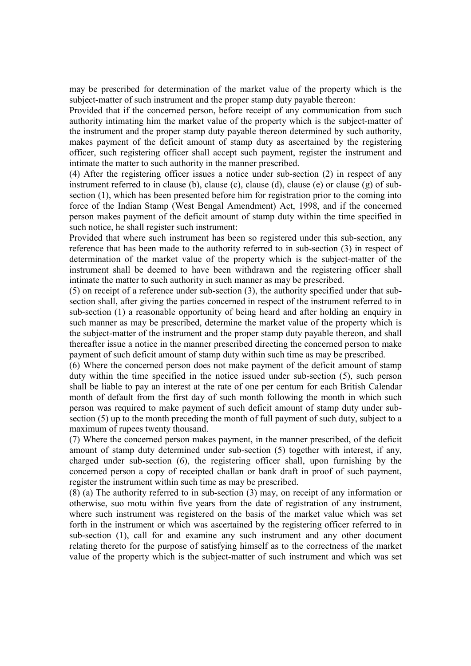may be prescribed for determination of the market value of the property which is the subject-matter of such instrument and the proper stamp duty payable thereon:

Provided that if the concerned person, before receipt of any communication from such authority intimating him the market value of the property which is the subject-matter of the instrument and the proper stamp duty payable thereon determined by such authority, makes payment of the deficit amount of stamp duty as ascertained by the registering officer, such registering officer shall accept such payment, register the instrument and intimate the matter to such authority in the manner prescribed.

(4) After the registering officer issues a notice under sub-section (2) in respect of any instrument referred to in clause (b), clause (c), clause (d), clause (e) or clause (g) of subsection (1), which has been presented before him for registration prior to the coming into force of the Indian Stamp (West Bengal Amendment) Act, 1998, and if the concerned person makes payment of the deficit amount of stamp duty within the time specified in such notice, he shall register such instrument:

Provided that where such instrument has been so registered under this sub-section, any reference that has been made to the authority referred to in sub-section (3) in respect of determination of the market value of the property which is the subject-matter of the instrument shall be deemed to have been withdrawn and the registering officer shall intimate the matter to such authority in such manner as may be prescribed.

(5) on receipt of a reference under sub-section (3), the authority specified under that subsection shall, after giving the parties concerned in respect of the instrument referred to in sub-section (1) a reasonable opportunity of being heard and after holding an enquiry in such manner as may be prescribed, determine the market value of the property which is the subject-matter of the instrument and the proper stamp duty payable thereon, and shall thereafter issue a notice in the manner prescribed directing the concerned person to make payment of such deficit amount of stamp duty within such time as may be prescribed.

(6) Where the concerned person does not make payment of the deficit amount of stamp duty within the time specified in the notice issued under sub-section (5), such person shall be liable to pay an interest at the rate of one per centum for each British Calendar month of default from the first day of such month following the month in which such person was required to make payment of such deficit amount of stamp duty under subsection (5) up to the month preceding the month of full payment of such duty, subject to a maximum of rupees twenty thousand.

(7) Where the concerned person makes payment, in the manner prescribed, of the deficit amount of stamp duty determined under sub-section (5) together with interest, if any, charged under sub-section (6), the registering officer shall, upon furnishing by the concerned person a copy of receipted challan or bank draft in proof of such payment, register the instrument within such time as may be prescribed.

(8) (a) The authority referred to in sub-section (3) may, on receipt of any information or otherwise, suo motu within five years from the date of registration of any instrument, where such instrument was registered on the basis of the market value which was set forth in the instrument or which was ascertained by the registering officer referred to in sub-section (1), call for and examine any such instrument and any other document relating thereto for the purpose of satisfying himself as to the correctness of the market value of the property which is the subject-matter of such instrument and which was set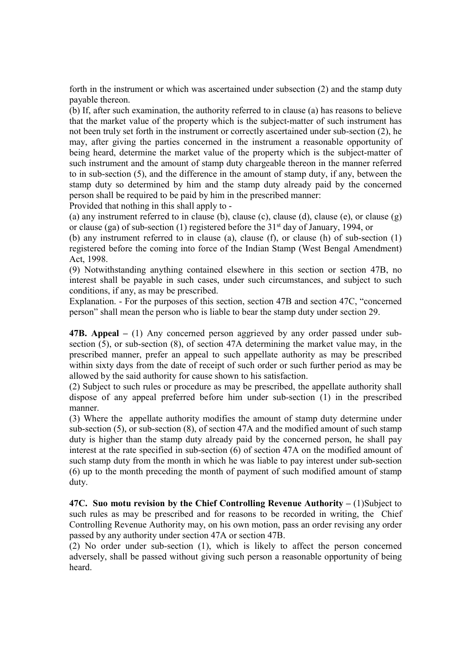forth in the instrument or which was ascertained under subsection (2) and the stamp duty payable thereon.

(b) If, after such examination, the authority referred to in clause (a) has reasons to believe that the market value of the property which is the subject-matter of such instrument has not been truly set forth in the instrument or correctly ascertained under sub-section (2), he may, after giving the parties concerned in the instrument a reasonable opportunity of being heard, determine the market value of the property which is the subject-matter of such instrument and the amount of stamp duty chargeable thereon in the manner referred to in sub-section (5), and the difference in the amount of stamp duty, if any, between the stamp duty so determined by him and the stamp duty already paid by the concerned person shall be required to be paid by him in the prescribed manner:

Provided that nothing in this shall apply to -

(a) any instrument referred to in clause (b), clause (c), clause (d), clause (e), or clause  $(g)$ or clause (ga) of sub-section (1) registered before the 31<sup>st</sup> day of January, 1994, or

(b) any instrument referred to in clause (a), clause (f), or clause (h) of sub-section (1) registered before the coming into force of the Indian Stamp (West Bengal Amendment) Act, 1998.

(9) Notwithstanding anything contained elsewhere in this section or section 47B, no interest shall be payable in such cases, under such circumstances, and subject to such conditions, if any, as may be prescribed.

Explanation. - For the purposes of this section, section 47B and section 47C, "concerned person" shall mean the person who is liable to bear the stamp duty under section 29.

47B. Appeal – (1) Any concerned person aggrieved by any order passed under subsection (5), or sub-section (8), of section 47A determining the market value may, in the prescribed manner, prefer an appeal to such appellate authority as may be prescribed within sixty days from the date of receipt of such order or such further period as may be allowed by the said authority for cause shown to his satisfaction.

(2) Subject to such rules or procedure as may be prescribed, the appellate authority shall dispose of any appeal preferred before him under sub-section (1) in the prescribed manner.

(3) Where the appellate authority modifies the amount of stamp duty determine under sub-section (5), or sub-section (8), of section 47A and the modified amount of such stamp duty is higher than the stamp duty already paid by the concerned person, he shall pay interest at the rate specified in sub-section (6) of section 47A on the modified amount of such stamp duty from the month in which he was liable to pay interest under sub-section (6) up to the month preceding the month of payment of such modified amount of stamp duty.

47C. Suo motu revision by the Chief Controlling Revenue Authority  $- (1)$ Subject to such rules as may be prescribed and for reasons to be recorded in writing, the Chief Controlling Revenue Authority may, on his own motion, pass an order revising any order passed by any authority under section 47A or section 47B.

(2) No order under sub-section (1), which is likely to affect the person concerned adversely, shall be passed without giving such person a reasonable opportunity of being heard.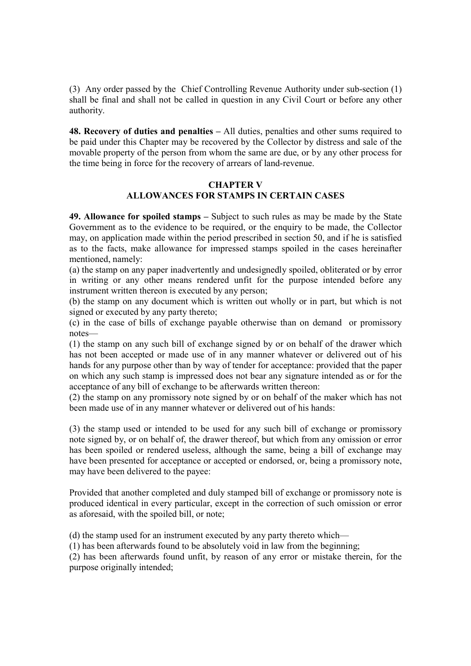(3) Any order passed by the Chief Controlling Revenue Authority under sub-section (1) shall be final and shall not be called in question in any Civil Court or before any other authority.

48. Recovery of duties and penalties – All duties, penalties and other sums required to be paid under this Chapter may be recovered by the Collector by distress and sale of the movable property of the person from whom the same are due, or by any other process for the time being in force for the recovery of arrears of land-revenue.

## CHAPTER V ALLOWANCES FOR STAMPS IN CERTAIN CASES

49. Allowance for spoiled stamps – Subject to such rules as may be made by the State Government as to the evidence to be required, or the enquiry to be made, the Collector may, on application made within the period prescribed in section 50, and if he is satisfied as to the facts, make allowance for impressed stamps spoiled in the cases hereinafter mentioned, namely:

(a) the stamp on any paper inadvertently and undesignedly spoiled, obliterated or by error in writing or any other means rendered unfit for the purpose intended before any instrument written thereon is executed by any person;

(b) the stamp on any document which is written out wholly or in part, but which is not signed or executed by any party thereto;

(c) in the case of bills of exchange payable otherwise than on demand or promissory notes—

(1) the stamp on any such bill of exchange signed by or on behalf of the drawer which has not been accepted or made use of in any manner whatever or delivered out of his hands for any purpose other than by way of tender for acceptance: provided that the paper on which any such stamp is impressed does not bear any signature intended as or for the acceptance of any bill of exchange to be afterwards written thereon:

(2) the stamp on any promissory note signed by or on behalf of the maker which has not been made use of in any manner whatever or delivered out of his hands:

(3) the stamp used or intended to be used for any such bill of exchange or promissory note signed by, or on behalf of, the drawer thereof, but which from any omission or error has been spoiled or rendered useless, although the same, being a bill of exchange may have been presented for acceptance or accepted or endorsed, or, being a promissory note, may have been delivered to the payee:

Provided that another completed and duly stamped bill of exchange or promissory note is produced identical in every particular, except in the correction of such omission or error as aforesaid, with the spoiled bill, or note;

(d) the stamp used for an instrument executed by any party thereto which—

(1) has been afterwards found to be absolutely void in law from the beginning;

(2) has been afterwards found unfit, by reason of any error or mistake therein, for the purpose originally intended;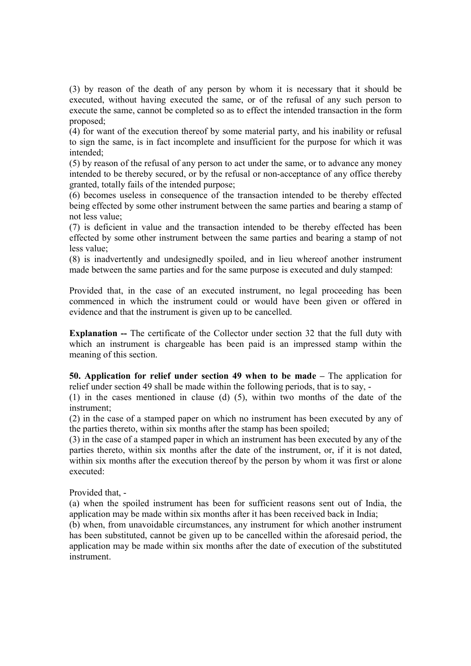(3) by reason of the death of any person by whom it is necessary that it should be executed, without having executed the same, or of the refusal of any such person to execute the same, cannot be completed so as to effect the intended transaction in the form proposed;

(4) for want of the execution thereof by some material party, and his inability or refusal to sign the same, is in fact incomplete and insufficient for the purpose for which it was intended;

(5) by reason of the refusal of any person to act under the same, or to advance any money intended to be thereby secured, or by the refusal or non-acceptance of any office thereby granted, totally fails of the intended purpose;

(6) becomes useless in consequence of the transaction intended to be thereby effected being effected by some other instrument between the same parties and bearing a stamp of not less value;

(7) is deficient in value and the transaction intended to be thereby effected has been effected by some other instrument between the same parties and bearing a stamp of not less value;

(8) is inadvertently and undesignedly spoiled, and in lieu whereof another instrument made between the same parties and for the same purpose is executed and duly stamped:

Provided that, in the case of an executed instrument, no legal proceeding has been commenced in which the instrument could or would have been given or offered in evidence and that the instrument is given up to be cancelled.

Explanation -- The certificate of the Collector under section 32 that the full duty with which an instrument is chargeable has been paid is an impressed stamp within the meaning of this section.

50. Application for relief under section 49 when to be made – The application for relief under section 49 shall be made within the following periods, that is to say, -

(1) in the cases mentioned in clause (d) (5), within two months of the date of the instrument;

(2) in the case of a stamped paper on which no instrument has been executed by any of the parties thereto, within six months after the stamp has been spoiled;

(3) in the case of a stamped paper in which an instrument has been executed by any of the parties thereto, within six months after the date of the instrument, or, if it is not dated, within six months after the execution thereof by the person by whom it was first or alone executed:

Provided that, -

(a) when the spoiled instrument has been for sufficient reasons sent out of India, the application may be made within six months after it has been received back in India;

(b) when, from unavoidable circumstances, any instrument for which another instrument has been substituted, cannot be given up to be cancelled within the aforesaid period, the application may be made within six months after the date of execution of the substituted instrument.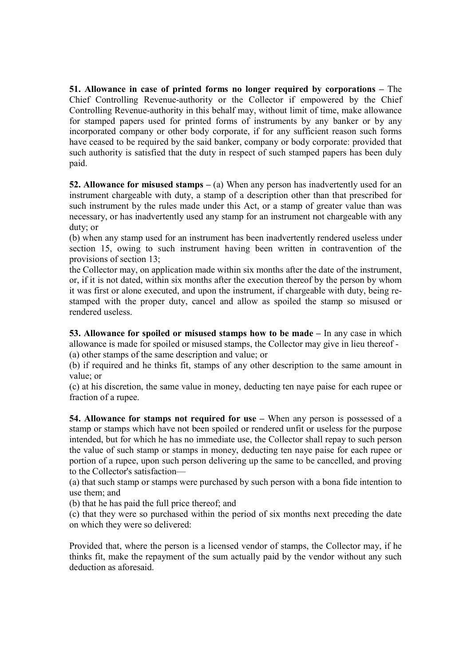51. Allowance in case of printed forms no longer required by corporations – The Chief Controlling Revenue-authority or the Collector if empowered by the Chief Controlling Revenue-authority in this behalf may, without limit of time, make allowance for stamped papers used for printed forms of instruments by any banker or by any incorporated company or other body corporate, if for any sufficient reason such forms have ceased to be required by the said banker, company or body corporate: provided that such authority is satisfied that the duty in respect of such stamped papers has been duly paid.

52. Allowance for misused stamps  $-$  (a) When any person has inadvertently used for an instrument chargeable with duty, a stamp of a description other than that prescribed for such instrument by the rules made under this Act, or a stamp of greater value than was necessary, or has inadvertently used any stamp for an instrument not chargeable with any duty; or

(b) when any stamp used for an instrument has been inadvertently rendered useless under section 15, owing to such instrument having been written in contravention of the provisions of section 13;

the Collector may, on application made within six months after the date of the instrument, or, if it is not dated, within six months after the execution thereof by the person by whom it was first or alone executed, and upon the instrument, if chargeable with duty, being restamped with the proper duty, cancel and allow as spoiled the stamp so misused or rendered useless.

53. Allowance for spoiled or misused stamps how to be made – In any case in which allowance is made for spoiled or misused stamps, the Collector may give in lieu thereof - (a) other stamps of the same description and value; or

(b) if required and he thinks fit, stamps of any other description to the same amount in value; or

(c) at his discretion, the same value in money, deducting ten naye paise for each rupee or fraction of a rupee.

54. Allowance for stamps not required for use – When any person is possessed of a stamp or stamps which have not been spoiled or rendered unfit or useless for the purpose intended, but for which he has no immediate use, the Collector shall repay to such person the value of such stamp or stamps in money, deducting ten naye paise for each rupee or portion of a rupee, upon such person delivering up the same to be cancelled, and proving to the Collector's satisfaction—

(a) that such stamp or stamps were purchased by such person with a bona fide intention to use them; and

(b) that he has paid the full price thereof; and

(c) that they were so purchased within the period of six months next preceding the date on which they were so delivered:

Provided that, where the person is a licensed vendor of stamps, the Collector may, if he thinks fit, make the repayment of the sum actually paid by the vendor without any such deduction as aforesaid.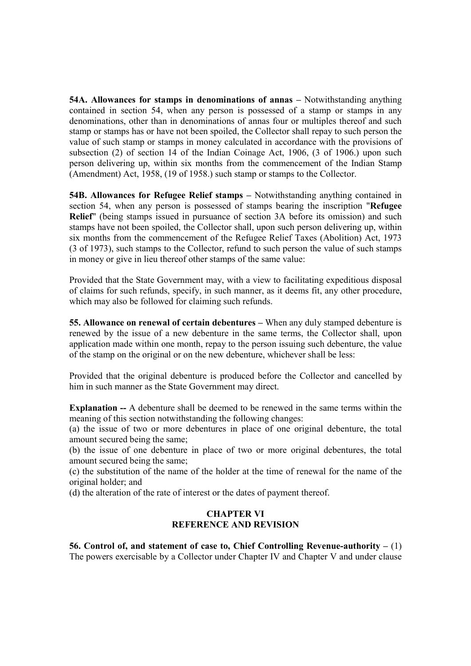54A. Allowances for stamps in denominations of annas – Notwithstanding anything contained in section 54, when any person is possessed of a stamp or stamps in any denominations, other than in denominations of annas four or multiples thereof and such stamp or stamps has or have not been spoiled, the Collector shall repay to such person the value of such stamp or stamps in money calculated in accordance with the provisions of subsection (2) of section 14 of the Indian Coinage Act, 1906, (3 of 1906.) upon such person delivering up, within six months from the commencement of the Indian Stamp (Amendment) Act, 1958, (19 of 1958.) such stamp or stamps to the Collector.

54B. Allowances for Refugee Relief stamps – Notwithstanding anything contained in section 54, when any person is possessed of stamps bearing the inscription "Refugee Relief" (being stamps issued in pursuance of section 3A before its omission) and such stamps have not been spoiled, the Collector shall, upon such person delivering up, within six months from the commencement of the Refugee Relief Taxes (Abolition) Act, 1973 (3 of 1973), such stamps to the Collector, refund to such person the value of such stamps in money or give in lieu thereof other stamps of the same value:

Provided that the State Government may, with a view to facilitating expeditious disposal of claims for such refunds, specify, in such manner, as it deems fit, any other procedure, which may also be followed for claiming such refunds.

55. Allowance on renewal of certain debentures – When any duly stamped debenture is renewed by the issue of a new debenture in the same terms, the Collector shall, upon application made within one month, repay to the person issuing such debenture, the value of the stamp on the original or on the new debenture, whichever shall be less:

Provided that the original debenture is produced before the Collector and cancelled by him in such manner as the State Government may direct.

Explanation -- A debenture shall be deemed to be renewed in the same terms within the meaning of this section notwithstanding the following changes:

(a) the issue of two or more debentures in place of one original debenture, the total amount secured being the same;

(b) the issue of one debenture in place of two or more original debentures, the total amount secured being the same;

(c) the substitution of the name of the holder at the time of renewal for the name of the original holder; and

(d) the alteration of the rate of interest or the dates of payment thereof.

## CHAPTER VI REFERENCE AND REVISION

56. Control of, and statement of case to, Chief Controlling Revenue-authority – (1) The powers exercisable by a Collector under Chapter IV and Chapter V and under clause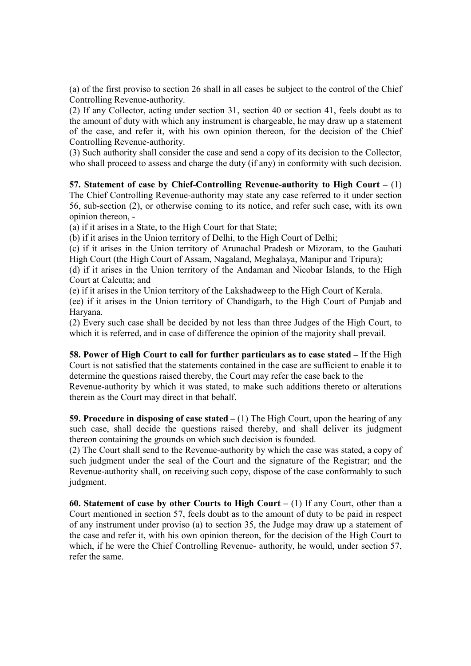(a) of the first proviso to section 26 shall in all cases be subject to the control of the Chief Controlling Revenue-authority.

(2) If any Collector, acting under section 31, section 40 or section 41, feels doubt as to the amount of duty with which any instrument is chargeable, he may draw up a statement of the case, and refer it, with his own opinion thereon, for the decision of the Chief Controlling Revenue-authority.

(3) Such authority shall consider the case and send a copy of its decision to the Collector, who shall proceed to assess and charge the duty (if any) in conformity with such decision.

57. Statement of case by Chief-Controlling Revenue-authority to High Court – (1) The Chief Controlling Revenue-authority may state any case referred to it under section 56, sub-section (2), or otherwise coming to its notice, and refer such case, with its own opinion thereon, -

(a) if it arises in a State, to the High Court for that State;

(b) if it arises in the Union territory of Delhi, to the High Court of Delhi;

(c) if it arises in the Union territory of Arunachal Pradesh or Mizoram, to the Gauhati High Court (the High Court of Assam, Nagaland, Meghalaya, Manipur and Tripura);

(d) if it arises in the Union territory of the Andaman and Nicobar Islands, to the High Court at Calcutta; and

(e) if it arises in the Union territory of the Lakshadweep to the High Court of Kerala.

(ee) if it arises in the Union territory of Chandigarh, to the High Court of Punjab and Haryana.

(2) Every such case shall be decided by not less than three Judges of the High Court, to which it is referred, and in case of difference the opinion of the majority shall prevail.

58. Power of High Court to call for further particulars as to case stated – If the High Court is not satisfied that the statements contained in the case are sufficient to enable it to determine the questions raised thereby, the Court may refer the case back to the Revenue-authority by which it was stated, to make such additions thereto or alterations therein as the Court may direct in that behalf.

59. Procedure in disposing of case stated  $- (1)$  The High Court, upon the hearing of any such case, shall decide the questions raised thereby, and shall deliver its judgment thereon containing the grounds on which such decision is founded.

(2) The Court shall send to the Revenue-authority by which the case was stated, a copy of such judgment under the seal of the Court and the signature of the Registrar; and the Revenue-authority shall, on receiving such copy, dispose of the case conformably to such judgment.

60. Statement of case by other Courts to High Court  $- (1)$  If any Court, other than a Court mentioned in section 57, feels doubt as to the amount of duty to be paid in respect of any instrument under proviso (a) to section 35, the Judge may draw up a statement of the case and refer it, with his own opinion thereon, for the decision of the High Court to which, if he were the Chief Controlling Revenue- authority, he would, under section 57, refer the same.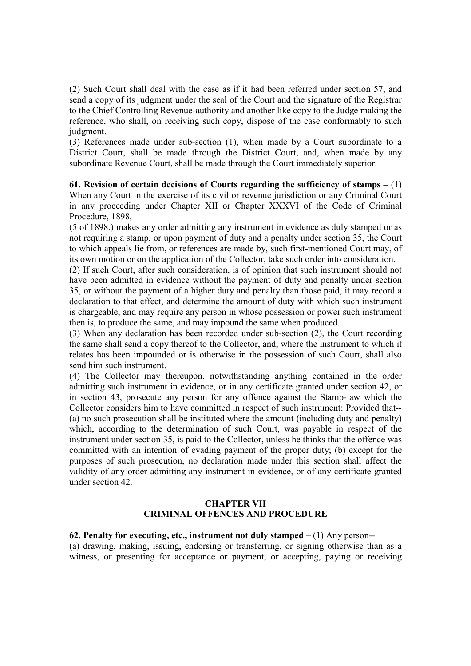(2) Such Court shall deal with the case as if it had been referred under section 57, and send a copy of its judgment under the seal of the Court and the signature of the Registrar to the Chief Controlling Revenue-authority and another like copy to the Judge making the reference, who shall, on receiving such copy, dispose of the case conformably to such judgment.

(3) References made under sub-section (1), when made by a Court subordinate to a District Court, shall be made through the District Court, and, when made by any subordinate Revenue Court, shall be made through the Court immediately superior.

61. Revision of certain decisions of Courts regarding the sufficiency of stamps  $- (1)$ When any Court in the exercise of its civil or revenue jurisdiction or any Criminal Court in any proceeding under Chapter XII or Chapter XXXVI of the Code of Criminal Procedure, 1898,

(5 of 1898.) makes any order admitting any instrument in evidence as duly stamped or as not requiring a stamp, or upon payment of duty and a penalty under section 35, the Court to which appeals lie from, or references are made by, such first-mentioned Court may, of its own motion or on the application of the Collector, take such order into consideration.

(2) If such Court, after such consideration, is of opinion that such instrument should not have been admitted in evidence without the payment of duty and penalty under section 35, or without the payment of a higher duty and penalty than those paid, it may record a declaration to that effect, and determine the amount of duty with which such instrument is chargeable, and may require any person in whose possession or power such instrument then is, to produce the same, and may impound the same when produced.

(3) When any declaration has been recorded under sub-section (2), the Court recording the same shall send a copy thereof to the Collector, and, where the instrument to which it relates has been impounded or is otherwise in the possession of such Court, shall also send him such instrument.

(4) The Collector may thereupon, notwithstanding anything contained in the order admitting such instrument in evidence, or in any certificate granted under section 42, or in section 43, prosecute any person for any offence against the Stamp-law which the Collector considers him to have committed in respect of such instrument: Provided that-- (a) no such prosecution shall be instituted where the amount (including duty and penalty) which, according to the determination of such Court, was payable in respect of the instrument under section 35, is paid to the Collector, unless he thinks that the offence was committed with an intention of evading payment of the proper duty; (b) except for the purposes of such prosecution, no declaration made under this section shall affect the validity of any order admitting any instrument in evidence, or of any certificate granted under section 42.

## CHAPTER VII CRIMINAL OFFENCES AND PROCEDURE

## 62. Penalty for executing, etc., instrument not duly stamped  $- (1)$  Any person--

(a) drawing, making, issuing, endorsing or transferring, or signing otherwise than as a witness, or presenting for acceptance or payment, or accepting, paying or receiving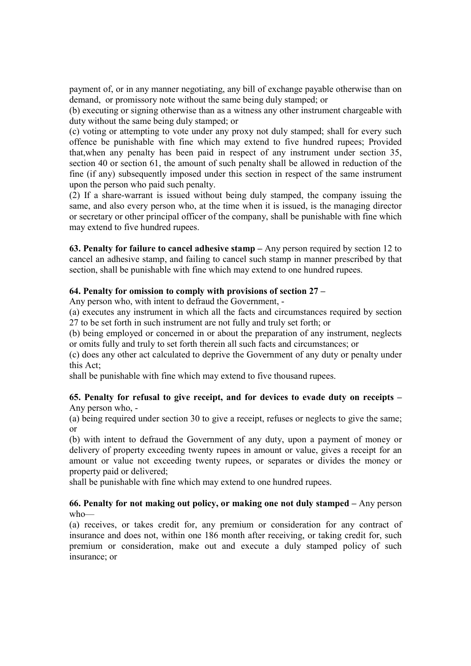payment of, or in any manner negotiating, any bill of exchange payable otherwise than on demand, or promissory note without the same being duly stamped; or

(b) executing or signing otherwise than as a witness any other instrument chargeable with duty without the same being duly stamped; or

(c) voting or attempting to vote under any proxy not duly stamped; shall for every such offence be punishable with fine which may extend to five hundred rupees; Provided that,when any penalty has been paid in respect of any instrument under section 35, section 40 or section 61, the amount of such penalty shall be allowed in reduction of the fine (if any) subsequently imposed under this section in respect of the same instrument upon the person who paid such penalty.

(2) If a share-warrant is issued without being duly stamped, the company issuing the same, and also every person who, at the time when it is issued, is the managing director or secretary or other principal officer of the company, shall be punishable with fine which may extend to five hundred rupees.

63. Penalty for failure to cancel adhesive stamp – Any person required by section 12 to cancel an adhesive stamp, and failing to cancel such stamp in manner prescribed by that section, shall be punishable with fine which may extend to one hundred rupees.

## 64. Penalty for omission to comply with provisions of section 27 –

Any person who, with intent to defraud the Government, -

(a) executes any instrument in which all the facts and circumstances required by section 27 to be set forth in such instrument are not fully and truly set forth; or

(b) being employed or concerned in or about the preparation of any instrument, neglects or omits fully and truly to set forth therein all such facts and circumstances; or

(c) does any other act calculated to deprive the Government of any duty or penalty under this Act;

shall be punishable with fine which may extend to five thousand rupees.

## 65. Penalty for refusal to give receipt, and for devices to evade duty on receipts – Any person who, -

(a) being required under section 30 to give a receipt, refuses or neglects to give the same; or

(b) with intent to defraud the Government of any duty, upon a payment of money or delivery of property exceeding twenty rupees in amount or value, gives a receipt for an amount or value not exceeding twenty rupees, or separates or divides the money or property paid or delivered;

shall be punishable with fine which may extend to one hundred rupees.

## 66. Penalty for not making out policy, or making one not duly stamped – Any person who—

(a) receives, or takes credit for, any premium or consideration for any contract of insurance and does not, within one 186 month after receiving, or taking credit for, such premium or consideration, make out and execute a duly stamped policy of such insurance; or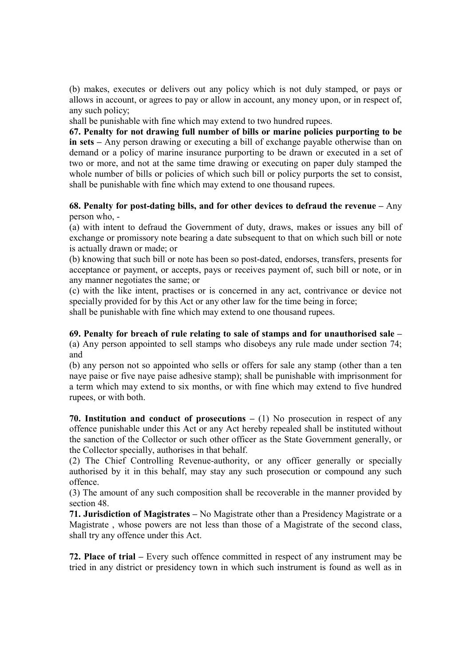(b) makes, executes or delivers out any policy which is not duly stamped, or pays or allows in account, or agrees to pay or allow in account, any money upon, or in respect of, any such policy;

shall be punishable with fine which may extend to two hundred rupees.

67. Penalty for not drawing full number of bills or marine policies purporting to be in sets – Any person drawing or executing a bill of exchange payable otherwise than on demand or a policy of marine insurance purporting to be drawn or executed in a set of two or more, and not at the same time drawing or executing on paper duly stamped the whole number of bills or policies of which such bill or policy purports the set to consist, shall be punishable with fine which may extend to one thousand rupees.

# 68. Penalty for post-dating bills, and for other devices to defraud the revenue  $-$  Any person who, -

(a) with intent to defraud the Government of duty, draws, makes or issues any bill of exchange or promissory note bearing a date subsequent to that on which such bill or note is actually drawn or made; or

(b) knowing that such bill or note has been so post-dated, endorses, transfers, presents for acceptance or payment, or accepts, pays or receives payment of, such bill or note, or in any manner negotiates the same; or

(c) with the like intent, practises or is concerned in any act, contrivance or device not specially provided for by this Act or any other law for the time being in force; shall be punishable with fine which may extend to one thousand rupees.

#### 69. Penalty for breach of rule relating to sale of stamps and for unauthorised sale – (a) Any person appointed to sell stamps who disobeys any rule made under section 74; and

(b) any person not so appointed who sells or offers for sale any stamp (other than a ten naye paise or five naye paise adhesive stamp); shall be punishable with imprisonment for a term which may extend to six months, or with fine which may extend to five hundred rupees, or with both.

70. Institution and conduct of prosecutions  $- (1)$  No prosecution in respect of any offence punishable under this Act or any Act hereby repealed shall be instituted without the sanction of the Collector or such other officer as the State Government generally, or the Collector specially, authorises in that behalf.

(2) The Chief Controlling Revenue-authority, or any officer generally or specially authorised by it in this behalf, may stay any such prosecution or compound any such offence.

(3) The amount of any such composition shall be recoverable in the manner provided by section 48.

71. Jurisdiction of Magistrates – No Magistrate other than a Presidency Magistrate or a Magistrate , whose powers are not less than those of a Magistrate of the second class, shall try any offence under this Act.

72. Place of trial – Every such offence committed in respect of any instrument may be tried in any district or presidency town in which such instrument is found as well as in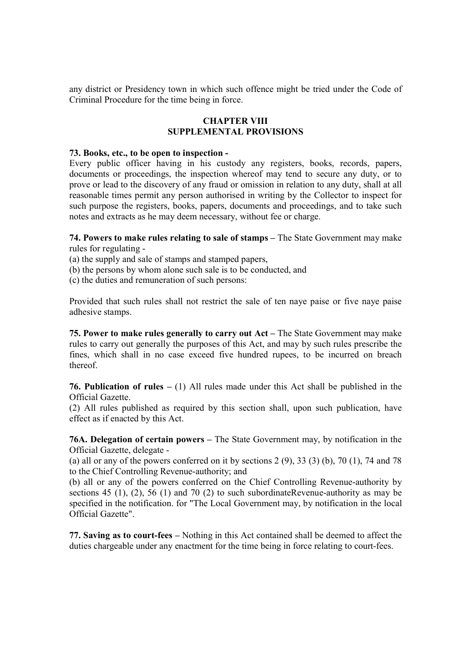any district or Presidency town in which such offence might be tried under the Code of Criminal Procedure for the time being in force.

#### CHAPTER VIII SUPPLEMENTAL PROVISIONS

#### 73. Books, etc., to be open to inspection -

Every public officer having in his custody any registers, books, records, papers, documents or proceedings, the inspection whereof may tend to secure any duty, or to prove or lead to the discovery of any fraud or omission in relation to any duty, shall at all reasonable times permit any person authorised in writing by the Collector to inspect for such purpose the registers, books, papers, documents and proceedings, and to take such notes and extracts as he may deem necessary, without fee or charge.

74. Powers to make rules relating to sale of stamps – The State Government may make rules for regulating -

(a) the supply and sale of stamps and stamped papers,

- (b) the persons by whom alone such sale is to be conducted, and
- (c) the duties and remuneration of such persons:

Provided that such rules shall not restrict the sale of ten naye paise or five naye paise adhesive stamps.

75. Power to make rules generally to carry out Act – The State Government may make rules to carry out generally the purposes of this Act, and may by such rules prescribe the fines, which shall in no case exceed five hundred rupees, to be incurred on breach thereof.

**76. Publication of rules** – (1) All rules made under this Act shall be published in the Official Gazette.

(2) All rules published as required by this section shall, upon such publication, have effect as if enacted by this Act.

76A. Delegation of certain powers – The State Government may, by notification in the Official Gazette, delegate -

(a) all or any of the powers conferred on it by sections  $2(9)$ ,  $33(3)(b)$ ,  $70(1)$ ,  $74$  and  $78$ to the Chief Controlling Revenue-authority; and

(b) all or any of the powers conferred on the Chief Controlling Revenue-authority by sections 45 (1), (2), 56 (1) and 70 (2) to such subordinateRevenue-authority as may be specified in the notification. for "The Local Government may, by notification in the local Official Gazette".

77. Saving as to court-fees – Nothing in this Act contained shall be deemed to affect the duties chargeable under any enactment for the time being in force relating to court-fees.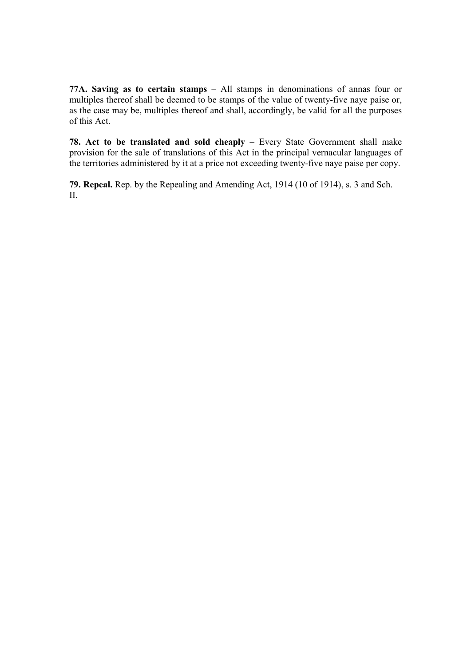77A. Saving as to certain stamps – All stamps in denominations of annas four or multiples thereof shall be deemed to be stamps of the value of twenty-five naye paise or, as the case may be, multiples thereof and shall, accordingly, be valid for all the purposes of this Act.

78. Act to be translated and sold cheaply – Every State Government shall make provision for the sale of translations of this Act in the principal vernacular languages of the territories administered by it at a price not exceeding twenty-five naye paise per copy.

79. Repeal. Rep. by the Repealing and Amending Act, 1914 (10 of 1914), s. 3 and Sch. II.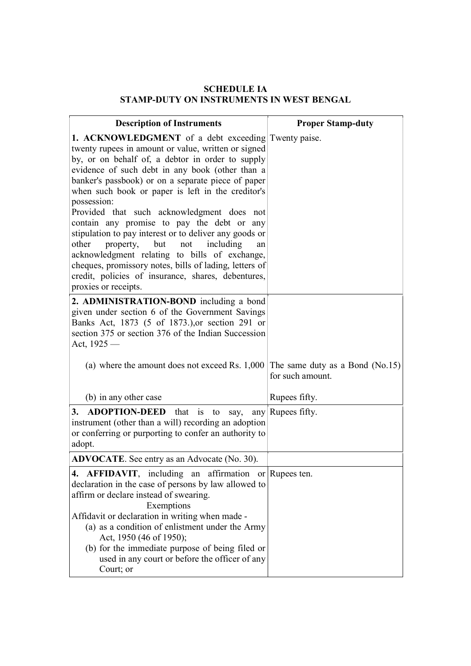# SCHEDULE IA STAMP-DUTY ON INSTRUMENTS IN WEST BENGAL

| <b>Description of Instruments</b>                                                                                                                                                                                                                                                                                                                                                                                                                                                                                                                                                                                                                                                                                                                     | <b>Proper Stamp-duty</b> |
|-------------------------------------------------------------------------------------------------------------------------------------------------------------------------------------------------------------------------------------------------------------------------------------------------------------------------------------------------------------------------------------------------------------------------------------------------------------------------------------------------------------------------------------------------------------------------------------------------------------------------------------------------------------------------------------------------------------------------------------------------------|--------------------------|
| <b>1. ACKNOWLEDGMENT</b> of a debt exceeding Twenty paise.<br>twenty rupees in amount or value, written or signed<br>by, or on behalf of, a debtor in order to supply<br>evidence of such debt in any book (other than a<br>banker's passbook) or on a separate piece of paper<br>when such book or paper is left in the creditor's<br>possession:<br>Provided that such acknowledgment does not<br>contain any promise to pay the debt or any<br>stipulation to pay interest or to deliver any goods or<br>including<br>property, but<br>not<br>other<br>an<br>acknowledgment relating to bills of exchange,<br>cheques, promissory notes, bills of lading, letters of<br>credit, policies of insurance, shares, debentures,<br>proxies or receipts. |                          |
| 2. ADMINISTRATION-BOND including a bond<br>given under section 6 of the Government Savings<br>Banks Act, 1873 (5 of 1873.), or section 291 or<br>section 375 or section 376 of the Indian Succession<br>Act, $1925-$                                                                                                                                                                                                                                                                                                                                                                                                                                                                                                                                  |                          |
| (a) where the amount does not exceed Rs. $1,000$ The same duty as a Bond (No.15)                                                                                                                                                                                                                                                                                                                                                                                                                                                                                                                                                                                                                                                                      | for such amount.         |
| (b) in any other case                                                                                                                                                                                                                                                                                                                                                                                                                                                                                                                                                                                                                                                                                                                                 | Rupees fifty.            |
| 3. ADOPTION-DEED that<br>is<br>to<br>say,<br>instrument (other than a will) recording an adoption<br>or conferring or purporting to confer an authority to<br>adopt.                                                                                                                                                                                                                                                                                                                                                                                                                                                                                                                                                                                  | any Rupees fifty.        |
| <b>ADVOCATE</b> . See entry as an Advocate (No. 30).                                                                                                                                                                                                                                                                                                                                                                                                                                                                                                                                                                                                                                                                                                  |                          |
| 4. AFFIDAVIT, including an affirmation or Rupees ten.<br>declaration in the case of persons by law allowed to<br>affirm or declare instead of swearing.<br>Exemptions<br>Affidavit or declaration in writing when made -<br>(a) as a condition of enlistment under the Army<br>Act, 1950 (46 of 1950);<br>(b) for the immediate purpose of being filed or<br>used in any court or before the officer of any<br>Court; or                                                                                                                                                                                                                                                                                                                              |                          |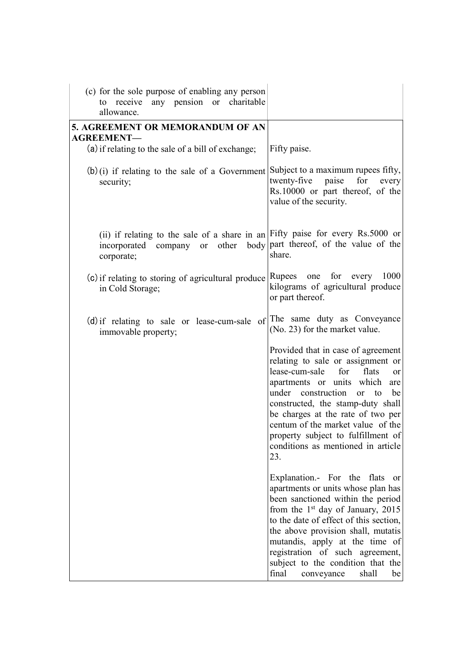| (c) for the sole purpose of enabling any person                                                                                                    |                                                                                                                                                                                                                                                                                                                                                                                                                 |
|----------------------------------------------------------------------------------------------------------------------------------------------------|-----------------------------------------------------------------------------------------------------------------------------------------------------------------------------------------------------------------------------------------------------------------------------------------------------------------------------------------------------------------------------------------------------------------|
| to receive any pension or charitable<br>allowance.                                                                                                 |                                                                                                                                                                                                                                                                                                                                                                                                                 |
| 5. AGREEMENT OR MEMORANDUM OF AN<br><b>AGREEMENT—</b>                                                                                              |                                                                                                                                                                                                                                                                                                                                                                                                                 |
| (a) if relating to the sale of a bill of exchange;                                                                                                 | Fifty paise.                                                                                                                                                                                                                                                                                                                                                                                                    |
| $(b)(i)$ if relating to the sale of a Government<br>security;                                                                                      | Subject to a maximum rupees fifty,<br>twenty-five<br>paise<br>for<br>every<br>Rs.10000 or part thereof, of the<br>value of the security.                                                                                                                                                                                                                                                                        |
| (ii) if relating to the sale of a share in an Fifty paise for every Rs.5000 or<br>other<br>body<br>incorporated company<br><b>or</b><br>corporate; | part thereof, of the value of the<br>share.                                                                                                                                                                                                                                                                                                                                                                     |
| (c) if relating to storing of agricultural produce<br>in Cold Storage;                                                                             | 1000<br>Rupees one for<br>every<br>kilograms of agricultural produce<br>or part thereof.                                                                                                                                                                                                                                                                                                                        |
| (d) if relating to sale or lease-cum-sale of<br>immovable property;                                                                                | The same duty as Conveyance<br>(No. 23) for the market value.                                                                                                                                                                                                                                                                                                                                                   |
|                                                                                                                                                    | Provided that in case of agreement<br>relating to sale or assignment or<br>lease-cum-sale<br>for<br>flats<br><b>or</b><br>apartments or units which<br>are<br>under construction<br>be<br>to<br><sub>or</sub><br>constructed, the stamp-duty shall<br>be charges at the rate of two per<br>centum of the market value of the<br>property subject to fulfillment of<br>conditions as mentioned in article<br>23. |
|                                                                                                                                                    | Explanation.- For the<br>flats<br><b>or</b><br>apartments or units whose plan has<br>been sanctioned within the period<br>from the $1st$ day of January, 2015<br>to the date of effect of this section,<br>the above provision shall, mutatis<br>mutandis, apply at the time of<br>registration of such agreement,<br>subject to the condition that the<br>final<br>shall<br>be<br>conveyance                   |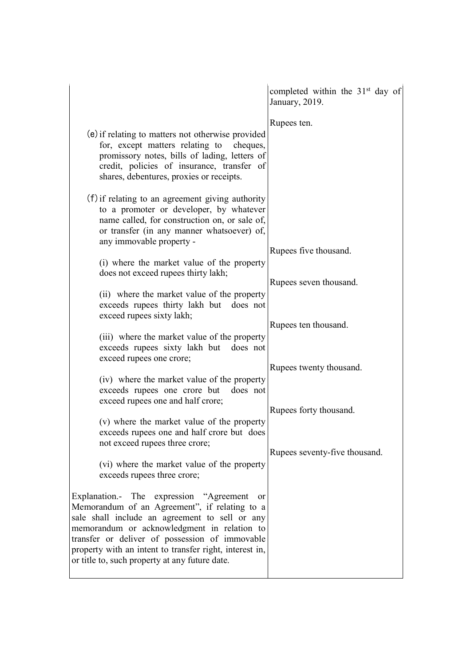|                                                                                                                                                                                                                                                                                                                                                                        | completed within the $31st$ day of<br>January, 2019. |
|------------------------------------------------------------------------------------------------------------------------------------------------------------------------------------------------------------------------------------------------------------------------------------------------------------------------------------------------------------------------|------------------------------------------------------|
| (e) if relating to matters not otherwise provided<br>for, except matters relating to<br>cheques,<br>promissory notes, bills of lading, letters of<br>credit, policies of insurance, transfer of<br>shares, debentures, proxies or receipts.                                                                                                                            | Rupees ten.                                          |
| (f) if relating to an agreement giving authority<br>to a promoter or developer, by whatever<br>name called, for construction on, or sale of,<br>or transfer (in any manner whatsoever) of,<br>any immovable property -                                                                                                                                                 | Rupees five thousand.                                |
| (i) where the market value of the property<br>does not exceed rupees thirty lakh;                                                                                                                                                                                                                                                                                      | Rupees seven thousand.                               |
| (ii) where the market value of the property<br>exceeds rupees thirty lakh but does not<br>exceed rupees sixty lakh;                                                                                                                                                                                                                                                    |                                                      |
| (iii) where the market value of the property<br>exceeds rupees sixty lakh but does not<br>exceed rupees one crore;                                                                                                                                                                                                                                                     | Rupees ten thousand.<br>Rupees twenty thousand.      |
| (iv) where the market value of the property<br>exceeds rupees one crore but<br>does not<br>exceed rupees one and half crore;                                                                                                                                                                                                                                           |                                                      |
| (v) where the market value of the property<br>exceeds rupees one and half crore but does<br>not exceed rupees three crore;                                                                                                                                                                                                                                             | Rupees forty thousand.                               |
| (vi) where the market value of the property<br>exceeds rupees three crore;                                                                                                                                                                                                                                                                                             | Rupees seventy-five thousand.                        |
| Explanation.- The expression "Agreement"<br><b>or</b><br>Memorandum of an Agreement", if relating to a<br>sale shall include an agreement to sell or any<br>memorandum or acknowledgment in relation to<br>transfer or deliver of possession of immovable<br>property with an intent to transfer right, interest in,<br>or title to, such property at any future date. |                                                      |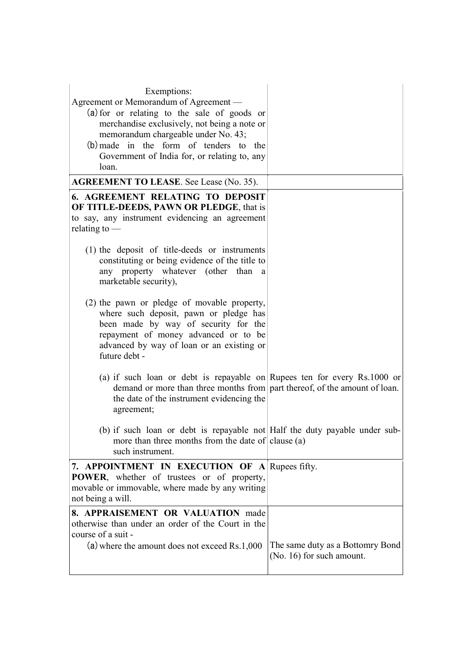| Exemptions:<br>Agreement or Memorandum of Agreement —<br>(a) for or relating to the sale of goods or<br>merchandise exclusively, not being a note or<br>memorandum chargeable under No. 43;<br>$(b)$ made in the form of tenders to the<br>Government of India for, or relating to, any<br>loan. |                                  |
|--------------------------------------------------------------------------------------------------------------------------------------------------------------------------------------------------------------------------------------------------------------------------------------------------|----------------------------------|
| <b>AGREEMENT TO LEASE.</b> See Lease (No. 35).                                                                                                                                                                                                                                                   |                                  |
| <b>6. AGREEMENT RELATING TO DEPOSIT</b><br>OF TITLE-DEEDS, PAWN OR PLEDGE, that is<br>to say, any instrument evidencing an agreement<br>relating to $-$                                                                                                                                          |                                  |
| (1) the deposit of title-deeds or instruments<br>constituting or being evidence of the title to<br>any property whatever (other than<br>a<br>marketable security),                                                                                                                               |                                  |
| (2) the pawn or pledge of movable property,<br>where such deposit, pawn or pledge has<br>been made by way of security for the<br>repayment of money advanced or to be<br>advanced by way of loan or an existing or<br>future debt -                                                              |                                  |
| (a) if such loan or debt is repayable on Rupees ten for every Rs.1000 or<br>demand or more than three months from part thereof, of the amount of loan.<br>the date of the instrument evidencing the<br>agreement;                                                                                |                                  |
| (b) if such loan or debt is repayable not Half the duty payable under sub-<br>more than three months from the date of clause (a)<br>such instrument.                                                                                                                                             |                                  |
| 7. APPOINTMENT IN EXECUTION OF A Rupees fifty.<br><b>POWER</b> , whether of trustees or of property,<br>movable or immovable, where made by any writing<br>not being a will.                                                                                                                     |                                  |
| 8. APPRAISEMENT OR VALUATION made<br>otherwise than under an order of the Court in the<br>course of a suit -<br>$(a)$ where the amount does not exceed Rs.1,000                                                                                                                                  | The same duty as a Bottomry Bond |
|                                                                                                                                                                                                                                                                                                  | (No. 16) for such amount.        |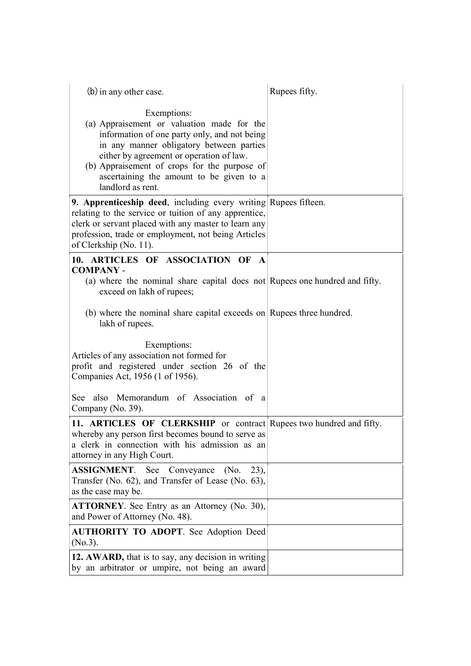| $(b)$ in any other case.                                                                                                                                                                                                                                                                                           | Rupees fifty. |
|--------------------------------------------------------------------------------------------------------------------------------------------------------------------------------------------------------------------------------------------------------------------------------------------------------------------|---------------|
| Exemptions:<br>(a) Appraisement or valuation made for the<br>information of one party only, and not being<br>in any manner obligatory between parties<br>either by agreement or operation of law.<br>(b) Appraisement of crops for the purpose of<br>ascertaining the amount to be given to a<br>landlord as rent. |               |
| 9. Apprenticeship deed, including every writing Rupees fifteen.<br>relating to the service or tuition of any apprentice,<br>clerk or servant placed with any master to learn any<br>profession, trade or employment, not being Articles<br>of Clerkship (No. 11).                                                  |               |
| 10. ARTICLES OF ASSOCIATION OF<br>$\mathbf{A}$                                                                                                                                                                                                                                                                     |               |
| <b>COMPANY -</b><br>(a) where the nominal share capital does not Rupees one hundred and fifty.<br>exceed on lakh of rupees;                                                                                                                                                                                        |               |
| (b) where the nominal share capital exceeds on Rupees three hundred.<br>lakh of rupees.                                                                                                                                                                                                                            |               |
| Exemptions:<br>Articles of any association not formed for<br>profit and registered under section 26 of the<br>Companies Act, 1956 (1 of 1956).                                                                                                                                                                     |               |
| See also Memorandum of Association of a<br>Company (No. 39).                                                                                                                                                                                                                                                       |               |
| 11. ARTICLES OF CLERKSHIP or contract Rupees two hundred and fifty.<br>whereby any person first becomes bound to serve as<br>a clerk in connection with his admission as an<br>attorney in any High Court.                                                                                                         |               |
| <b>ASSIGNMENT.</b><br>See Conveyance<br>(No.<br>$(23)$ ,<br>Transfer (No. 62), and Transfer of Lease (No. 63),<br>as the case may be.                                                                                                                                                                              |               |
| <b>ATTORNEY</b> . See Entry as an Attorney (No. 30),<br>and Power of Attorney (No. 48).                                                                                                                                                                                                                            |               |
| <b>AUTHORITY TO ADOPT.</b> See Adoption Deed<br>$(No.3)$ .                                                                                                                                                                                                                                                         |               |
| 12. AWARD, that is to say, any decision in writing<br>by an arbitrator or umpire, not being an award                                                                                                                                                                                                               |               |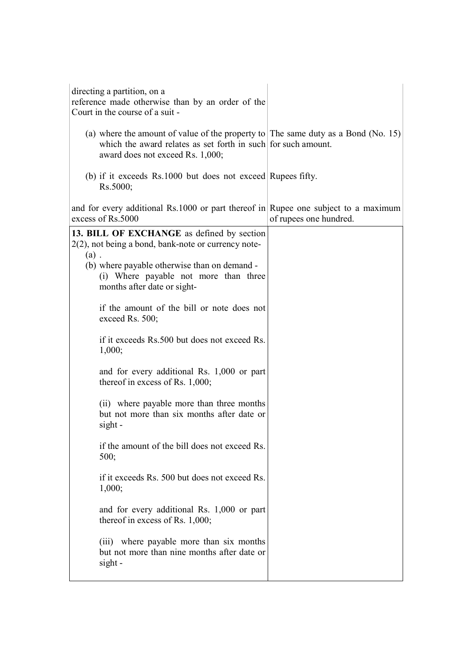| directing a partition, on a<br>reference made otherwise than by an order of the<br>Court in the course of a suit -                                                                                                                      |                        |
|-----------------------------------------------------------------------------------------------------------------------------------------------------------------------------------------------------------------------------------------|------------------------|
| (a) where the amount of value of the property to The same duty as a Bond (No. 15)<br>which the award relates as set forth in such for such amount.<br>award does not exceed Rs. 1,000;                                                  |                        |
| (b) if it exceeds Rs.1000 but does not exceed Rupees fifty.<br>Rs.5000;                                                                                                                                                                 |                        |
| and for every additional Rs.1000 or part thereof in Rupee one subject to a maximum<br>excess of Rs.5000                                                                                                                                 | of rupees one hundred. |
| 13. BILL OF EXCHANGE as defined by section<br>$2(2)$ , not being a bond, bank-note or currency note-<br>$(a)$ .<br>(b) where payable otherwise than on demand -<br>(i) Where payable not more than three<br>months after date or sight- |                        |
| if the amount of the bill or note does not<br>exceed Rs. 500;                                                                                                                                                                           |                        |
| if it exceeds Rs.500 but does not exceed Rs.<br>1,000;                                                                                                                                                                                  |                        |
| and for every additional Rs. 1,000 or part<br>thereof in excess of Rs. $1,000$ ;                                                                                                                                                        |                        |
| (ii) where payable more than three months<br>but not more than six months after date or<br>sight -                                                                                                                                      |                        |
| if the amount of the bill does not exceed Rs.<br>500;                                                                                                                                                                                   |                        |
| if it exceeds Rs. 500 but does not exceed Rs.<br>1,000;                                                                                                                                                                                 |                        |
| and for every additional Rs. 1,000 or part<br>thereof in excess of Rs. 1,000;                                                                                                                                                           |                        |
| (iii) where payable more than six months<br>but not more than nine months after date or<br>$sight -$                                                                                                                                    |                        |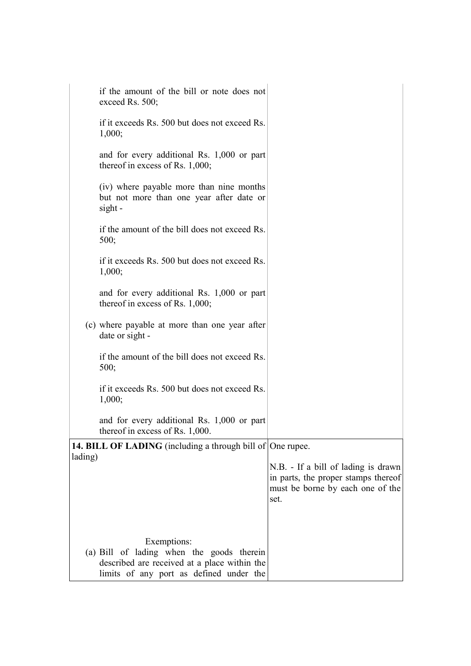|         | if the amount of the bill or note does not<br>exceed Rs. 500;                                                                                       |                                                                                                                        |
|---------|-----------------------------------------------------------------------------------------------------------------------------------------------------|------------------------------------------------------------------------------------------------------------------------|
|         | if it exceeds Rs. 500 but does not exceed Rs.<br>1,000;                                                                                             |                                                                                                                        |
|         | and for every additional Rs. 1,000 or part<br>thereof in excess of Rs. $1,000$ ;                                                                    |                                                                                                                        |
|         | (iv) where payable more than nine months<br>but not more than one year after date or<br>sight -                                                     |                                                                                                                        |
|         | if the amount of the bill does not exceed Rs.<br>500;                                                                                               |                                                                                                                        |
|         | if it exceeds Rs. 500 but does not exceed Rs.<br>1,000;                                                                                             |                                                                                                                        |
|         | and for every additional Rs. 1,000 or part<br>thereof in excess of Rs. $1,000$ ;                                                                    |                                                                                                                        |
|         | (c) where payable at more than one year after<br>date or sight -                                                                                    |                                                                                                                        |
|         | if the amount of the bill does not exceed Rs.<br>500;                                                                                               |                                                                                                                        |
|         | if it exceeds Rs. 500 but does not exceed Rs.<br>1,000;                                                                                             |                                                                                                                        |
|         | and for every additional Rs. 1,000 or part<br>thereof in excess of Rs. 1,000.                                                                       |                                                                                                                        |
|         | <b>14. BILL OF LADING</b> (including a through bill of One rupee.                                                                                   |                                                                                                                        |
| lading) |                                                                                                                                                     |                                                                                                                        |
|         |                                                                                                                                                     | N.B. - If a bill of lading is drawn<br>in parts, the proper stamps thereof<br>must be borne by each one of the<br>set. |
|         |                                                                                                                                                     |                                                                                                                        |
|         |                                                                                                                                                     |                                                                                                                        |
|         | Exemptions:<br>(a) Bill of lading when the goods therein<br>described are received at a place within the<br>limits of any port as defined under the |                                                                                                                        |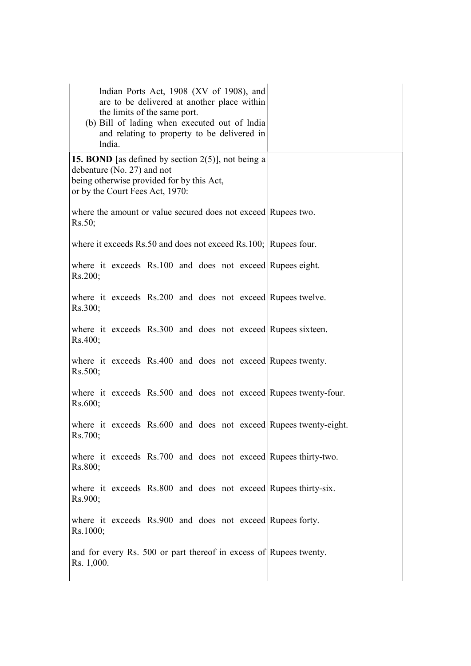| Indian Ports Act, 1908 (XV of 1908), and<br>are to be delivered at another place within<br>the limits of the same port.<br>(b) Bill of lading when executed out of lndia<br>and relating to property to be delivered in<br>lndia. |  |
|-----------------------------------------------------------------------------------------------------------------------------------------------------------------------------------------------------------------------------------|--|
| <b>15. BOND</b> [as defined by section $2(5)$ ], not being a<br>debenture (No. 27) and not<br>being otherwise provided for by this Act,<br>or by the Court Fees Act, 1970:                                                        |  |
| where the amount or value secured does not exceed Rupees two.<br>Rs.50;                                                                                                                                                           |  |
| where it exceeds Rs.50 and does not exceed Rs.100; Rupees four.                                                                                                                                                                   |  |
| where it exceeds Rs.100 and does not exceed Rupees eight.<br>Rs.200;                                                                                                                                                              |  |
| where it exceeds Rs.200 and does not exceed Rupees twelve.<br>Rs.300;                                                                                                                                                             |  |
| where it exceeds Rs.300 and does not exceed Rupees sixteen.<br>Rs.400;                                                                                                                                                            |  |
| where it exceeds Rs.400 and does not exceed Rupees twenty.<br>Rs.500;                                                                                                                                                             |  |
| where it exceeds Rs.500 and does not exceed Rupees twenty-four.<br>Rs.600;                                                                                                                                                        |  |
| where it exceeds Rs.600 and does not exceed Rupees twenty-eight.<br>Rs.700;                                                                                                                                                       |  |
| where it exceeds Rs.700 and does not exceed Rupees thirty-two.<br>Rs.800;                                                                                                                                                         |  |
| where it exceeds Rs.800 and does not exceed Rupees thirty-six.<br>Rs.900;                                                                                                                                                         |  |
| where it exceeds Rs.900 and does not exceed Rupees forty.<br>Rs.1000;                                                                                                                                                             |  |
| and for every Rs. 500 or part thereof in excess of Rupees twenty.<br>Rs. 1,000.                                                                                                                                                   |  |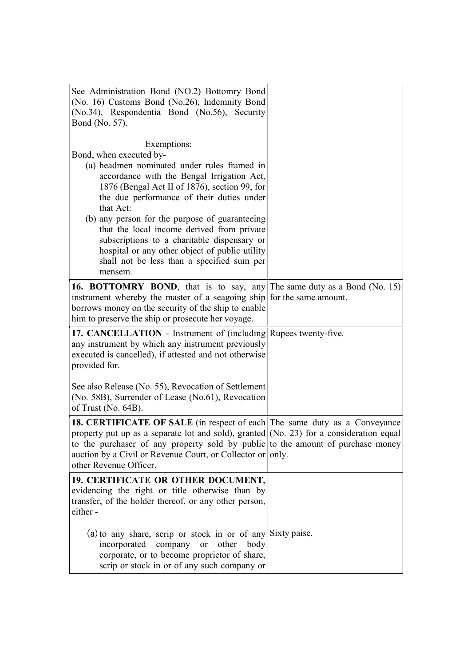| See Administration Bond (NO.2) Bottomry Bond<br>(No. 16) Customs Bond (No.26), Indemnity Bond<br>(No.34), Respondentia Bond (No.56), Security<br>Bond (No. 57).                                                                                                                                                                                                                                                                                                                                          |  |
|----------------------------------------------------------------------------------------------------------------------------------------------------------------------------------------------------------------------------------------------------------------------------------------------------------------------------------------------------------------------------------------------------------------------------------------------------------------------------------------------------------|--|
| Exemptions:<br>Bond, when executed by-<br>(a) headmen nominated under rules framed in<br>accordance with the Bengal Irrigation Act,<br>1876 (Bengal Act II of 1876), section 99, for<br>the due performance of their duties under<br>that Act:<br>(b) any person for the purpose of guaranteeing<br>that the local income derived from private<br>subscriptions to a charitable dispensary or<br>hospital or any other object of public utility<br>shall not be less than a specified sum per<br>mensem. |  |
| <b>16. BOTTOMRY BOND</b> , that is to say, any The same duty as a Bond (No. 15)<br>instrument whereby the master of a seagoing ship for the same amount.<br>borrows money on the security of the ship to enable<br>him to preserve the ship or prosecute her voyage.                                                                                                                                                                                                                                     |  |
| 17. CANCELLATION - Instrument of (including Rupees twenty-five.<br>any instrument by which any instrument previously<br>executed is cancelled), if attested and not otherwise<br>provided for.                                                                                                                                                                                                                                                                                                           |  |
| See also Release (No. 55), Revocation of Settlement<br>(No. 58B), Surrender of Lease (No.61), Revocation<br>of Trust (No. 64B).                                                                                                                                                                                                                                                                                                                                                                          |  |
| 18. CERTIFICATE OF SALE (in respect of each The same duty as a Conveyance<br>property put up as a separate lot and sold), granted (No. 23) for a consideration equal<br>to the purchaser of any property sold by public to the amount of purchase money<br>auction by a Civil or Revenue Court, or Collector or only.<br>other Revenue Officer.                                                                                                                                                          |  |
| 19. CERTIFICATE OR OTHER DOCUMENT,<br>evidencing the right or title otherwise than by<br>transfer, of the holder thereof, or any other person,<br>either-                                                                                                                                                                                                                                                                                                                                                |  |
| $(a)$ to any share, scrip or stock in or of any Sixty paise.<br>incorporated company or other<br>body<br>corporate, or to become proprietor of share,<br>scrip or stock in or of any such company or                                                                                                                                                                                                                                                                                                     |  |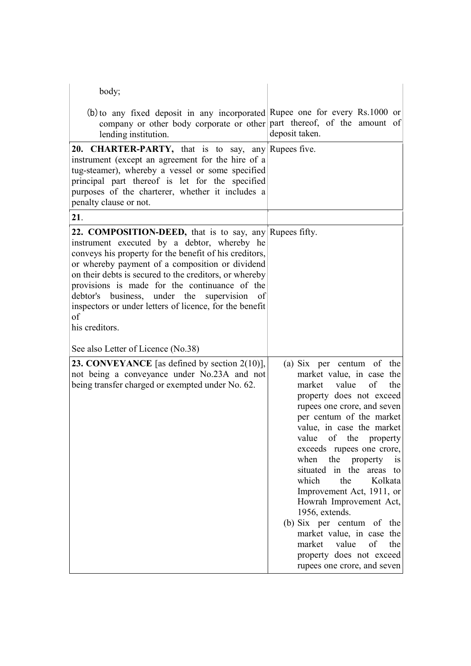| body;                                                                                                                                                                                                                                                                                                                                                                                                                                                                  |                                                                                                                                                                                                                                                                                                                                                                                                                                                                                                                                                                                       |
|------------------------------------------------------------------------------------------------------------------------------------------------------------------------------------------------------------------------------------------------------------------------------------------------------------------------------------------------------------------------------------------------------------------------------------------------------------------------|---------------------------------------------------------------------------------------------------------------------------------------------------------------------------------------------------------------------------------------------------------------------------------------------------------------------------------------------------------------------------------------------------------------------------------------------------------------------------------------------------------------------------------------------------------------------------------------|
| (b) to any fixed deposit in any incorporated Rupee one for every Rs.1000 or<br>company or other body corporate or other part thereof, of the amount of<br>lending institution.                                                                                                                                                                                                                                                                                         | deposit taken.                                                                                                                                                                                                                                                                                                                                                                                                                                                                                                                                                                        |
| 20. CHARTER-PARTY, that is to say, any Rupees five.<br>instrument (except an agreement for the hire of a<br>tug-steamer), whereby a vessel or some specified<br>principal part thereof is let for the specified<br>purposes of the charterer, whether it includes a<br>penalty clause or not.                                                                                                                                                                          |                                                                                                                                                                                                                                                                                                                                                                                                                                                                                                                                                                                       |
| 21.                                                                                                                                                                                                                                                                                                                                                                                                                                                                    |                                                                                                                                                                                                                                                                                                                                                                                                                                                                                                                                                                                       |
| 22. COMPOSITION-DEED, that is to say, any Rupees fifty.<br>instrument executed by a debtor, whereby he<br>conveys his property for the benefit of his creditors,<br>or whereby payment of a composition or dividend<br>on their debts is secured to the creditors, or whereby<br>provisions is made for the continuance of the<br>business, under the supervision<br>debtor's<br>of<br>inspectors or under letters of licence, for the benefit<br>of<br>his creditors. |                                                                                                                                                                                                                                                                                                                                                                                                                                                                                                                                                                                       |
| See also Letter of Licence (No.38)                                                                                                                                                                                                                                                                                                                                                                                                                                     |                                                                                                                                                                                                                                                                                                                                                                                                                                                                                                                                                                                       |
| <b>23. CONVEYANCE</b> [as defined by section $2(10)$ ],<br>not being a conveyance under No.23A and not<br>being transfer charged or exempted under No. 62.                                                                                                                                                                                                                                                                                                             | (a) Six per centum of the<br>market value, in case the<br>value<br>of<br>market<br>the<br>property does not exceed<br>rupees one crore, and seven<br>per centum of the market<br>value, in case the market<br>value of the property<br>exceeds rupees one crore,<br>when the property<br><b>1S</b><br>situated in the areas to<br>which<br>the<br>Kolkata<br>Improvement Act, 1911, or<br>Howrah Improvement Act,<br>1956, extends.<br>(b) Six per centum of the<br>market value, in case the<br>market value<br>of<br>the<br>property does not exceed<br>rupees one crore, and seven |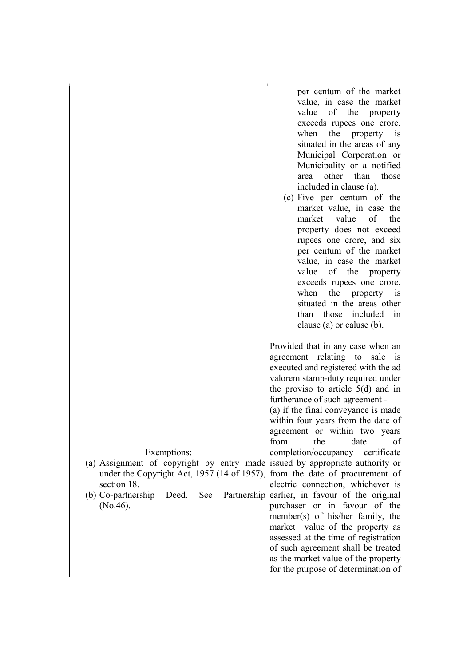| value, in case the market                                                                                                                                                                                                                                                                                                                                                                                                                                                                                                                                                                                                                                                                                                                                                                                                                                                                                                       |
|---------------------------------------------------------------------------------------------------------------------------------------------------------------------------------------------------------------------------------------------------------------------------------------------------------------------------------------------------------------------------------------------------------------------------------------------------------------------------------------------------------------------------------------------------------------------------------------------------------------------------------------------------------------------------------------------------------------------------------------------------------------------------------------------------------------------------------------------------------------------------------------------------------------------------------|
|                                                                                                                                                                                                                                                                                                                                                                                                                                                                                                                                                                                                                                                                                                                                                                                                                                                                                                                                 |
| value<br>of the property                                                                                                                                                                                                                                                                                                                                                                                                                                                                                                                                                                                                                                                                                                                                                                                                                                                                                                        |
| exceeds rupees one crore,                                                                                                                                                                                                                                                                                                                                                                                                                                                                                                                                                                                                                                                                                                                                                                                                                                                                                                       |
| when<br>the property is                                                                                                                                                                                                                                                                                                                                                                                                                                                                                                                                                                                                                                                                                                                                                                                                                                                                                                         |
| situated in the areas of any                                                                                                                                                                                                                                                                                                                                                                                                                                                                                                                                                                                                                                                                                                                                                                                                                                                                                                    |
| Municipal Corporation or                                                                                                                                                                                                                                                                                                                                                                                                                                                                                                                                                                                                                                                                                                                                                                                                                                                                                                        |
| Municipality or a notified                                                                                                                                                                                                                                                                                                                                                                                                                                                                                                                                                                                                                                                                                                                                                                                                                                                                                                      |
| other than<br>those<br>area                                                                                                                                                                                                                                                                                                                                                                                                                                                                                                                                                                                                                                                                                                                                                                                                                                                                                                     |
| included in clause (a).                                                                                                                                                                                                                                                                                                                                                                                                                                                                                                                                                                                                                                                                                                                                                                                                                                                                                                         |
| (c) Five per centum of the                                                                                                                                                                                                                                                                                                                                                                                                                                                                                                                                                                                                                                                                                                                                                                                                                                                                                                      |
| market value, in case the                                                                                                                                                                                                                                                                                                                                                                                                                                                                                                                                                                                                                                                                                                                                                                                                                                                                                                       |
| of<br>value<br>market<br>the                                                                                                                                                                                                                                                                                                                                                                                                                                                                                                                                                                                                                                                                                                                                                                                                                                                                                                    |
| property does not exceed                                                                                                                                                                                                                                                                                                                                                                                                                                                                                                                                                                                                                                                                                                                                                                                                                                                                                                        |
|                                                                                                                                                                                                                                                                                                                                                                                                                                                                                                                                                                                                                                                                                                                                                                                                                                                                                                                                 |
| rupees one crore, and six                                                                                                                                                                                                                                                                                                                                                                                                                                                                                                                                                                                                                                                                                                                                                                                                                                                                                                       |
| per centum of the market                                                                                                                                                                                                                                                                                                                                                                                                                                                                                                                                                                                                                                                                                                                                                                                                                                                                                                        |
| value, in case the market                                                                                                                                                                                                                                                                                                                                                                                                                                                                                                                                                                                                                                                                                                                                                                                                                                                                                                       |
| of the property<br>value                                                                                                                                                                                                                                                                                                                                                                                                                                                                                                                                                                                                                                                                                                                                                                                                                                                                                                        |
| exceeds rupees one crore,                                                                                                                                                                                                                                                                                                                                                                                                                                                                                                                                                                                                                                                                                                                                                                                                                                                                                                       |
| when<br>the<br>property<br>$\overline{\text{is}}$                                                                                                                                                                                                                                                                                                                                                                                                                                                                                                                                                                                                                                                                                                                                                                                                                                                                               |
| situated in the areas other                                                                                                                                                                                                                                                                                                                                                                                                                                                                                                                                                                                                                                                                                                                                                                                                                                                                                                     |
| than those included<br>$\left  \text{in} \right $                                                                                                                                                                                                                                                                                                                                                                                                                                                                                                                                                                                                                                                                                                                                                                                                                                                                               |
| clause (a) or caluse (b).                                                                                                                                                                                                                                                                                                                                                                                                                                                                                                                                                                                                                                                                                                                                                                                                                                                                                                       |
| Provided that in any case when an<br>agreement relating to sale is<br>executed and registered with the ad<br>valorem stamp-duty required under<br>the proviso to article $5(d)$ and in<br>furtherance of such agreement -<br>(a) if the final conveyance is made<br>within four years from the date of<br>agreement or within two years<br>from the date of<br>completion/occupancy certificate<br>(a) Assignment of copyright by entry made issued by appropriate authority or<br>from the date of procurement of<br>under the Copyright Act, 1957 (14 of 1957),<br>electric connection, whichever is<br>earlier, in favour of the original<br>Partnership<br>purchaser or in favour of the<br>member(s) of his/her family, the<br>market value of the property as<br>assessed at the time of registration<br>of such agreement shall be treated<br>as the market value of the property<br>for the purpose of determination of |
|                                                                                                                                                                                                                                                                                                                                                                                                                                                                                                                                                                                                                                                                                                                                                                                                                                                                                                                                 |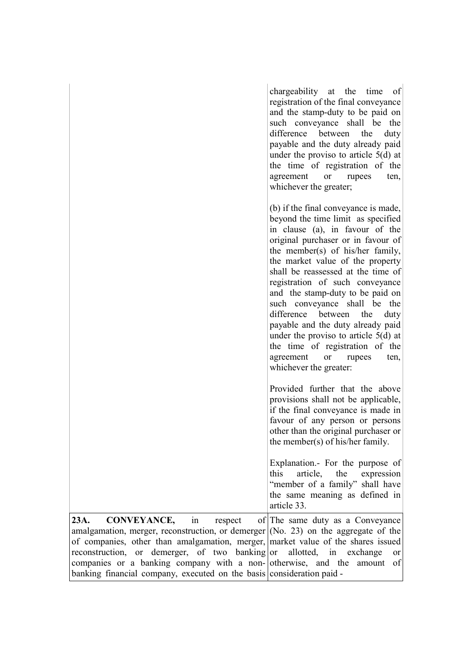|                                                                                                                                                                                                                                                                                                                                                                                                                     | chargeability at the time<br>of<br>registration of the final conveyance<br>and the stamp-duty to be paid on<br>such conveyance shall be the<br>between<br>difference<br>the<br>duty<br>payable and the duty already paid<br>under the proviso to article $5(d)$ at<br>the time of registration of the<br>agreement<br><b>or</b><br>rupees<br>ten,<br>whichever the greater;                                                                                                                                                                                                                                  |
|---------------------------------------------------------------------------------------------------------------------------------------------------------------------------------------------------------------------------------------------------------------------------------------------------------------------------------------------------------------------------------------------------------------------|--------------------------------------------------------------------------------------------------------------------------------------------------------------------------------------------------------------------------------------------------------------------------------------------------------------------------------------------------------------------------------------------------------------------------------------------------------------------------------------------------------------------------------------------------------------------------------------------------------------|
|                                                                                                                                                                                                                                                                                                                                                                                                                     | (b) if the final conveyance is made,<br>beyond the time limit as specified<br>in clause (a), in favour of the<br>original purchaser or in favour of<br>the member(s) of his/her family,<br>the market value of the property<br>shall be reassessed at the time of<br>registration of such conveyance<br>and the stamp-duty to be paid on<br>such conveyance shall be the<br>difference<br>between<br>the<br>duty<br>payable and the duty already paid<br>under the proviso to article $5(d)$ at<br>the time of registration of the<br>agreement<br>rupees<br>ten,<br><sub>or</sub><br>whichever the greater: |
|                                                                                                                                                                                                                                                                                                                                                                                                                     | Provided further that the above<br>provisions shall not be applicable,<br>if the final conveyance is made in<br>favour of any person or persons<br>other than the original purchaser or<br>the member(s) of his/her family.                                                                                                                                                                                                                                                                                                                                                                                  |
|                                                                                                                                                                                                                                                                                                                                                                                                                     | Explanation.- For the purpose of<br>this<br>article,<br>the<br>expression<br>"member of a family" shall have<br>the same meaning as defined in<br>article 33.                                                                                                                                                                                                                                                                                                                                                                                                                                                |
| <b>CONVEYANCE,</b><br>23A.<br>in<br>respect<br>amalgamation, merger, reconstruction, or demerger $(No. 23)$ on the aggregate of the<br>of companies, other than amalgamation, merger, market value of the shares issued<br>reconstruction, or demerger, of two banking or<br>companies or a banking company with a non- otherwise, and the<br>banking financial company, executed on the basis consideration paid - | of The same duty as a Conveyance<br>allotted,<br>in<br>exchange<br><b>or</b><br>amount<br>of                                                                                                                                                                                                                                                                                                                                                                                                                                                                                                                 |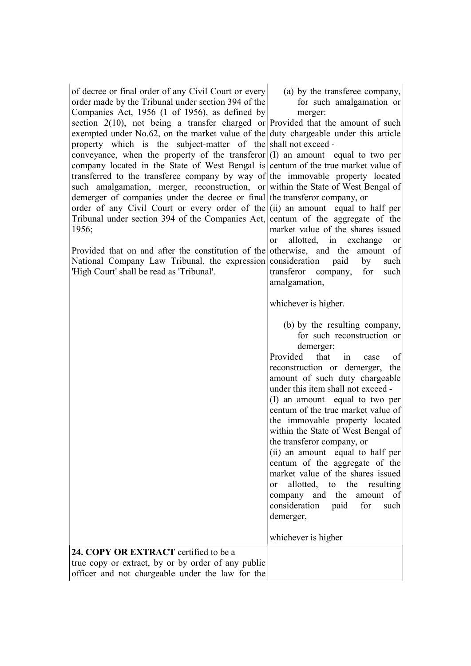| of decree or final order of any Civil Court or every<br>order made by the Tribunal under section 394 of the | (a) by the transferee company,<br>for such amalgamation or |
|-------------------------------------------------------------------------------------------------------------|------------------------------------------------------------|
| Companies Act, 1956 (1 of 1956), as defined by                                                              | merger:                                                    |
| section $2(10)$ , not being a transfer charged or Provided that the amount of such                          |                                                            |
| exempted under No.62, on the market value of the duty chargeable under this article                         |                                                            |
| property which is the subject-matter of the shall not exceed -                                              |                                                            |
| conveyance, when the property of the transferor $(I)$ an amount equal to two per                            |                                                            |
| company located in the State of West Bengal is centum of the true market value of                           |                                                            |
| transferred to the transferee company by way of the immovable property located                              |                                                            |
| such amalgamation, merger, reconstruction, or within the State of West Bengal of                            |                                                            |
| demerger of companies under the decree or final the transferor company, or                                  |                                                            |
| order of any Civil Court or every order of the $(i)$ an amount equal to half per                            |                                                            |
| Tribunal under section 394 of the Companies Act, centum of the aggregate of the                             |                                                            |
| 1956;                                                                                                       | market value of the shares issued                          |
|                                                                                                             | allotted, in exchange<br><b>or</b><br>or                   |
| Provided that on and after the constitution of the otherwise, and the                                       | amount of                                                  |
| National Company Law Tribunal, the expression                                                               | consideration<br>paid<br>by<br>such                        |
| 'High Court' shall be read as 'Tribunal'.                                                                   | transferor company, for<br>such                            |
|                                                                                                             | amalgamation,                                              |
|                                                                                                             |                                                            |
|                                                                                                             | whichever is higher.                                       |
|                                                                                                             |                                                            |
|                                                                                                             | (b) by the resulting company,                              |
|                                                                                                             | for such reconstruction or                                 |
|                                                                                                             | demerger:                                                  |
|                                                                                                             | Provided<br>that<br>of<br>1n<br>case                       |
|                                                                                                             | reconstruction or demerger, the                            |
|                                                                                                             | amount of such duty chargeable                             |
|                                                                                                             | under this item shall not exceed -                         |
|                                                                                                             | (I) an amount equal to two per                             |
|                                                                                                             | centum of the true market value of                         |
|                                                                                                             | the immovable property located                             |
|                                                                                                             | within the State of West Bengal of                         |
|                                                                                                             | the transferor company, or                                 |
|                                                                                                             | (ii) an amount equal to half per                           |
|                                                                                                             | centum of the aggregate of the                             |
|                                                                                                             | market value of the shares issued                          |
|                                                                                                             | allotted, to the<br>resulting<br><sub>or</sub>             |
|                                                                                                             | company and the<br>amount of                               |
|                                                                                                             | consideration<br>paid<br>for<br>such                       |
|                                                                                                             | demerger,                                                  |
|                                                                                                             | whichever is higher                                        |
| 24. COPY OR EXTRACT certified to be a                                                                       |                                                            |
| true copy or extract, by or by order of any public                                                          |                                                            |
| officer and not chargeable under the law for the                                                            |                                                            |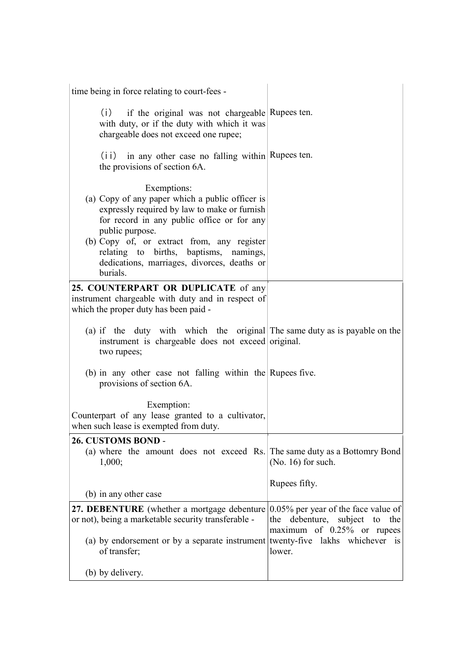| time being in force relating to court-fees -                                                                                                                                                                                                                                                                                       |                                                                                                         |
|------------------------------------------------------------------------------------------------------------------------------------------------------------------------------------------------------------------------------------------------------------------------------------------------------------------------------------|---------------------------------------------------------------------------------------------------------|
| if the original was not chargeable Rupees ten.<br>(i)<br>with duty, or if the duty with which it was<br>chargeable does not exceed one rupee;                                                                                                                                                                                      |                                                                                                         |
| in any other case no falling within Rupees ten.<br>(i)<br>the provisions of section 6A.                                                                                                                                                                                                                                            |                                                                                                         |
| Exemptions:<br>(a) Copy of any paper which a public officer is<br>expressly required by law to make or furnish<br>for record in any public office or for any<br>public purpose.<br>(b) Copy of, or extract from, any register<br>relating to births, baptisms, namings,<br>dedications, marriages, divorces, deaths or<br>burials. |                                                                                                         |
| 25. COUNTERPART OR DUPLICATE of any<br>instrument chargeable with duty and in respect of<br>which the proper duty has been paid -                                                                                                                                                                                                  |                                                                                                         |
| (a) if the duty with which the original The same duty as is payable on the                                                                                                                                                                                                                                                         |                                                                                                         |
| instrument is chargeable does not exceed original.<br>two rupees;                                                                                                                                                                                                                                                                  |                                                                                                         |
| (b) in any other case not falling within the Rupees five.<br>provisions of section 6A.                                                                                                                                                                                                                                             |                                                                                                         |
| Exemption:<br>Counterpart of any lease granted to a cultivator,<br>when such lease is exempted from duty.                                                                                                                                                                                                                          |                                                                                                         |
| 26. CUSTOMS BOND -<br>(a) where the amount does not exceed Rs. The same duty as a Bottomry Bond<br>1,000;                                                                                                                                                                                                                          | $(No. 16)$ for such.                                                                                    |
|                                                                                                                                                                                                                                                                                                                                    | Rupees fifty.                                                                                           |
| (b) in any other case<br>27. DEBENTURE (whether a mortgage debenture                                                                                                                                                                                                                                                               | $0.05\%$ per year of the face value of                                                                  |
| or not), being a marketable security transferable -<br>(a) by endorsement or by a separate instrument<br>of transfer;                                                                                                                                                                                                              | the debenture, subject to the<br>maximum of 0.25% or rupees<br>twenty-five lakhs whichever is<br>lower. |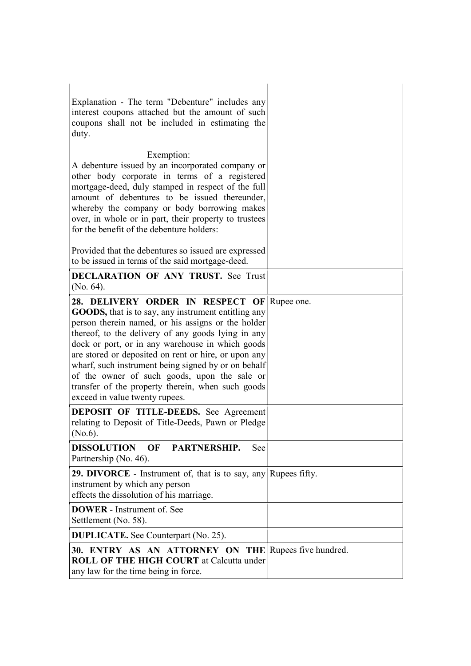| Explanation - The term "Debenture" includes any<br>interest coupons attached but the amount of such<br>coupons shall not be included in estimating the<br>duty.                                                                                                                                                                                                                                                                                                                                                          |  |
|--------------------------------------------------------------------------------------------------------------------------------------------------------------------------------------------------------------------------------------------------------------------------------------------------------------------------------------------------------------------------------------------------------------------------------------------------------------------------------------------------------------------------|--|
| Exemption:<br>A debenture issued by an incorporated company or<br>other body corporate in terms of a registered<br>mortgage-deed, duly stamped in respect of the full<br>amount of debentures to be issued thereunder,<br>whereby the company or body borrowing makes<br>over, in whole or in part, their property to trustees<br>for the benefit of the debenture holders:                                                                                                                                              |  |
| Provided that the debentures so issued are expressed<br>to be issued in terms of the said mortgage-deed.                                                                                                                                                                                                                                                                                                                                                                                                                 |  |
| <b>DECLARATION OF ANY TRUST.</b> See Trust<br>(No. 64).                                                                                                                                                                                                                                                                                                                                                                                                                                                                  |  |
| 28. DELIVERY ORDER IN RESPECT OF Rupee one.<br>GOODS, that is to say, any instrument entitling any<br>person therein named, or his assigns or the holder<br>thereof, to the delivery of any goods lying in any<br>dock or port, or in any warehouse in which goods<br>are stored or deposited on rent or hire, or upon any<br>wharf, such instrument being signed by or on behalf<br>of the owner of such goods, upon the sale or<br>transfer of the property therein, when such goods<br>exceed in value twenty rupees. |  |
| <b>DEPOSIT OF TITLE-DEEDS.</b> See Agreement<br>relating to Deposit of Title-Deeds, Pawn or Pledge<br>(No.6).                                                                                                                                                                                                                                                                                                                                                                                                            |  |
| <b>DISSOLUTION</b><br>OF<br>PARTNERSHIP.<br>See<br>Partnership (No. 46).                                                                                                                                                                                                                                                                                                                                                                                                                                                 |  |
| 29. DIVORCE - Instrument of, that is to say, any Rupees fifty.<br>instrument by which any person<br>effects the dissolution of his marriage.                                                                                                                                                                                                                                                                                                                                                                             |  |
| <b>DOWER</b> - Instrument of. See<br>Settlement (No. 58).                                                                                                                                                                                                                                                                                                                                                                                                                                                                |  |
| <b>DUPLICATE.</b> See Counterpart (No. 25).                                                                                                                                                                                                                                                                                                                                                                                                                                                                              |  |
| 30. ENTRY AS AN ATTORNEY ON THE Rupees five hundred.<br><b>ROLL OF THE HIGH COURT at Calcutta under</b><br>any law for the time being in force.                                                                                                                                                                                                                                                                                                                                                                          |  |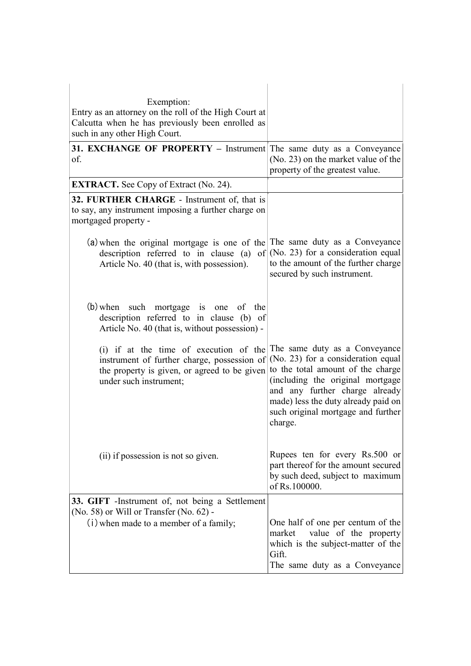| Exemption:<br>Entry as an attorney on the roll of the High Court at<br>Calcutta when he has previously been enrolled as<br>such in any other High Court.                                      |                                                                                                                                                                                                                                       |
|-----------------------------------------------------------------------------------------------------------------------------------------------------------------------------------------------|---------------------------------------------------------------------------------------------------------------------------------------------------------------------------------------------------------------------------------------|
| 31. EXCHANGE OF PROPERTY - Instrument The same duty as a Conveyance<br>of.                                                                                                                    | (No. 23) on the market value of the<br>property of the greatest value.                                                                                                                                                                |
| <b>EXTRACT.</b> See Copy of Extract (No. 24).                                                                                                                                                 |                                                                                                                                                                                                                                       |
| 32. FURTHER CHARGE - Instrument of, that is<br>to say, any instrument imposing a further charge on<br>mortgaged property -                                                                    |                                                                                                                                                                                                                                       |
| (a) when the original mortgage is one of the The same duty as a Conveyance<br>description referred to in clause (a)<br>Article No. 40 (that is, with possession).                             | of $(No. 23)$ for a consideration equal<br>to the amount of the further charge<br>secured by such instrument.                                                                                                                         |
| (b) when such mortgage is one of the<br>description referred to in clause (b) of<br>Article No. 40 (that is, without possession) -                                                            |                                                                                                                                                                                                                                       |
| (i) if at the time of execution of the The same duty as a Conveyance<br>instrument of further charge, possession of<br>the property is given, or agreed to be given<br>under such instrument; | (No. 23) for a consideration equal<br>to the total amount of the charge<br>(including the original mortgage<br>and any further charge already<br>made) less the duty already paid on<br>such original mortgage and further<br>charge. |
| (ii) if possession is not so given.                                                                                                                                                           | Rupees ten for every Rs.500 or<br>part thereof for the amount secured<br>by such deed, subject to maximum<br>of Rs.100000.                                                                                                            |
| 33. GIFT - Instrument of, not being a Settlement<br>(No. 58) or Will or Transfer (No. 62) -                                                                                                   |                                                                                                                                                                                                                                       |
| (i) when made to a member of a family;                                                                                                                                                        | One half of one per centum of the<br>value of the property<br>market<br>which is the subject-matter of the<br>Gift.<br>The same duty as a Conveyance                                                                                  |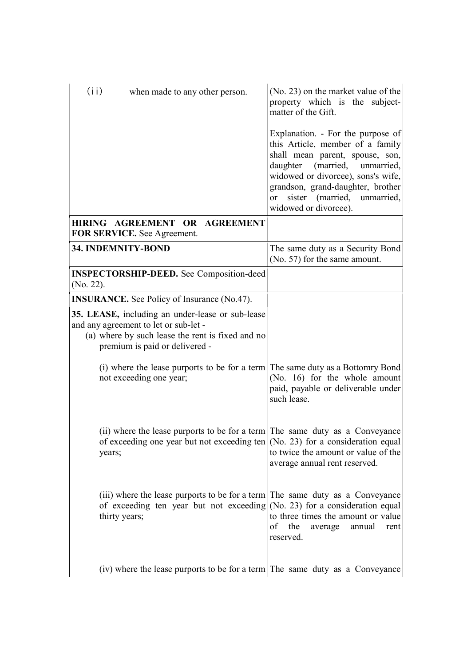| (i i)<br>when made to any other person.                                                                                                                                         | (No. 23) on the market value of the<br>property which is the subject-<br>matter of the Gift.                                                                                                                                                                                                     |
|---------------------------------------------------------------------------------------------------------------------------------------------------------------------------------|--------------------------------------------------------------------------------------------------------------------------------------------------------------------------------------------------------------------------------------------------------------------------------------------------|
|                                                                                                                                                                                 | Explanation. - For the purpose of<br>this Article, member of a family<br>shall mean parent, spouse, son,<br>daughter (married,<br>unmarried,<br>widowed or divorcee), sons's wife,<br>grandson, grand-daughter, brother<br>sister (married, unmarried,<br><sub>or</sub><br>widowed or divorcee). |
| HIRING AGREEMENT OR AGREEMENT<br>FOR SERVICE. See Agreement.                                                                                                                    |                                                                                                                                                                                                                                                                                                  |
| 34. INDEMNITY-BOND                                                                                                                                                              | The same duty as a Security Bond<br>(No. 57) for the same amount.                                                                                                                                                                                                                                |
| <b>INSPECTORSHIP-DEED.</b> See Composition-deed<br>$(No. 22)$ .                                                                                                                 |                                                                                                                                                                                                                                                                                                  |
| <b>INSURANCE.</b> See Policy of Insurance (No.47).                                                                                                                              |                                                                                                                                                                                                                                                                                                  |
| 35. LEASE, including an under-lease or sub-lease<br>and any agreement to let or sub-let -<br>(a) where by such lease the rent is fixed and no<br>premium is paid or delivered - |                                                                                                                                                                                                                                                                                                  |
| (i) where the lease purports to be for a term The same duty as a Bottomry Bond<br>not exceeding one year;                                                                       | (No. 16) for the whole amount<br>paid, payable or deliverable under<br>such lease.                                                                                                                                                                                                               |
| (ii) where the lease purports to be for a term The same duty as a Conveyance<br>of exceeding one year but not exceeding ten $(No. 23)$ for a consideration equal<br>years;      | to twice the amount or value of the<br>average annual rent reserved.                                                                                                                                                                                                                             |
| (iii) where the lease purports to be for a term The same duty as a Conveyance<br>of exceeding ten year but not exceeding $(No. 23)$ for a consideration equal<br>thirty years;  | to three times the amount or value<br>the<br>οf<br>annual<br>average<br>rent<br>reserved.                                                                                                                                                                                                        |
| (iv) where the lease purports to be for a term The same duty as a Conveyance                                                                                                    |                                                                                                                                                                                                                                                                                                  |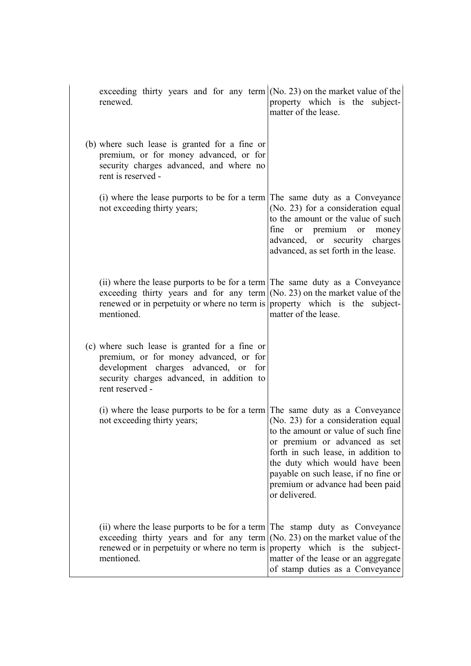| exceeding thirty years and for any term $(No. 23)$ on the market value of the<br>renewed.                                                                                                                                                                  | property which is the subject-<br>matter of the lease.                                                                                                                                                                                                                           |
|------------------------------------------------------------------------------------------------------------------------------------------------------------------------------------------------------------------------------------------------------------|----------------------------------------------------------------------------------------------------------------------------------------------------------------------------------------------------------------------------------------------------------------------------------|
| (b) where such lease is granted for a fine or<br>premium, or for money advanced, or for<br>security charges advanced, and where no<br>rent is reserved -                                                                                                   |                                                                                                                                                                                                                                                                                  |
| (i) where the lease purports to be for a term The same duty as a Conveyance<br>not exceeding thirty years;                                                                                                                                                 | (No. 23) for a consideration equal<br>to the amount or the value of such<br>fine<br>or premium or money<br>advanced, or security charges<br>advanced, as set forth in the lease.                                                                                                 |
| (ii) where the lease purports to be for a term The same duty as a Conveyance<br>exceeding thirty years and for any term $(No. 23)$ on the market value of the<br>renewed or in perpetuity or where no term is property which is the subject-<br>mentioned. | matter of the lease.                                                                                                                                                                                                                                                             |
| (c) where such lease is granted for a fine or<br>premium, or for money advanced, or for<br>development charges advanced, or for<br>security charges advanced, in addition to<br>rent reserved -                                                            |                                                                                                                                                                                                                                                                                  |
| (i) where the lease purports to be for a term The same duty as a Conveyance<br>not exceeding thirty years;                                                                                                                                                 | (No. 23) for a consideration equal<br>to the amount or value of such fine<br>or premium or advanced as set<br>forth in such lease, in addition to<br>the duty which would have been<br>payable on such lease, if no fine or<br>premium or advance had been paid<br>or delivered. |
| (ii) where the lease purports to be for a term The stamp duty as Conveyance<br>exceeding thirty years and for any term<br>renewed or in perpetuity or where no term is<br>mentioned.                                                                       | (No. 23) on the market value of the<br>property which is the subject-<br>matter of the lease or an aggregate<br>of stamp duties as a Conveyance                                                                                                                                  |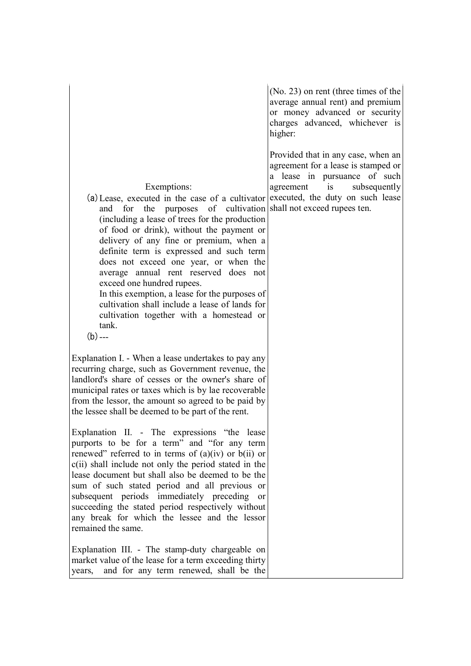|                                                                                                                                                                                                                                                                                                                                                                                                                                                                                                                                                                                                                                                 | $(No. 23)$ on rent (three times of the<br>average annual rent) and premium<br>or money advanced or security<br>charges advanced, whichever is<br>higher: |
|-------------------------------------------------------------------------------------------------------------------------------------------------------------------------------------------------------------------------------------------------------------------------------------------------------------------------------------------------------------------------------------------------------------------------------------------------------------------------------------------------------------------------------------------------------------------------------------------------------------------------------------------------|----------------------------------------------------------------------------------------------------------------------------------------------------------|
| Exemptions:<br>(a) Lease, executed in the case of a cultivator executed, the duty on such lease<br>and for the purposes of cultivation shall not exceed rupees ten.<br>(including a lease of trees for the production<br>of food or drink), without the payment or<br>delivery of any fine or premium, when a<br>definite term is expressed and such term<br>does not exceed one year, or when the<br>average annual rent reserved does not<br>exceed one hundred rupees.<br>In this exemption, a lease for the purposes of<br>cultivation shall include a lease of lands for<br>cultivation together with a homestead or<br>tank.<br>$(b)$ --- | Provided that in any case, when an<br>agreement for a lease is stamped or<br>a lease in pursuance of such<br>agreement is<br>subsequently                |
| Explanation I. - When a lease undertakes to pay any<br>recurring charge, such as Government revenue, the<br>landlord's share of cesses or the owner's share of<br>municipal rates or taxes which is by lae recoverable<br>from the lessor, the amount so agreed to be paid by<br>the lessee shall be deemed to be part of the rent.                                                                                                                                                                                                                                                                                                             |                                                                                                                                                          |
| Explanation II. - The expressions "the lease<br>purports to be for a term" and "for any term<br>renewed" referred to in terms of $(a)(iv)$ or $b(ii)$ or<br>c(ii) shall include not only the period stated in the<br>lease document but shall also be deemed to be the<br>sum of such stated period and all previous or<br>subsequent periods immediately preceding<br><b>or</b><br>succeeding the stated period respectively without<br>any break for which the lessee and the lessor<br>remained the same.                                                                                                                                    |                                                                                                                                                          |
| Explanation III. - The stamp-duty chargeable on<br>market value of the lease for a term exceeding thirty<br>and for any term renewed, shall be the<br>years,                                                                                                                                                                                                                                                                                                                                                                                                                                                                                    |                                                                                                                                                          |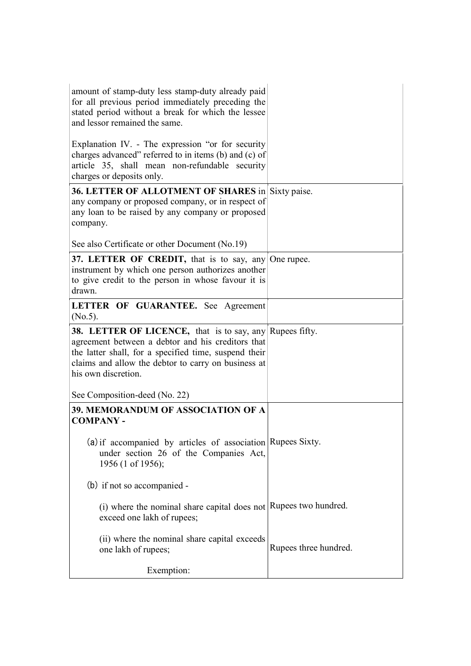| amount of stamp-duty less stamp-duty already paid<br>for all previous period immediately preceding the<br>stated period without a break for which the lessee<br>and lessor remained the same.                                                               |                       |
|-------------------------------------------------------------------------------------------------------------------------------------------------------------------------------------------------------------------------------------------------------------|-----------------------|
| Explanation IV. - The expression "or for security<br>charges advanced" referred to in items (b) and (c) of<br>article 35, shall mean non-refundable security<br>charges or deposits only.                                                                   |                       |
| 36. LETTER OF ALLOTMENT OF SHARES in Sixty paise.<br>any company or proposed company, or in respect of<br>any loan to be raised by any company or proposed<br>company.                                                                                      |                       |
| See also Certificate or other Document (No.19)                                                                                                                                                                                                              |                       |
| 37. LETTER OF CREDIT, that is to say, any One rupee.<br>instrument by which one person authorizes another<br>to give credit to the person in whose favour it is<br>drawn.                                                                                   |                       |
| LETTER OF GUARANTEE. See Agreement<br>$(No.5)$ .                                                                                                                                                                                                            |                       |
| <b>38. LETTER OF LICENCE,</b> that is to say, any Rupees fifty.<br>agreement between a debtor and his creditors that<br>the latter shall, for a specified time, suspend their<br>claims and allow the debtor to carry on business at<br>his own discretion. |                       |
| See Composition-deed (No. 22)                                                                                                                                                                                                                               |                       |
| 39. MEMORANDUM OF ASSOCIATION OF A<br><b>COMPANY -</b>                                                                                                                                                                                                      |                       |
| $(a)$ if accompanied by articles of association Rupees Sixty.<br>under section 26 of the Companies Act,<br>1956 (1 of 1956);                                                                                                                                |                       |
| (b) if not so accompanied -                                                                                                                                                                                                                                 |                       |
| (i) where the nominal share capital does not Rupees two hundred.<br>exceed one lakh of rupees;                                                                                                                                                              |                       |
| (ii) where the nominal share capital exceeds<br>one lakh of rupees;                                                                                                                                                                                         | Rupees three hundred. |
| Exemption:                                                                                                                                                                                                                                                  |                       |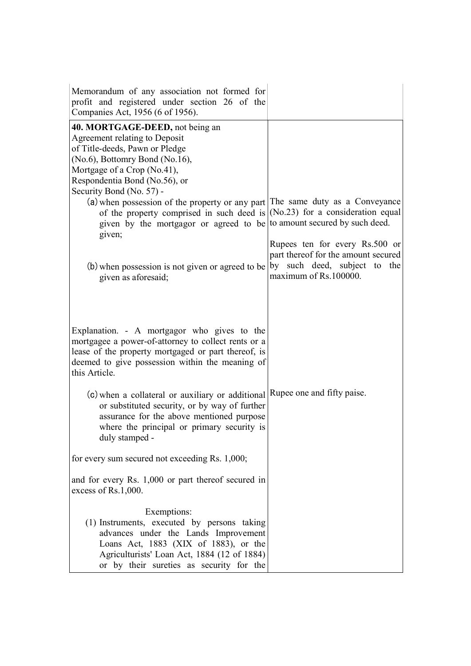| Companies Act, 1956 (6 of 1956).                                                                                                                                                                                                                                                                                                                                                                                                                   |                                                                                                              |
|----------------------------------------------------------------------------------------------------------------------------------------------------------------------------------------------------------------------------------------------------------------------------------------------------------------------------------------------------------------------------------------------------------------------------------------------------|--------------------------------------------------------------------------------------------------------------|
| 40. MORTGAGE-DEED, not being an<br>Agreement relating to Deposit<br>of Title-deeds, Pawn or Pledge<br>(No.6), Bottomry Bond (No.16),<br>Mortgage of a Crop (No.41),<br>Respondentia Bond (No.56), or<br>Security Bond (No. 57) -<br>(a) when possession of the property or any part The same duty as a Conveyance<br>of the property comprised in such deed is<br>given by the mortgagor or agreed to be to amount secured by such deed.<br>given; | $(No.23)$ for a consideration equal<br>Rupees ten for every Rs.500 or<br>part thereof for the amount secured |
| (b) when possession is not given or agreed to be<br>given as aforesaid;                                                                                                                                                                                                                                                                                                                                                                            | by such deed, subject to the<br>maximum of Rs.100000.                                                        |
| Explanation. - A mortgagor who gives to the<br>mortgagee a power-of-attorney to collect rents or a<br>lease of the property mortgaged or part thereof, is<br>deemed to give possession within the meaning of<br>this Article.                                                                                                                                                                                                                      |                                                                                                              |
| (c) when a collateral or auxiliary or additional Rupee one and fifty paise.<br>or substituted security, or by way of further<br>assurance for the above mentioned purpose<br>where the principal or primary security is<br>duly stamped -                                                                                                                                                                                                          |                                                                                                              |
| for every sum secured not exceeding Rs. 1,000;                                                                                                                                                                                                                                                                                                                                                                                                     |                                                                                                              |
| and for every Rs. 1,000 or part thereof secured in<br>excess of Rs.1,000.                                                                                                                                                                                                                                                                                                                                                                          |                                                                                                              |
| Exemptions:<br>(1) Instruments, executed by persons taking<br>advances under the Lands Improvement<br>Loans Act, 1883 (XIX of 1883), or the<br>Agriculturists' Loan Act, 1884 (12 of 1884)<br>or by their sureties as security for the                                                                                                                                                                                                             |                                                                                                              |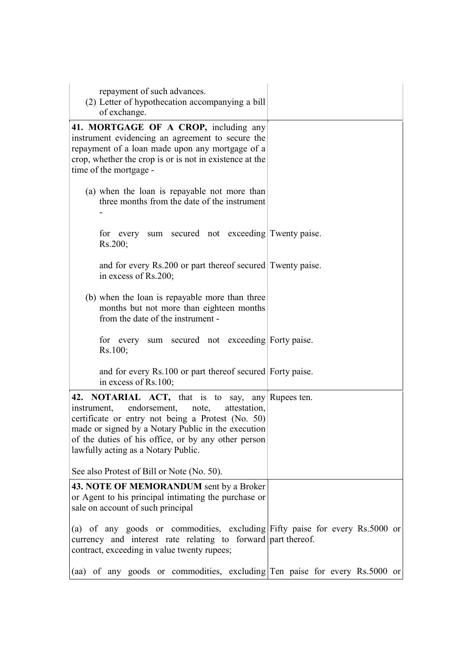| repayment of such advances.<br>(2) Letter of hypothecation accompanying a bill<br>of exchange.                                                                                                                                                                                                                     |  |
|--------------------------------------------------------------------------------------------------------------------------------------------------------------------------------------------------------------------------------------------------------------------------------------------------------------------|--|
| 41. MORTGAGE OF A CROP, including any<br>instrument evidencing an agreement to secure the<br>repayment of a loan made upon any mortgage of a<br>crop, whether the crop is or is not in existence at the<br>time of the mortgage -                                                                                  |  |
| (a) when the loan is repayable not more than<br>three months from the date of the instrument                                                                                                                                                                                                                       |  |
| for every sum secured not exceeding Twenty paise.<br>Rs.200;                                                                                                                                                                                                                                                       |  |
| and for every Rs.200 or part thereof secured Twenty paise.<br>in excess of Rs.200;                                                                                                                                                                                                                                 |  |
| (b) when the loan is repayable more than three<br>months but not more than eighteen months<br>from the date of the instrument -                                                                                                                                                                                    |  |
| for every sum secured not exceeding Forty paise.<br>Rs.100;                                                                                                                                                                                                                                                        |  |
| and for every Rs.100 or part thereof secured Forty paise.<br>in excess of Rs.100;                                                                                                                                                                                                                                  |  |
| 42. NOTARIAL ACT, that is to say, any Rupees ten.<br>endorsement,<br>note,<br>attestation,<br>instrument,<br>certificate or entry not being a Protest (No. 50)<br>made or signed by a Notary Public in the execution<br>of the duties of his office, or by any other person<br>lawfully acting as a Notary Public. |  |
| See also Protest of Bill or Note (No. 50).                                                                                                                                                                                                                                                                         |  |
| 43. NOTE OF MEMORANDUM sent by a Broker<br>or Agent to his principal intimating the purchase or<br>sale on account of such principal                                                                                                                                                                               |  |
| (a) of any goods or commodities, excluding Fifty paise for every Rs.5000 or<br>currency and interest rate relating to forward part thereof.<br>contract, exceeding in value twenty rupees;                                                                                                                         |  |
| (aa) of any goods or commodities, excluding Ten paise for every Rs.5000 or                                                                                                                                                                                                                                         |  |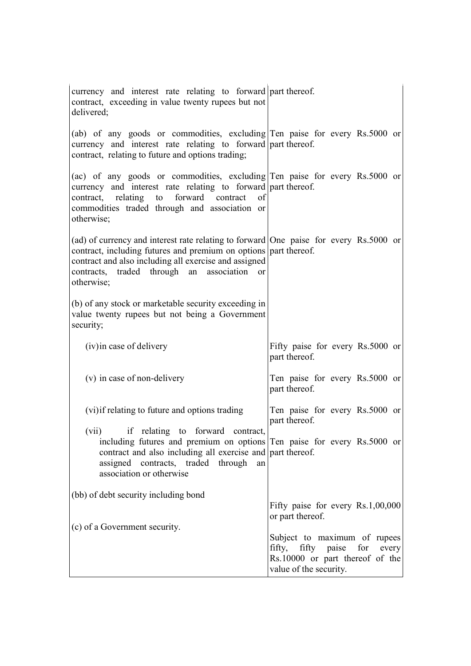| currency and interest rate relating to forward part thereof.<br>contract, exceeding in value twenty rupees but not<br>delivered;                                                                                                                                                |                                                                                                                              |
|---------------------------------------------------------------------------------------------------------------------------------------------------------------------------------------------------------------------------------------------------------------------------------|------------------------------------------------------------------------------------------------------------------------------|
| (ab) of any goods or commodities, excluding Ten paise for every Rs.5000 or<br>currency and interest rate relating to forward part thereof.<br>contract, relating to future and options trading;                                                                                 |                                                                                                                              |
| (ac) of any goods or commodities, excluding Ten paise for every Rs.5000 or<br>currency and interest rate relating to forward part thereof.<br>contract, relating to forward contract<br>of<br>commodities traded through and association or<br>otherwise;                       |                                                                                                                              |
| (ad) of currency and interest rate relating to forward One paise for every Rs.5000 or<br>contract, including futures and premium on options part thereof.<br>contract and also including all exercise and assigned<br>contracts, traded through an association or<br>otherwise; |                                                                                                                              |
| (b) of any stock or marketable security exceeding in<br>value twenty rupees but not being a Government<br>security;                                                                                                                                                             |                                                                                                                              |
| (iv) in case of delivery                                                                                                                                                                                                                                                        | Fifty paise for every Rs.5000 or<br>part thereof.                                                                            |
| (v) in case of non-delivery                                                                                                                                                                                                                                                     | Ten paise for every Rs.5000 or<br>part thereof.                                                                              |
| (vi) if relating to future and options trading                                                                                                                                                                                                                                  | Ten paise for every Rs.5000 or<br>part thereof.                                                                              |
| (vii) if relating to forward contract,<br>including futures and premium on options Ten paise for every Rs.5000 or<br>contract and also including all exercise and part thereof.<br>assigned contracts, traded through<br>an<br>association or otherwise                         |                                                                                                                              |
| (bb) of debt security including bond                                                                                                                                                                                                                                            | Fifty paise for every Rs.1,00,000                                                                                            |
| (c) of a Government security.                                                                                                                                                                                                                                                   | or part thereof.                                                                                                             |
|                                                                                                                                                                                                                                                                                 | Subject to maximum of rupees<br>fifty, fifty paise for<br>every<br>Rs.10000 or part thereof of the<br>value of the security. |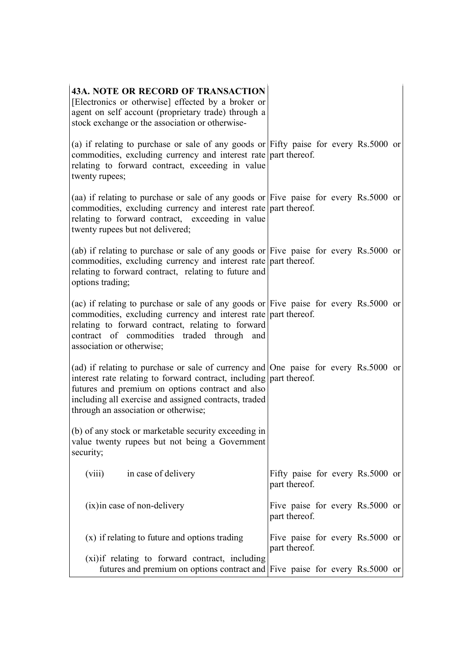| <b>43A. NOTE OR RECORD OF TRANSACTION</b><br>[Electronics or otherwise] effected by a broker or<br>agent on self account (proprietary trade) through a<br>stock exchange or the association or otherwise-                                                                                                         |                                                   |
|-------------------------------------------------------------------------------------------------------------------------------------------------------------------------------------------------------------------------------------------------------------------------------------------------------------------|---------------------------------------------------|
| (a) if relating to purchase or sale of any goods or Fifty paise for every Rs.5000 or<br>commodities, excluding currency and interest rate part thereof.<br>relating to forward contract, exceeding in value<br>twenty rupees;                                                                                     |                                                   |
| (aa) if relating to purchase or sale of any goods or Five paise for every Rs.5000 or<br>commodities, excluding currency and interest rate part thereof.<br>relating to forward contract, exceeding in value<br>twenty rupees but not delivered;                                                                   |                                                   |
| (ab) if relating to purchase or sale of any goods or Five paise for every Rs.5000 or<br>commodities, excluding currency and interest rate part thereof.<br>relating to forward contract, relating to future and<br>options trading;                                                                               |                                                   |
| (ac) if relating to purchase or sale of any goods or Five paise for every Rs.5000 or<br>commodities, excluding currency and interest rate part thereof.<br>relating to forward contract, relating to forward<br>contract of commodities traded through and<br>association or otherwise;                           |                                                   |
| (ad) if relating to purchase or sale of currency and One paise for every $Rs.5000$ or<br>interest rate relating to forward contract, including part thereof.<br>futures and premium on options contract and also<br>including all exercise and assigned contracts, traded<br>through an association or otherwise; |                                                   |
| (b) of any stock or marketable security exceeding in<br>value twenty rupees but not being a Government<br>security;                                                                                                                                                                                               |                                                   |
| (viii)<br>in case of delivery                                                                                                                                                                                                                                                                                     | Fifty paise for every Rs.5000 or<br>part thereof. |
| (ix) in case of non-delivery                                                                                                                                                                                                                                                                                      | Five paise for every Rs.5000 or<br>part thereof.  |
| (x) if relating to future and options trading                                                                                                                                                                                                                                                                     | Five paise for every Rs.5000 or<br>part thereof.  |
| (xi) if relating to forward contract, including<br>futures and premium on options contract and Five paise for every Rs.5000 or                                                                                                                                                                                    |                                                   |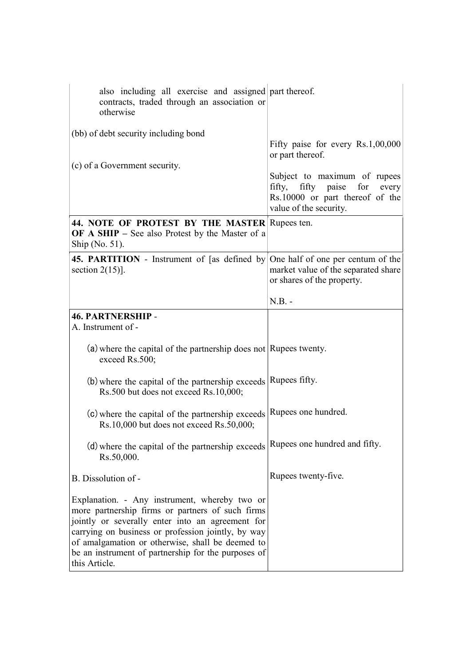| also including all exercise and assigned part thereof.<br>contracts, traded through an association or<br>otherwise                                                                                                                                                                                                                      |                                                                                                                                 |
|-----------------------------------------------------------------------------------------------------------------------------------------------------------------------------------------------------------------------------------------------------------------------------------------------------------------------------------------|---------------------------------------------------------------------------------------------------------------------------------|
| (bb) of debt security including bond                                                                                                                                                                                                                                                                                                    | Fifty paise for every Rs.1,00,000<br>or part thereof.                                                                           |
| (c) of a Government security.                                                                                                                                                                                                                                                                                                           | Subject to maximum of rupees<br>for<br>fifty, fifty paise<br>every<br>Rs.10000 or part thereof of the<br>value of the security. |
| 44. NOTE OF PROTEST BY THE MASTER Rupees ten.<br><b>OF A SHIP</b> – See also Protest by the Master of a<br>Ship (No. 51).                                                                                                                                                                                                               |                                                                                                                                 |
| <b>45. PARTITION</b> - Instrument of [as defined by One half of one per centum of the<br>section $2(15)$ ].                                                                                                                                                                                                                             | market value of the separated share<br>or shares of the property.                                                               |
|                                                                                                                                                                                                                                                                                                                                         | $N.B. -$                                                                                                                        |
| <b>46. PARTNERSHIP -</b><br>A. Instrument of -                                                                                                                                                                                                                                                                                          |                                                                                                                                 |
| (a) where the capital of the partnership does not Rupees twenty.<br>exceed Rs.500;                                                                                                                                                                                                                                                      |                                                                                                                                 |
| (b) where the capital of the partnership exceeds Rupees fifty.<br>Rs.500 but does not exceed Rs.10,000;                                                                                                                                                                                                                                 |                                                                                                                                 |
| (c) where the capital of the partnership exceeds<br>Rs.10,000 but does not exceed Rs.50,000;                                                                                                                                                                                                                                            | Rupees one hundred.                                                                                                             |
| (d) where the capital of the partnership exceeds<br>Rs.50,000.                                                                                                                                                                                                                                                                          | Rupees one hundred and fifty.                                                                                                   |
| B. Dissolution of -                                                                                                                                                                                                                                                                                                                     | Rupees twenty-five.                                                                                                             |
| Explanation. - Any instrument, whereby two or<br>more partnership firms or partners of such firms<br>jointly or severally enter into an agreement for<br>carrying on business or profession jointly, by way<br>of amalgamation or otherwise, shall be deemed to<br>be an instrument of partnership for the purposes of<br>this Article. |                                                                                                                                 |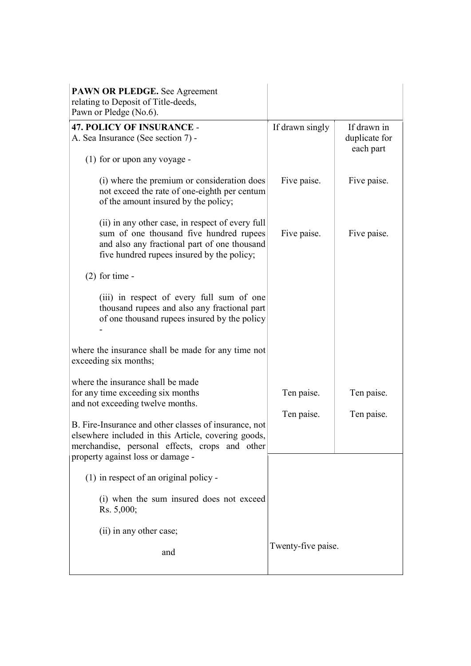| <b>47. POLICY OF INSURANCE -</b><br>A. Sea Insurance (See section 7) -                                                                                                                              | If drawn singly | If drawn in<br>duplicate for<br>each part |
|-----------------------------------------------------------------------------------------------------------------------------------------------------------------------------------------------------|-----------------|-------------------------------------------|
| (1) for or upon any voyage -                                                                                                                                                                        |                 |                                           |
| (i) where the premium or consideration does<br>not exceed the rate of one-eighth per centum<br>of the amount insured by the policy;                                                                 | Five paise.     | Five paise.                               |
| (ii) in any other case, in respect of every full<br>sum of one thousand five hundred rupees<br>and also any fractional part of one thousand<br>five hundred rupees insured by the policy;           | Five paise.     | Five paise.                               |
| $(2)$ for time -                                                                                                                                                                                    |                 |                                           |
| (iii) in respect of every full sum of one<br>thousand rupees and also any fractional part<br>of one thousand rupees insured by the policy                                                           |                 |                                           |
| where the insurance shall be made for any time not<br>exceeding six months;                                                                                                                         |                 |                                           |
| where the insurance shall be made<br>for any time exceeding six months<br>and not exceeding twelve months.                                                                                          | Ten paise.      | Ten paise.                                |
|                                                                                                                                                                                                     | Ten paise.      | Ten paise.                                |
| B. Fire-Insurance and other classes of insurance, not<br>elsewhere included in this Article, covering goods,<br>merchandise, personal effects, crops and other<br>property against loss or damage - |                 |                                           |
| (1) in respect of an original policy -                                                                                                                                                              |                 |                                           |
| (i) when the sum insured does not exceed<br>Rs. 5,000;                                                                                                                                              |                 |                                           |
| (ii) in any other case;                                                                                                                                                                             |                 |                                           |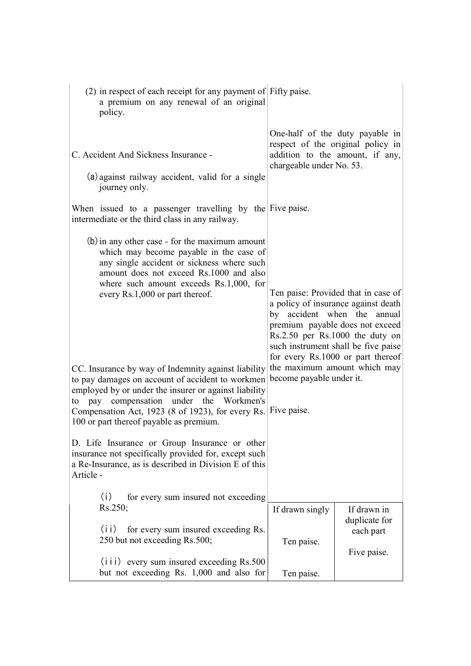| $(2)$ in respect of each receipt for any payment of Fifty paise.<br>a premium on any renewal of an original<br>policy.                                                                                                                                                                                                                                                                                                                                                                                                                                                                                                                       |                                                                                                                                                                                                                                                                                                                         |                                                                                                         |
|----------------------------------------------------------------------------------------------------------------------------------------------------------------------------------------------------------------------------------------------------------------------------------------------------------------------------------------------------------------------------------------------------------------------------------------------------------------------------------------------------------------------------------------------------------------------------------------------------------------------------------------------|-------------------------------------------------------------------------------------------------------------------------------------------------------------------------------------------------------------------------------------------------------------------------------------------------------------------------|---------------------------------------------------------------------------------------------------------|
| C. Accident And Sickness Insurance -<br>(a) against railway accident, valid for a single<br>journey only.                                                                                                                                                                                                                                                                                                                                                                                                                                                                                                                                    | chargeable under No. 53.                                                                                                                                                                                                                                                                                                | One-half of the duty payable in<br>respect of the original policy in<br>addition to the amount, if any, |
| When issued to a passenger travelling by the Five paise.<br>intermediate or the third class in any railway.                                                                                                                                                                                                                                                                                                                                                                                                                                                                                                                                  |                                                                                                                                                                                                                                                                                                                         |                                                                                                         |
| (b) in any other case - for the maximum amount<br>which may become payable in the case of<br>any single accident or sickness where such<br>amount does not exceed Rs.1000 and also<br>where such amount exceeds Rs.1,000, for<br>every Rs.1,000 or part thereof.<br>CC. Insurance by way of Indemnity against liability<br>to pay damages on account of accident to workmen<br>employed by or under the insurer or against liability<br>to pay compensation under the Workmen's<br>Compensation Act, 1923 (8 of 1923), for every Rs. Five paise.<br>100 or part thereof payable as premium.<br>D. Life Insurance or Group Insurance or other | Ten paise: Provided that in case of<br>a policy of insurance against death<br>by accident when the annual<br>premium payable does not exceed<br>Rs.2.50 per Rs.1000 the duty on<br>such instrument shall be five paise<br>for every Rs.1000 or part thereof<br>the maximum amount which may<br>become payable under it. |                                                                                                         |
| insurance not specifically provided for, except such<br>a Re-Insurance, as is described in Division E of this<br>Article -                                                                                                                                                                                                                                                                                                                                                                                                                                                                                                                   |                                                                                                                                                                                                                                                                                                                         |                                                                                                         |
| (i)<br>for every sum insured not exceeding<br>Rs.250;<br>(i)<br>for every sum insured exceeding Rs.                                                                                                                                                                                                                                                                                                                                                                                                                                                                                                                                          | If drawn singly                                                                                                                                                                                                                                                                                                         | If drawn in<br>duplicate for<br>each part                                                               |
| 250 but not exceeding Rs.500;<br>(iii) every sum insured exceeding Rs.500<br>but not exceeding Rs. 1,000 and also for                                                                                                                                                                                                                                                                                                                                                                                                                                                                                                                        | Ten paise.<br>Ten paise.                                                                                                                                                                                                                                                                                                | Five paise.                                                                                             |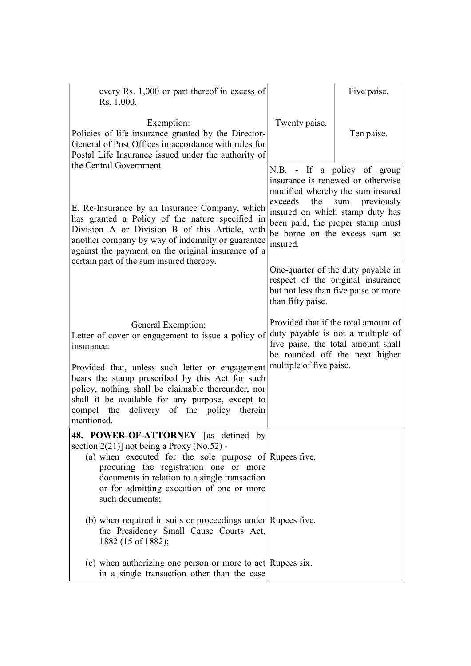| every Rs. 1,000 or part thereof in excess of<br>Rs. 1,000.                                                                                                                                                                                                                                                                                                        |                            | Five paise.                                                                                                                                                                                                                    |
|-------------------------------------------------------------------------------------------------------------------------------------------------------------------------------------------------------------------------------------------------------------------------------------------------------------------------------------------------------------------|----------------------------|--------------------------------------------------------------------------------------------------------------------------------------------------------------------------------------------------------------------------------|
| Exemption:<br>Policies of life insurance granted by the Director-<br>General of Post Offices in accordance with rules for<br>Postal Life Insurance issued under the authority of                                                                                                                                                                                  | Twenty paise.              | Ten paise.                                                                                                                                                                                                                     |
| the Central Government.<br>E. Re-Insurance by an Insurance Company, which<br>has granted a Policy of the nature specified in<br>Division A or Division B of this Article, with<br>another company by way of indemnity or guarantee                                                                                                                                | exceeds<br>the<br>insured. | N.B. - If a policy of group<br>insurance is renewed or otherwise<br>modified whereby the sum insured<br>sum previously<br>insured on which stamp duty has<br>been paid, the proper stamp must<br>be borne on the excess sum so |
| against the payment on the original insurance of a<br>certain part of the sum insured thereby.                                                                                                                                                                                                                                                                    | than fifty paise.          | One-quarter of the duty payable in<br>respect of the original insurance<br>but not less than five paise or more                                                                                                                |
| General Exemption:<br>Letter of cover or engagement to issue a policy of<br>insurance:<br>Provided that, unless such letter or engagement<br>bears the stamp prescribed by this Act for such<br>policy, nothing shall be claimable thereunder, nor<br>shall it be available for any purpose, except to<br>compel the delivery of the policy therein<br>mentioned. | multiple of five paise.    | Provided that if the total amount of<br>duty payable is not a multiple of<br>five paise, the total amount shall<br>be rounded off the next higher                                                                              |
| <b>48. POWER-OF-ATTORNEY</b><br>as defined by<br>section $2(21)$ ] not being a Proxy (No.52) -<br>(a) when executed for the sole purpose of Rupees five.<br>procuring the registration one or more<br>documents in relation to a single transaction<br>or for admitting execution of one or more<br>such documents;                                               |                            |                                                                                                                                                                                                                                |
| (b) when required in suits or proceedings under Rupees five.<br>the Presidency Small Cause Courts Act,<br>1882 (15 of 1882);                                                                                                                                                                                                                                      |                            |                                                                                                                                                                                                                                |
| (c) when authorizing one person or more to act Rupees six.<br>in a single transaction other than the case                                                                                                                                                                                                                                                         |                            |                                                                                                                                                                                                                                |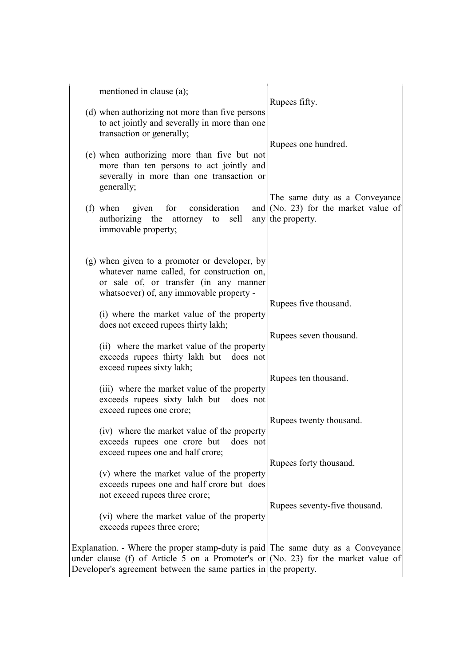| mentioned in clause (a);                                                                                                                                                                                                                 | Rupees fifty.                                                                                |
|------------------------------------------------------------------------------------------------------------------------------------------------------------------------------------------------------------------------------------------|----------------------------------------------------------------------------------------------|
| (d) when authorizing not more than five persons<br>to act jointly and severally in more than one<br>transaction or generally;                                                                                                            |                                                                                              |
| (e) when authorizing more than five but not<br>more than ten persons to act jointly and<br>severally in more than one transaction or<br>generally;                                                                                       | Rupees one hundred.                                                                          |
| (f) when given for consideration<br>authorizing the attorney to sell<br>immovable property;                                                                                                                                              | The same duty as a Conveyance<br>and $(No. 23)$ for the market value of<br>any the property. |
| (g) when given to a promoter or developer, by<br>whatever name called, for construction on,<br>or sale of, or transfer (in any manner<br>whatsoever) of, any immovable property -                                                        |                                                                                              |
| (i) where the market value of the property<br>does not exceed rupees thirty lakh;                                                                                                                                                        | Rupees five thousand.                                                                        |
| (ii) where the market value of the property<br>exceeds rupees thirty lakh but does not<br>exceed rupees sixty lakh;                                                                                                                      | Rupees seven thousand.                                                                       |
| (iii) where the market value of the property<br>exceeds rupees sixty lakh but does not<br>exceed rupees one crore;                                                                                                                       | Rupees ten thousand.                                                                         |
| (iv) where the market value of the property<br>exceeds rupees one crore but<br>does not<br>exceed rupees one and half crore;                                                                                                             | Rupees twenty thousand.                                                                      |
| (v) where the market value of the property<br>exceeds rupees one and half crore but does<br>not exceed rupees three crore;                                                                                                               | Rupees forty thousand.                                                                       |
| (vi) where the market value of the property<br>exceeds rupees three crore;                                                                                                                                                               | Rupees seventy-five thousand.                                                                |
| Explanation. - Where the proper stamp-duty is paid The same duty as a Conveyance<br>under clause (f) of Article 5 on a Promoter's or (No. 23) for the market value of<br>Developer's agreement between the same parties in the property. |                                                                                              |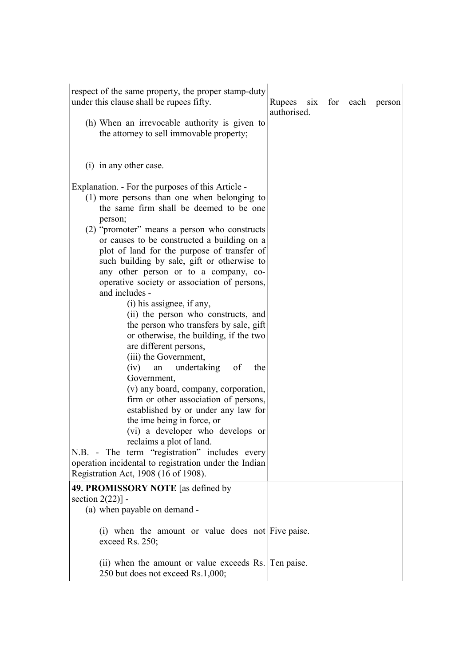| respect of the same property, the proper stamp-duty<br>under this clause shall be rupees fifty.                                                                                                                                                                                                                                                                                                                     | Rupees<br>$\dot{\rm s}$ ix<br>authorised. |  | for each person |
|---------------------------------------------------------------------------------------------------------------------------------------------------------------------------------------------------------------------------------------------------------------------------------------------------------------------------------------------------------------------------------------------------------------------|-------------------------------------------|--|-----------------|
| (h) When an irrevocable authority is given to<br>the attorney to sell immovable property;                                                                                                                                                                                                                                                                                                                           |                                           |  |                 |
| (i) in any other case.                                                                                                                                                                                                                                                                                                                                                                                              |                                           |  |                 |
| Explanation. - For the purposes of this Article -<br>(1) more persons than one when belonging to<br>the same firm shall be deemed to be one<br>person;<br>(2) "promoter" means a person who constructs<br>or causes to be constructed a building on a<br>plot of land for the purpose of transfer of<br>such building by sale, gift or otherwise to                                                                 |                                           |  |                 |
| any other person or to a company, co-<br>operative society or association of persons,<br>and includes -<br>(i) his assignee, if any,<br>(ii) the person who constructs, and<br>the person who transfers by sale, gift<br>or otherwise, the building, if the two<br>are different persons,<br>(iii) the Government,<br>undertaking<br>of<br>the<br>(iv)<br>an<br>Government,<br>(v) any board, company, corporation, |                                           |  |                 |
| firm or other association of persons,<br>established by or under any law for<br>the ime being in force, or<br>(vi) a developer who develops or<br>reclaims a plot of land.<br>N.B. - The term "registration" includes every<br>operation incidental to registration under the Indian<br>Registration Act, 1908 (16 of 1908).                                                                                        |                                           |  |                 |
| 49. PROMISSORY NOTE [as defined by<br>section $2(22)$ ] -<br>(a) when payable on demand -                                                                                                                                                                                                                                                                                                                           |                                           |  |                 |
| (i) when the amount or value does not Five paise.<br>exceed Rs. 250;                                                                                                                                                                                                                                                                                                                                                |                                           |  |                 |
| (ii) when the amount or value exceeds Rs. Ten paise.                                                                                                                                                                                                                                                                                                                                                                |                                           |  |                 |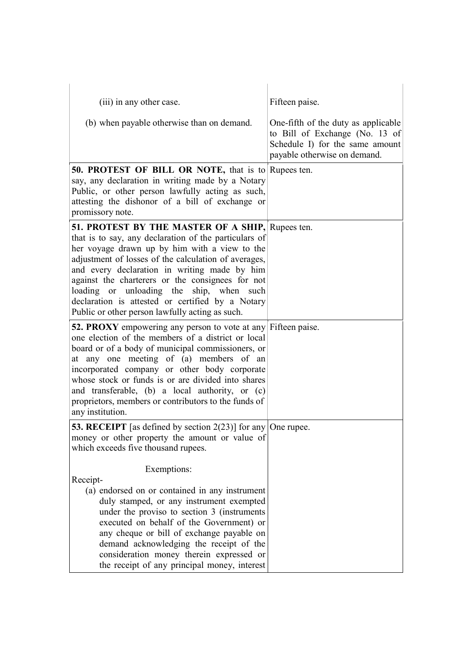| (iii) in any other case.                                                                                                                                                                                                                                                                                                                                                                                                                                                  | Fifteen paise.                                                                                                                           |
|---------------------------------------------------------------------------------------------------------------------------------------------------------------------------------------------------------------------------------------------------------------------------------------------------------------------------------------------------------------------------------------------------------------------------------------------------------------------------|------------------------------------------------------------------------------------------------------------------------------------------|
| (b) when payable otherwise than on demand.                                                                                                                                                                                                                                                                                                                                                                                                                                | One-fifth of the duty as applicable<br>to Bill of Exchange (No. 13 of<br>Schedule I) for the same amount<br>payable otherwise on demand. |
| <b>50. PROTEST OF BILL OR NOTE, that is to Rupees ten.</b><br>say, any declaration in writing made by a Notary<br>Public, or other person lawfully acting as such,<br>attesting the dishonor of a bill of exchange or<br>promissory note.                                                                                                                                                                                                                                 |                                                                                                                                          |
| 51. PROTEST BY THE MASTER OF A SHIP, Rupees ten.<br>that is to say, any declaration of the particulars of<br>her voyage drawn up by him with a view to the<br>adjustment of losses of the calculation of averages,<br>and every declaration in writing made by him<br>against the charterers or the consignees for not<br>loading or unloading the ship, when such<br>declaration is attested or certified by a Notary<br>Public or other person lawfully acting as such. |                                                                                                                                          |
| 52. PROXY empowering any person to vote at any Fifteen paise.<br>one election of the members of a district or local<br>board or of a body of municipal commissioners, or<br>at any one meeting of (a) members of an<br>incorporated company or other body corporate<br>whose stock or funds is or are divided into shares<br>and transferable, (b) a local authority, or (c)<br>proprietors, members or contributors to the funds of<br>any institution.                  |                                                                                                                                          |
| <b>53. RECEIPT</b> [as defined by section $2(23)$ ] for any One rupee.<br>money or other property the amount or value of<br>which exceeds five thousand rupees.                                                                                                                                                                                                                                                                                                           |                                                                                                                                          |
| Exemptions:<br>Receipt-<br>(a) endorsed on or contained in any instrument<br>duly stamped, or any instrument exempted<br>under the proviso to section 3 (instruments)<br>executed on behalf of the Government) or<br>any cheque or bill of exchange payable on<br>demand acknowledging the receipt of the<br>consideration money therein expressed or                                                                                                                     |                                                                                                                                          |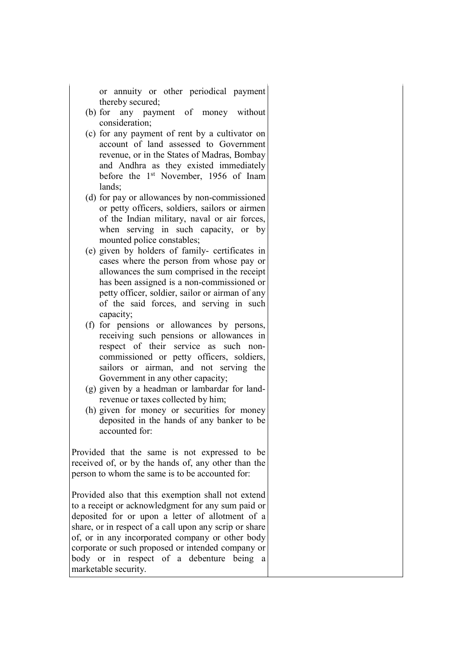or annuity or other periodical payment thereby secured;

- (b) for any payment of money without consideration;
- (c) for any payment of rent by a cultivator on account of land assessed to Government revenue, or in the States of Madras, Bombay and Andhra as they existed immediately before the 1st November, 1956 of Inam lands;
- (d) for pay or allowances by non-commissioned or petty officers, soldiers, sailors or airmen of the Indian military, naval or air forces, when serving in such capacity, or by mounted police constables;
- (e) given by holders of family- certificates in cases where the person from whose pay or allowances the sum comprised in the receipt has been assigned is a non-commissioned or petty officer, soldier, sailor or airman of any of the said forces, and serving in such capacity;
- (f) for pensions or allowances by persons, receiving such pensions or allowances in respect of their service as such noncommissioned or petty officers, soldiers, sailors or airman, and not serving the Government in any other capacity;
- (g) given by a headman or lambardar for landrevenue or taxes collected by him;
- (h) given for money or securities for money deposited in the hands of any banker to be accounted for:

Provided that the same is not expressed to be received of, or by the hands of, any other than the person to whom the same is to be accounted for:

Provided also that this exemption shall not extend to a receipt or acknowledgment for any sum paid or deposited for or upon a letter of allotment of a share, or in respect of a call upon any scrip or share of, or in any incorporated company or other body corporate or such proposed or intended company or body or in respect of a debenture being a marketable security.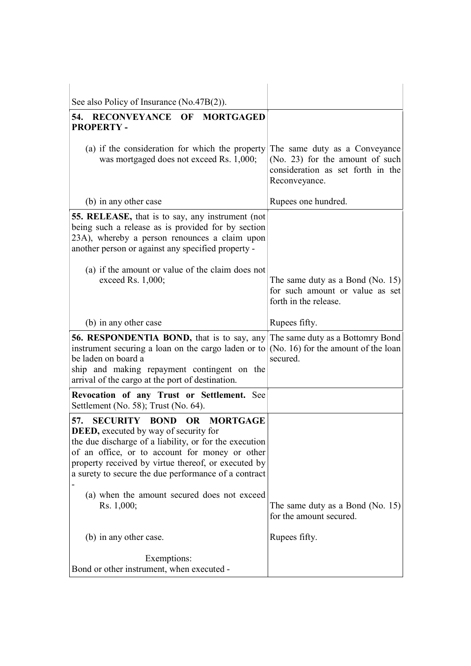| See also Policy of Insurance (No.47B(2)).                                                                                                                                                                                                                                                                                     |                                                                                                                        |
|-------------------------------------------------------------------------------------------------------------------------------------------------------------------------------------------------------------------------------------------------------------------------------------------------------------------------------|------------------------------------------------------------------------------------------------------------------------|
| 54. RECONVEYANCE OF<br><b>MORTGAGED</b><br><b>PROPERTY-</b>                                                                                                                                                                                                                                                                   |                                                                                                                        |
| (a) if the consideration for which the property<br>was mortgaged does not exceed Rs. 1,000;                                                                                                                                                                                                                                   | The same duty as a Conveyance<br>(No. 23) for the amount of such<br>consideration as set forth in the<br>Reconveyance. |
| (b) in any other case                                                                                                                                                                                                                                                                                                         | Rupees one hundred.                                                                                                    |
| 55. RELEASE, that is to say, any instrument (not<br>being such a release as is provided for by section<br>23A), whereby a person renounces a claim upon<br>another person or against any specified property -<br>(a) if the amount or value of the claim does not<br>exceed Rs. 1,000;                                        | The same duty as a Bond (No. 15)<br>for such amount or value as set<br>forth in the release.                           |
| (b) in any other case                                                                                                                                                                                                                                                                                                         | Rupees fifty.                                                                                                          |
| <b>56. RESPONDENTIA BOND,</b> that is to say, any The same duty as a Bottomry Bond<br>instrument securing a loan on the cargo laden or to<br>be laden on board a<br>ship and making repayment contingent on the<br>arrival of the cargo at the port of destination.                                                           | (No. 16) for the amount of the loan<br>secured.                                                                        |
| Revocation of any Trust or Settlement. See<br>Settlement (No. 58); Trust (No. 64).                                                                                                                                                                                                                                            |                                                                                                                        |
| 57. SECURITY BOND<br><b>OR</b><br><b>MORTGAGE</b><br><b>DEED</b> , executed by way of security for<br>the due discharge of a liability, or for the execution<br>of an office, or to account for money or other<br>property received by virtue thereof, or executed by<br>a surety to secure the due performance of a contract |                                                                                                                        |
| (a) when the amount secured does not exceed<br>Rs. 1,000;                                                                                                                                                                                                                                                                     | The same duty as a Bond (No. $15$ )<br>for the amount secured.                                                         |
| (b) in any other case.                                                                                                                                                                                                                                                                                                        | Rupees fifty.                                                                                                          |
|                                                                                                                                                                                                                                                                                                                               |                                                                                                                        |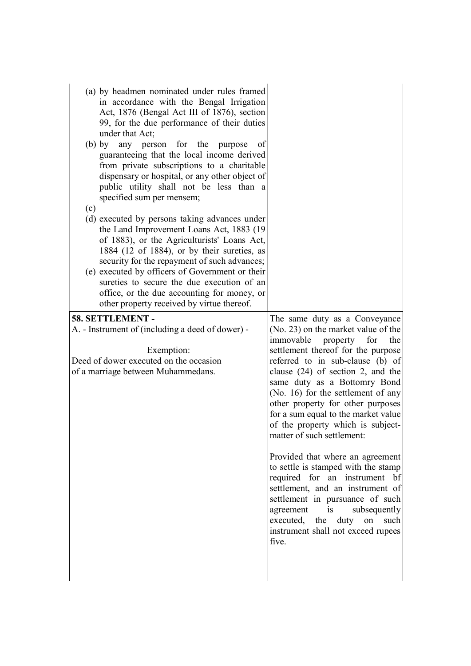| <sub>of</sub><br>dispensary or hospital, or any other object of                                                                                                                                                                                                                                                                                                                                                                                                                                                                                                                                                                                                         |
|-------------------------------------------------------------------------------------------------------------------------------------------------------------------------------------------------------------------------------------------------------------------------------------------------------------------------------------------------------------------------------------------------------------------------------------------------------------------------------------------------------------------------------------------------------------------------------------------------------------------------------------------------------------------------|
| (d) executed by persons taking advances under                                                                                                                                                                                                                                                                                                                                                                                                                                                                                                                                                                                                                           |
|                                                                                                                                                                                                                                                                                                                                                                                                                                                                                                                                                                                                                                                                         |
|                                                                                                                                                                                                                                                                                                                                                                                                                                                                                                                                                                                                                                                                         |
| The same duty as a Conveyance<br>(No. 23) on the market value of the<br>immovable<br>property<br>for<br>the                                                                                                                                                                                                                                                                                                                                                                                                                                                                                                                                                             |
| settlement thereof for the purpose<br>referred to in sub-clause (b) of<br>clause $(24)$ of section 2, and the<br>same duty as a Bottomry Bond<br>(No. 16) for the settlement of any<br>other property for other purposes<br>for a sum equal to the market value<br>of the property which is subject-<br>matter of such settlement:                                                                                                                                                                                                                                                                                                                                      |
| Provided that where an agreement<br>to settle is stamped with the stamp<br>required for an instrument bf<br>settlement, and an instrument of<br>settlement in pursuance of such<br>agreement<br>is<br>subsequently<br>duty<br>executed,<br>the<br>on such                                                                                                                                                                                                                                                                                                                                                                                                               |
| (a) by headmen nominated under rules framed<br>in accordance with the Bengal Irrigation<br>Act, 1876 (Bengal Act III of 1876), section<br>99, for the due performance of their duties<br>guaranteeing that the local income derived<br>from private subscriptions to a charitable<br>public utility shall not be less than a<br>the Land Improvement Loans Act, 1883 (19)<br>of 1883), or the Agriculturists' Loans Act,<br>1884 (12 of 1884), or by their sureties, as<br>security for the repayment of such advances;<br>(e) executed by officers of Government or their<br>sureties to secure the due execution of an<br>office, or the due accounting for money, or |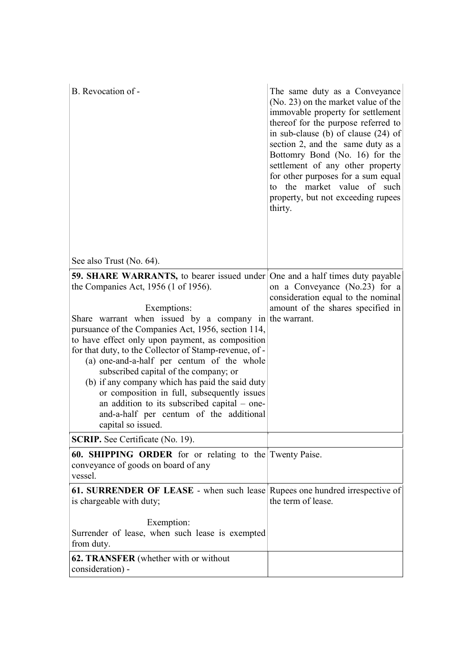| B. Revocation of -                                                                                                                                                                                                                                                                                                                                                                                                                                                                                                                                                                                                                                                                                                     | The same duty as a Conveyance<br>(No. 23) on the market value of the<br>immovable property for settlement<br>thereof for the purpose referred to<br>in sub-clause (b) of clause $(24)$ of<br>section 2, and the same duty as a<br>Bottomry Bond (No. 16) for the<br>settlement of any other property<br>for other purposes for a sum equal<br>to the market value of such<br>property, but not exceeding rupees<br>thirty. |
|------------------------------------------------------------------------------------------------------------------------------------------------------------------------------------------------------------------------------------------------------------------------------------------------------------------------------------------------------------------------------------------------------------------------------------------------------------------------------------------------------------------------------------------------------------------------------------------------------------------------------------------------------------------------------------------------------------------------|----------------------------------------------------------------------------------------------------------------------------------------------------------------------------------------------------------------------------------------------------------------------------------------------------------------------------------------------------------------------------------------------------------------------------|
| See also Trust (No. 64).                                                                                                                                                                                                                                                                                                                                                                                                                                                                                                                                                                                                                                                                                               |                                                                                                                                                                                                                                                                                                                                                                                                                            |
| 59. SHARE WARRANTS, to bearer issued under One and a half times duty payable<br>the Companies Act, 1956 (1 of 1956).<br>Exemptions:<br>Share warrant when issued by a company in the warrant.<br>pursuance of the Companies Act, 1956, section 114,<br>to have effect only upon payment, as composition<br>for that duty, to the Collector of Stamp-revenue, of -<br>(a) one-and-a-half per centum of the whole<br>subscribed capital of the company; or<br>(b) if any company which has paid the said duty<br>or composition in full, subsequently issues<br>an addition to its subscribed capital – one-<br>and-a-half per centum of the additional<br>capital so issued.<br><b>SCRIP.</b> See Certificate (No. 19). | on a Conveyance (No.23) for a<br>consideration equal to the nominal<br>amount of the shares specified in                                                                                                                                                                                                                                                                                                                   |
|                                                                                                                                                                                                                                                                                                                                                                                                                                                                                                                                                                                                                                                                                                                        |                                                                                                                                                                                                                                                                                                                                                                                                                            |
| 60. SHIPPING ORDER for or relating to the Twenty Paise.<br>conveyance of goods on board of any<br>vessel.                                                                                                                                                                                                                                                                                                                                                                                                                                                                                                                                                                                                              |                                                                                                                                                                                                                                                                                                                                                                                                                            |
| 61. SURRENDER OF LEASE - when such lease Rupees one hundred irrespective of<br>is chargeable with duty;                                                                                                                                                                                                                                                                                                                                                                                                                                                                                                                                                                                                                | the term of lease.                                                                                                                                                                                                                                                                                                                                                                                                         |
| Exemption:<br>Surrender of lease, when such lease is exempted<br>from duty.                                                                                                                                                                                                                                                                                                                                                                                                                                                                                                                                                                                                                                            |                                                                                                                                                                                                                                                                                                                                                                                                                            |
|                                                                                                                                                                                                                                                                                                                                                                                                                                                                                                                                                                                                                                                                                                                        |                                                                                                                                                                                                                                                                                                                                                                                                                            |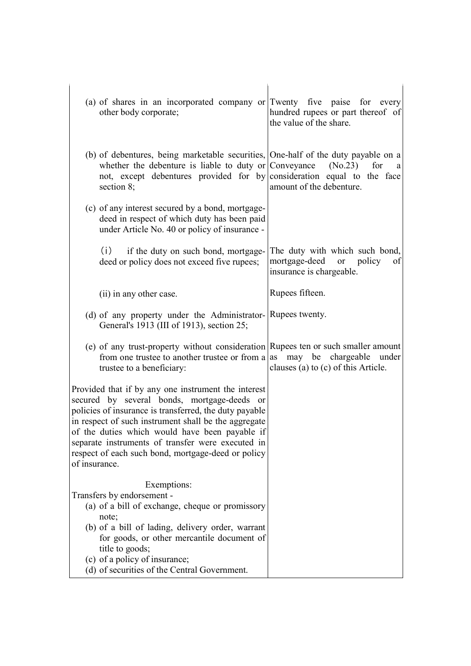| (a) of shares in an incorporated company or Twenty five paise for every<br>other body corporate;                                                                                                                                                                                                                                                                                                   | hundred rupees or part thereof of<br>the value of the share.                                           |
|----------------------------------------------------------------------------------------------------------------------------------------------------------------------------------------------------------------------------------------------------------------------------------------------------------------------------------------------------------------------------------------------------|--------------------------------------------------------------------------------------------------------|
| (b) of debentures, being marketable securities, One-half of the duty payable on a<br>whether the debenture is liable to duty or Conveyance<br>not, except debentures provided for by consideration equal to the face<br>section 8;                                                                                                                                                                 | (No.23)<br>for<br>a<br>amount of the debenture.                                                        |
| (c) of any interest secured by a bond, mortgage-<br>deed in respect of which duty has been paid<br>under Article No. 40 or policy of insurance -                                                                                                                                                                                                                                                   |                                                                                                        |
| (i) if the duty on such bond, mortgage-<br>deed or policy does not exceed five rupees;                                                                                                                                                                                                                                                                                                             | The duty with which such bond,<br>mortgage-deed or policy<br><sub>of</sub><br>insurance is chargeable. |
| (ii) in any other case.                                                                                                                                                                                                                                                                                                                                                                            | Rupees fifteen.                                                                                        |
| (d) of any property under the Administrator- Rupees twenty.<br>General's 1913 (III of 1913), section 25;                                                                                                                                                                                                                                                                                           |                                                                                                        |
| (e) of any trust-property without consideration Rupees ten or such smaller amount<br>from one trustee to another trustee or from a<br>trustee to a beneficiary:                                                                                                                                                                                                                                    | as<br>may be chargeable<br>under<br>clauses (a) to (c) of this Article.                                |
| Provided that if by any one instrument the interest<br>secured by several bonds, mortgage-deeds or<br>policies of insurance is transferred, the duty payable<br>in respect of such instrument shall be the aggregate<br>of the duties which would have been payable if<br>separate instruments of transfer were executed in<br>respect of each such bond, mortgage-deed or policy<br>of insurance. |                                                                                                        |
| Exemptions:<br>Transfers by endorsement -<br>(a) of a bill of exchange, cheque or promissory<br>note;<br>(b) of a bill of lading, delivery order, warrant<br>for goods, or other mercantile document of<br>title to goods;<br>(c) of a policy of insurance;<br>(d) of securities of the Central Government.                                                                                        |                                                                                                        |

 $\overline{\phantom{a}}$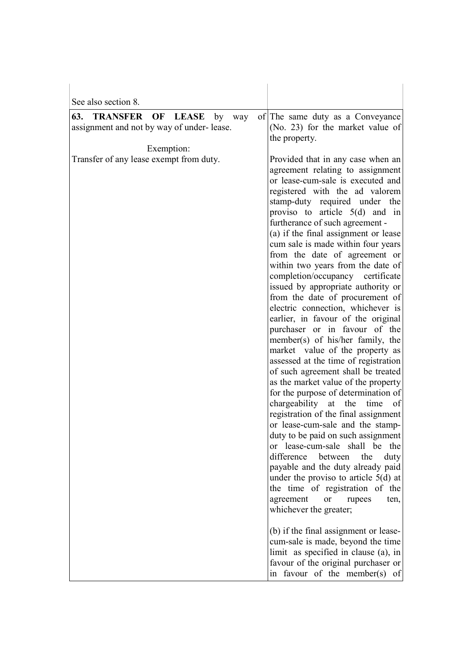| of The same duty as a Conveyance<br>(No. 23) for the market value of<br>the property.<br>Provided that in any case when an<br>agreement relating to assignment<br>or lease-cum-sale is executed and<br>registered with the ad valorem<br>stamp-duty required under the<br>proviso to article $5(d)$ and in<br>furtherance of such agreement -<br>(a) if the final assignment or lease<br>cum sale is made within four years<br>from the date of agreement or<br>within two years from the date of<br>completion/occupancy certificate<br>issued by appropriate authority or<br>from the date of procurement of<br>electric connection, whichever is                                                                                       |
|-------------------------------------------------------------------------------------------------------------------------------------------------------------------------------------------------------------------------------------------------------------------------------------------------------------------------------------------------------------------------------------------------------------------------------------------------------------------------------------------------------------------------------------------------------------------------------------------------------------------------------------------------------------------------------------------------------------------------------------------|
|                                                                                                                                                                                                                                                                                                                                                                                                                                                                                                                                                                                                                                                                                                                                           |
|                                                                                                                                                                                                                                                                                                                                                                                                                                                                                                                                                                                                                                                                                                                                           |
| earlier, in favour of the original<br>purchaser or in favour of the<br>member(s) of his/her family, the<br>market value of the property as<br>assessed at the time of registration<br>of such agreement shall be treated<br>as the market value of the property<br>for the purpose of determination of<br>chargeability<br>$\,$ at $\,$<br>the<br>time<br>of<br>registration of the final assignment<br>or lease-cum-sale and the stamp-<br>duty to be paid on such assignment<br>or lease-cum-sale shall be the<br>difference<br>between<br>the<br>duty<br>payable and the duty already paid<br>under the proviso to article $5(d)$ at<br>the time of registration of the<br>agreement<br>or<br>rupees<br>ten,<br>whichever the greater; |
| (b) if the final assignment or lease-<br>cum-sale is made, beyond the time                                                                                                                                                                                                                                                                                                                                                                                                                                                                                                                                                                                                                                                                |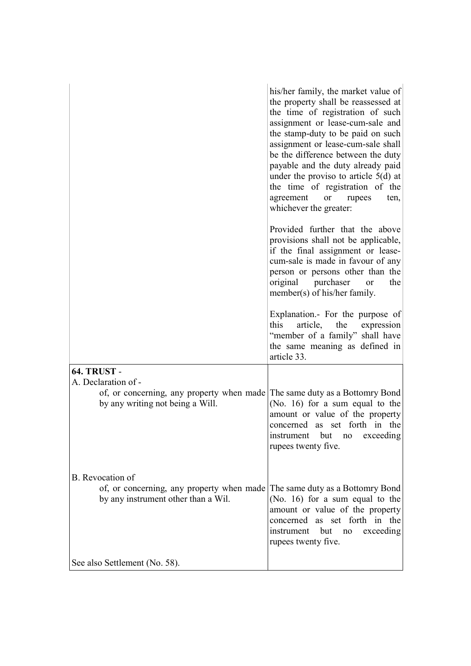|                                                                                                                   | his/her family, the market value of<br>the property shall be reassessed at<br>the time of registration of such<br>assignment or lease-cum-sale and<br>the stamp-duty to be paid on such<br>assignment or lease-cum-sale shall<br>be the difference between the duty<br>payable and the duty already paid<br>under the proviso to article $5(d)$ at<br>the time of registration of the<br>agreement<br><sub>or</sub><br>rupees<br>ten,<br>whichever the greater:<br>Provided further that the above<br>provisions shall not be applicable, |
|-------------------------------------------------------------------------------------------------------------------|-------------------------------------------------------------------------------------------------------------------------------------------------------------------------------------------------------------------------------------------------------------------------------------------------------------------------------------------------------------------------------------------------------------------------------------------------------------------------------------------------------------------------------------------|
|                                                                                                                   | if the final assignment or lease-<br>cum-sale is made in favour of any<br>person or persons other than the<br>original<br>purchaser<br>the<br><b>or</b><br>member(s) of his/her family.                                                                                                                                                                                                                                                                                                                                                   |
|                                                                                                                   | Explanation.- For the purpose of<br>this<br>article,<br>the<br>expression<br>"member of a family" shall have<br>the same meaning as defined in<br>article 33.                                                                                                                                                                                                                                                                                                                                                                             |
| <b>64. TRUST -</b><br>A. Declaration of -                                                                         |                                                                                                                                                                                                                                                                                                                                                                                                                                                                                                                                           |
| of, or concerning, any property when made The same duty as a Bottomry Bond<br>by any writing not being a Will.    | (No. 16) for a sum equal to the<br>amount or value of the property<br>concerned as set forth in the<br>instrument<br>but<br>exceeding<br>no<br>rupees twenty five.                                                                                                                                                                                                                                                                                                                                                                        |
| B. Revocation of                                                                                                  |                                                                                                                                                                                                                                                                                                                                                                                                                                                                                                                                           |
| of, or concerning, any property when made The same duty as a Bottomry Bond<br>by any instrument other than a Wil. | (No. 16) for a sum equal to the<br>amount or value of the property<br>concerned as set forth in the<br>exceeding<br>instrument<br>but<br>no<br>rupees twenty five.                                                                                                                                                                                                                                                                                                                                                                        |
| See also Settlement (No. 58).                                                                                     |                                                                                                                                                                                                                                                                                                                                                                                                                                                                                                                                           |
|                                                                                                                   |                                                                                                                                                                                                                                                                                                                                                                                                                                                                                                                                           |